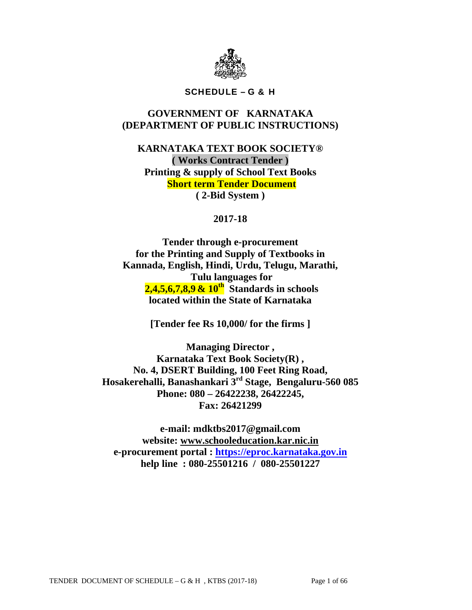

## SCHEDULE – G & H

## **GOVERNMENT OF KARNATAKA (DEPARTMENT OF PUBLIC INSTRUCTIONS)**

**KARNATAKA TEXT BOOK SOCIETY® ( Works Contract Tender ) Printing & supply of School Text Books Short term Tender Document ( 2-Bid System )** 

## **2017-18**

**Tender through e-procurement for the Printing and Supply of Textbooks in Kannada, English, Hindi, Urdu, Telugu, Marathi, Tulu languages for 2,4,5,6,7,8,9 & 10th Standards in schools located within the State of Karnataka** 

**[Tender fee Rs 10,000/ for the firms ]** 

**Managing Director , Karnataka Text Book Society(R) , No. 4, DSERT Building, 100 Feet Ring Road, Hosakerehalli, Banashankari 3rd Stage, Bengaluru-560 085 Phone: 080 – 26422238, 26422245, Fax: 26421299** 

**e-mail: mdktbs2017@gmail.com website: www.schooleducation.kar.nic.in e-procurement portal : https://eproc.karnataka.gov.in help line : 080-25501216 / 080-25501227**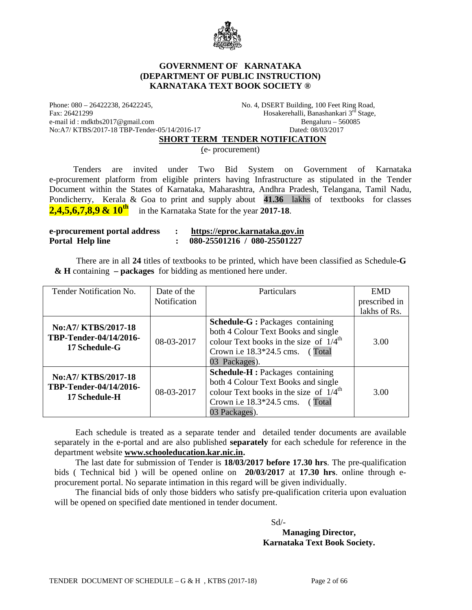

#### **GOVERNMENT OF KARNATAKA (DEPARTMENT OF PUBLIC INSTRUCTION) KARNATAKA TEXT BOOK SOCIETY ®**

Phone: 080 – 26422238, 26422245, No. 4, DSERT Building, 100 Feet Ring Road, Fax: 26421299 **Hosakerehalli, Banashankari 3<sup>rd</sup> Stage**, e-mail id : mdktbs2017@gmail.com Bengaluru – 560085 No:A7/ KTBS/2017-18 TBP-Tender-05/14/2016-17 Dated: 08/03/2017

#### **SHORT TERM TENDER NOTIFICATION**

(e- procurement)

 Tenders are invited under Two Bid System on Government of Karnataka e-procurement platform from eligible printers having Infrastructure as stipulated in the Tender Document within the States of Karnataka, Maharashtra, Andhra Pradesh, Telangana, Tamil Nadu, Pondicherry, Kerala & Goa to print and supply about **41.36** lakhs of textbooks for classes **2,4,5,6,7,8,9 & 10<sup>th</sup>** in the Karnataka State for the year 2017-18.

| e-procurement portal address | https://eproc.karnataka.gov.in |
|------------------------------|--------------------------------|
| <b>Portal Help line</b>      | 080-25501216 / 080-25501227    |

 There are in all **24** titles of textbooks to be printed, which have been classified as Schedule-**G & H** containing **– packages** for bidding as mentioned here under.

| Tender Notification No.                                              | Date of the  | Particulars                                                                                                                                                                                    | <b>EMD</b>    |
|----------------------------------------------------------------------|--------------|------------------------------------------------------------------------------------------------------------------------------------------------------------------------------------------------|---------------|
|                                                                      | Notification |                                                                                                                                                                                                | prescribed in |
|                                                                      |              |                                                                                                                                                                                                | lakhs of Rs.  |
| No:A7/KTBS/2017-18<br>TBP-Tender-04/14/2016-<br>17 Schedule-G        | 08-03-2017   | <b>Schedule-G</b> : Packages containing<br>both 4 Colour Text Books and single<br>colour Text books in the size of $1/4^{\text{th}}$<br>Crown i.e $18.3*24.5$ cms.<br>(Total)<br>03 Packages). | 3.00          |
| No:A7/KTBS/2017-18<br><b>TBP-Tender-04/14/2016-</b><br>17 Schedule-H | 08-03-2017   | <b>Schedule-H:</b> Packages containing<br>both 4 Colour Text Books and single<br>colour Text books in the size of $1/4^{\text{th}}$<br>Crown i.e $18.3*24.5$ cms.<br>(Total)<br>03 Packages).  | 3.00          |

 Each schedule is treated as a separate tender and detailed tender documents are available separately in the e-portal and are also published **separately** for each schedule for reference in the department website **www.schooleducation.kar.nic.in.**

The last date for submission of Tender is **18/03/2017 before 17.30 hrs**. The pre-qualification bids ( Technical bid ) will be opened online on **20/03/2017** at **17.30 hrs**. online through eprocurement portal. No separate intimation in this regard will be given individually.

The financial bids of only those bidders who satisfy pre-qualification criteria upon evaluation will be opened on specified date mentioned in tender document.

Sd/-

**Managing Director, Karnataka Text Book Society.**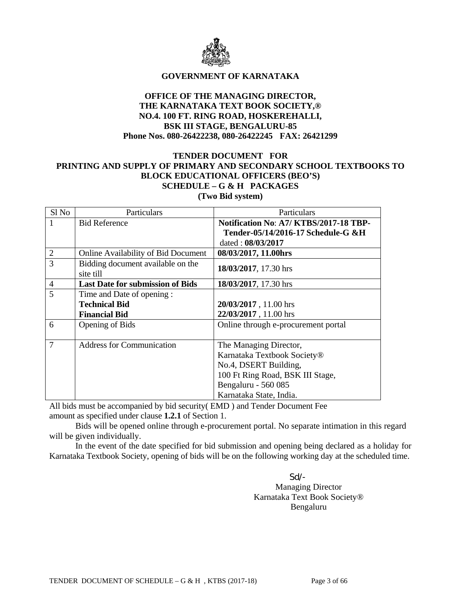

### **GOVERNMENT OF KARNATAKA**

### **OFFICE OF THE MANAGING DIRECTOR, THE KARNATAKA TEXT BOOK SOCIETY,® NO.4. 100 FT. RING ROAD, HOSKEREHALLI, BSK III STAGE, BENGALURU-85 Phone Nos. 080-26422238, 080-26422245 FAX: 26421299**

#### **TENDER DOCUMENT FOR PRINTING AND SUPPLY OF PRIMARY AND SECONDARY SCHOOL TEXTBOOKS TO BLOCK EDUCATIONAL OFFICERS (BEO'S) SCHEDULE – G & H PACKAGES (Two Bid system)**

| Sl No          | Particulars                                    | Particulars                           |
|----------------|------------------------------------------------|---------------------------------------|
|                | <b>Bid Reference</b>                           | Notification No: A7/KTBS/2017-18 TBP- |
|                |                                                | Tender-05/14/2016-17 Schedule-G &H    |
|                |                                                | dated: 08/03/2017                     |
| 2              | Online Availability of Bid Document            | 08/03/2017, 11.00hrs                  |
| 3              | Bidding document available on the<br>site till | 18/03/2017, 17.30 hrs                 |
| $\overline{4}$ | <b>Last Date for submission of Bids</b>        | 18/03/2017, 17.30 hrs                 |
| $\overline{5}$ | Time and Date of opening:                      |                                       |
|                | <b>Technical Bid</b>                           | 20/03/2017, 11.00 hrs                 |
|                | <b>Financial Bid</b>                           | 22/03/2017, 11.00 hrs                 |
| 6              | Opening of Bids                                | Online through e-procurement portal   |
|                |                                                |                                       |
| 7              | <b>Address for Communication</b>               | The Managing Director,                |
|                |                                                | Karnataka Textbook Society®           |
|                |                                                | No.4, DSERT Building,                 |
|                |                                                | 100 Ft Ring Road, BSK III Stage,      |
|                |                                                | Bengaluru - 560 085                   |
|                |                                                | Karnataka State, India.               |

All bids must be accompanied by bid security( EMD ) and Tender Document Fee amount as specified under clause **1.2.1** of Section 1.

Bids will be opened online through e-procurement portal. No separate intimation in this regard will be given individually.

 In the event of the date specified for bid submission and opening being declared as a holiday for Karnataka Textbook Society, opening of bids will be on the following working day at the scheduled time.

Sd/- Managing Director Karnataka Text Book Society® Bengaluru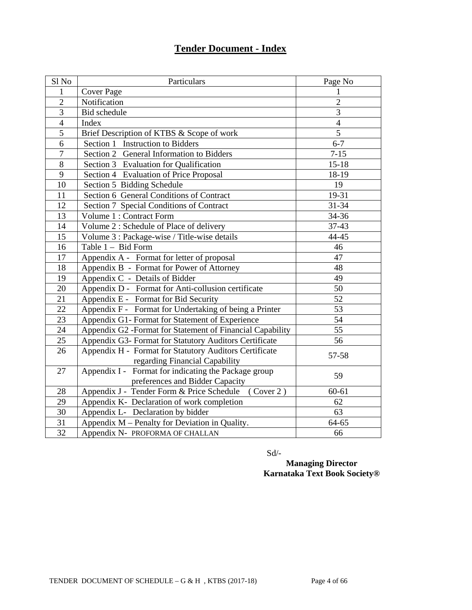# **Tender Document - Index**

| Sl No          | Particulars                                                                                | Page No         |
|----------------|--------------------------------------------------------------------------------------------|-----------------|
| 1              | <b>Cover Page</b>                                                                          | 1               |
| $\overline{2}$ | Notification                                                                               | $\overline{2}$  |
| $\overline{3}$ | Bid schedule                                                                               | $\overline{3}$  |
| $\overline{4}$ | Index                                                                                      | $\overline{4}$  |
| $\overline{5}$ | Brief Description of KTBS & Scope of work                                                  | $\overline{5}$  |
| 6              | Section 1 Instruction to Bidders                                                           | $6 - 7$         |
| $\tau$         | Section 2 General Information to Bidders                                                   | $7 - 15$        |
| $8\,$          | Section 3 Evaluation for Qualification                                                     | $15 - 18$       |
| 9              | Section 4 Evaluation of Price Proposal                                                     | 18-19           |
| 10             | Section 5 Bidding Schedule                                                                 | 19              |
| 11             | Section 6 General Conditions of Contract                                                   | 19-31           |
| 12             | Section 7 Special Conditions of Contract                                                   | 31-34           |
| 13             | Volume 1 : Contract Form                                                                   | 34-36           |
| 14             | Volume 2: Schedule of Place of delivery                                                    | 37-43           |
| 15             | Volume 3 : Package-wise / Title-wise details                                               | 44-45           |
| 16             | Table 1 - Bid Form                                                                         | 46              |
| 17             | Appendix A - Format for letter of proposal                                                 | 47              |
| 18             | Appendix B - Format for Power of Attorney                                                  | 48              |
| 19             | Appendix C - Details of Bidder                                                             | 49              |
| 20             | Appendix D - Format for Anti-collusion certificate                                         | $\overline{50}$ |
| 21             | Appendix E - Format for Bid Security                                                       | 52              |
| 22             | Appendix F - Format for Undertaking of being a Printer                                     | 53              |
| 23             | Appendix G1- Format for Statement of Experience                                            | 54              |
| 24             | Appendix G2 -Format for Statement of Financial Capability                                  | 55              |
| 25             | Appendix G3- Format for Statutory Auditors Certificate                                     | 56              |
| 26             | Appendix H - Format for Statutory Auditors Certificate<br>regarding Financial Capability   | 57-58           |
| 27             | Appendix I -<br>Format for indicating the Package group<br>preferences and Bidder Capacity | 59              |
| 28             | Appendix J - Tender Form & Price Schedule (Cover 2)                                        | $60 - 61$       |
| 29             | Appendix K- Declaration of work completion                                                 | 62              |
| 30             | Appendix L- Declaration by bidder                                                          | 63              |
| 31             | Appendix M - Penalty for Deviation in Quality.                                             | 64-65           |
| 32             | Appendix N- PROFORMA OF CHALLAN                                                            | 66              |

Sd/-

**Managing Director Karnataka Text Book Society®**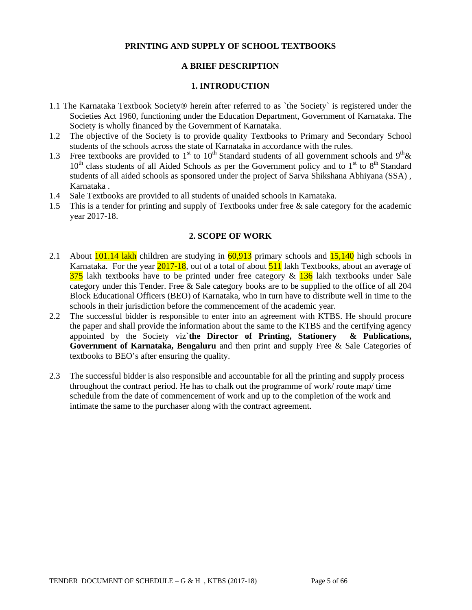## **PRINTING AND SUPPLY OF SCHOOL TEXTBOOKS**

### **A BRIEF DESCRIPTION**

#### **1. INTRODUCTION**

- 1.1 The Karnataka Textbook Society® herein after referred to as `the Society` is registered under the Societies Act 1960, functioning under the Education Department, Government of Karnataka. The Society is wholly financed by the Government of Karnataka.
- 1.2 The objective of the Society is to provide quality Textbooks to Primary and Secondary School students of the schools across the state of Karnataka in accordance with the rules.
- 1.3 Free textbooks are provided to 1<sup>st</sup> to 10<sup>th</sup> Standard students of all government schools and 9<sup>th</sup> &  $10<sup>th</sup>$  class students of all Aided Schools as per the Government policy and to  $1<sup>st</sup>$  to  $8<sup>th</sup>$  Standard students of all aided schools as sponsored under the project of Sarva Shikshana Abhiyana (SSA) , Karnataka .
- 1.4 Sale Textbooks are provided to all students of unaided schools in Karnataka.
- 1.5 This is a tender for printing and supply of Textbooks under free & sale category for the academic year 2017-18.

#### **2. SCOPE OF WORK**

- 2.1 About  $101.14$  lakh children are studying in  $60,913$  primary schools and  $15,140$  high schools in Karnataka. For the year  $\frac{2017-18}{18}$ , out of a total of about  $\frac{511}{18}$  lakh Textbooks, about an average of  $375$  lakh textbooks have to be printed under free category &  $136$  lakh textbooks under Sale category under this Tender. Free & Sale category books are to be supplied to the office of all 204 Block Educational Officers (BEO) of Karnataka, who in turn have to distribute well in time to the schools in their jurisdiction before the commencement of the academic year.
- 2.2 The successful bidder is responsible to enter into an agreement with KTBS. He should procure the paper and shall provide the information about the same to the KTBS and the certifying agency appointed by the Society viz**`the Director of Printing, Stationery & Publications, Government of Karnataka, Bengaluru** and then print and supply Free & Sale Categories of textbooks to BEO's after ensuring the quality.
- 2.3 The successful bidder is also responsible and accountable for all the printing and supply process throughout the contract period. He has to chalk out the programme of work/ route map/ time schedule from the date of commencement of work and up to the completion of the work and intimate the same to the purchaser along with the contract agreement.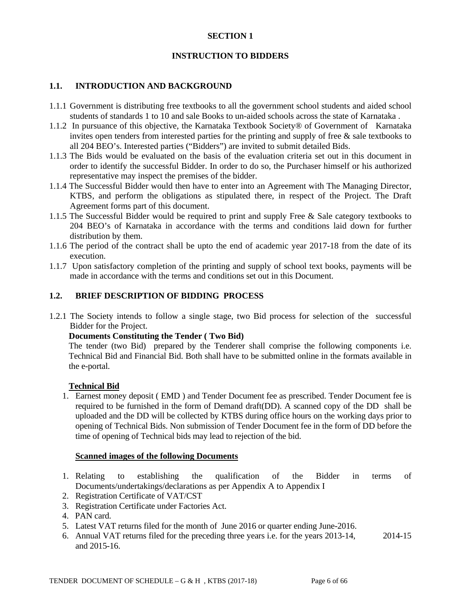## **SECTION 1**

#### **INSTRUCTION TO BIDDERS**

#### **1.1. INTRODUCTION AND BACKGROUND**

- 1.1.1 Government is distributing free textbooks to all the government school students and aided school students of standards 1 to 10 and sale Books to un-aided schools across the state of Karnataka .
- 1.1.2 In pursuance of this objective, the Karnataka Textbook Society® of Government of Karnataka invites open tenders from interested parties for the printing and supply of free & sale textbooks to all 204 BEO's. Interested parties ("Bidders") are invited to submit detailed Bids.
- 1.1.3 The Bids would be evaluated on the basis of the evaluation criteria set out in this document in order to identify the successful Bidder. In order to do so, the Purchaser himself or his authorized representative may inspect the premises of the bidder.
- 1.1.4 The Successful Bidder would then have to enter into an Agreement with The Managing Director, KTBS, and perform the obligations as stipulated there, in respect of the Project. The Draft Agreement forms part of this document.
- 1.1.5 The Successful Bidder would be required to print and supply Free & Sale category textbooks to 204 BEO's of Karnataka in accordance with the terms and conditions laid down for further distribution by them.
- 1.1.6 The period of the contract shall be upto the end of academic year 2017-18 from the date of its execution.
- 1.1.7 Upon satisfactory completion of the printing and supply of school text books, payments will be made in accordance with the terms and conditions set out in this Document.

#### **1.2. BRIEF DESCRIPTION OF BIDDING PROCESS**

1.2.1 The Society intends to follow a single stage, two Bid process for selection of the successful Bidder for the Project.

#### **Documents Constituting the Tender ( Two Bid)**

 The tender (two Bid) prepared by the Tenderer shall comprise the following components i.e. Technical Bid and Financial Bid. Both shall have to be submitted online in the formats available in the e-portal.

#### **Technical Bid**

1. Earnest money deposit ( EMD ) and Tender Document fee as prescribed. Tender Document fee is required to be furnished in the form of Demand draft(DD). A scanned copy of the DD shall be uploaded and the DD will be collected by KTBS during office hours on the working days prior to opening of Technical Bids. Non submission of Tender Document fee in the form of DD before the time of opening of Technical bids may lead to rejection of the bid.

#### **Scanned images of the following Documents**

- 1. Relating to establishing the qualification of the Bidder in terms of Documents/undertakings/declarations as per Appendix A to Appendix I
- 2. Registration Certificate of VAT/CST
- 3. Registration Certificate under Factories Act.
- 4. PAN card.
- 5. Latest VAT returns filed for the month of June 2016 or quarter ending June-2016.
- 6. Annual VAT returns filed for the preceding three years i.e. for the years 2013-14, 2014-15 and 2015-16.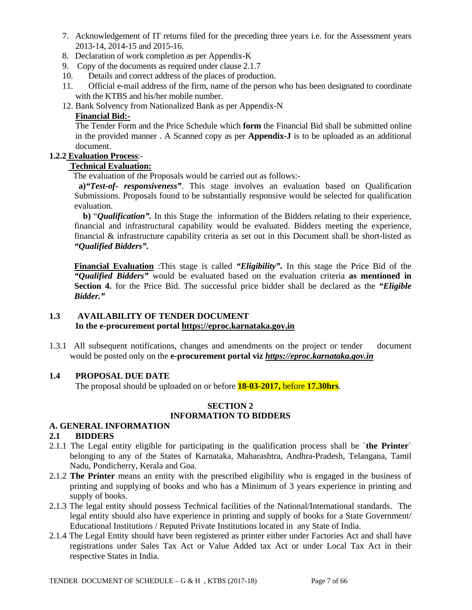- 7. Acknowledgement of IT returns filed for the preceding three years i.e. for the Assessment years 2013-14, 2014-15 and 2015-16.
- 8. Declaration of work completion as per Appendix-K
- 9. Copy of the documents as required under clause 2.1.7
- 10. Details and correct address of the places of production.
- 11. Official e-mail address of the firm, name of the person who has been designated to coordinate with the KTBS and his/her mobile number.
- 12. Bank Solvency from Nationalized Bank as per Appendix-N

### **Financial Bid:-**

The Tender Form and the Price Schedule which **form** the Financial Bid shall be submitted online in the provided manner . A Scanned copy as per **Appendix-J** is to be uploaded as an additional document.

### **1.2.2 Evaluation Process**:-

### **Technical Evaluation:**

The evaluation of the Proposals would be carried out as follows:-

 **a)***"Test-of- responsiveness"*. This stage involves an evaluation based on Qualification Submissions. Proposals found to be substantially responsive would be selected for qualification evaluation.

 **b)** "*Qualification".* In this Stage the information of the Bidders relating to their experience, financial and infrastructural capability would be evaluated. Bidders meeting the experience, financial & infrastructure capability criteria as set out in this Document shall be short-listed as *"Qualified Bidders".* 

**Financial Evaluation** :This stage is called *"Eligibility".* In this stage the Price Bid of the *"Qualified Bidders"* would be evaluated based on the evaluation criteria **as mentioned in Section 4.** for the Price Bid. The successful price bidder shall be declared as the *"Eligible Bidder."* 

### **1.3 AVAILABILITY OF TENDER DOCUMENT In the e-procurement portal https://eproc.karnataka.gov.in**

1.3.1 All subsequent notifications, changes and amendments on the project or tender document would be posted only on the **e-procurement portal viz** *https://eproc.karnataka.gov.in*

#### **1.4 PROPOSAL DUE DATE**

The proposal should be uploaded on or before **18-03-2017,** before **17.30hrs**.

#### **SECTION 2 INFORMATION TO BIDDERS**

## **A. GENERAL INFORMATION**

## **2.1 BIDDERS**

- 2.1.1 The Legal entity eligible for participating in the qualification process shall be `**the Printer**` belonging to any of the States of Karnataka, Maharashtra, Andhra-Pradesh, Telangana, Tamil Nadu, Pondicherry, Kerala and Goa.
- 2.1.2 **The Printer** means an entity with the prescribed eligibility who is engaged in the business of printing and supplying of books and who has a Minimum of 3 years experience in printing and supply of books.
- 2.1.3 The legal entity should possess Technical facilities of the National/International standards. The legal entity should also have experience in printing and supply of books for a State Government/ Educational Institutions / Reputed Private Institutions located in any State of India.
- 2.1.4 The Legal Entity should have been registered as printer either under Factories Act and shall have registrations under Sales Tax Act or Value Added tax Act or under Local Tax Act in their respective States in India.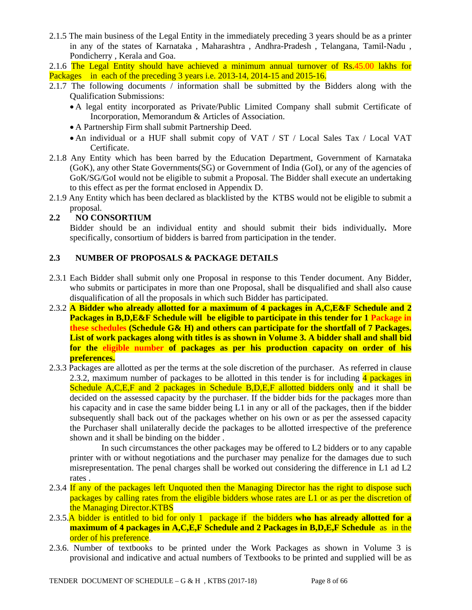2.1.5 The main business of the Legal Entity in the immediately preceding 3 years should be as a printer in any of the states of Karnataka , Maharashtra , Andhra-Pradesh , Telangana, Tamil-Nadu , Pondicherry , Kerala and Goa.

2.1.6 The Legal Entity should have achieved a minimum annual turnover of Rs.45.00 lakhs for Packages in each of the preceding 3 years i.e. 2013-14, 2014-15 and 2015-16.

- 2.1.7 The following documents / information shall be submitted by the Bidders along with the Qualification Submissions:
	- A legal entity incorporated as Private/Public Limited Company shall submit Certificate of Incorporation, Memorandum & Articles of Association.
	- A Partnership Firm shall submit Partnership Deed.
	- An individual or a HUF shall submit copy of VAT / ST / Local Sales Tax / Local VAT Certificate.
- 2.1.8 Any Entity which has been barred by the Education Department, Government of Karnataka (GoK), any other State Governments(SG) or Government of India (GoI), or any of the agencies of GoK/SG/GoI would not be eligible to submit a Proposal. The Bidder shall execute an undertaking to this effect as per the format enclosed in Appendix D.
- 2.1.9 Any Entity which has been declared as blacklisted by the KTBS would not be eligible to submit a proposal.

## **2.2 NO CONSORTIUM**

 Bidder should be an individual entity and should submit their bids individually*.* More specifically, consortium of bidders is barred from participation in the tender.

### **2.3 NUMBER OF PROPOSALS & PACKAGE DETAILS**

- 2.3.1 Each Bidder shall submit only one Proposal in response to this Tender document. Any Bidder, who submits or participates in more than one Proposal, shall be disqualified and shall also cause disqualification of all the proposals in which such Bidder has participated.
- 2.3.2 **A Bidder who already allotted for a maximum of 4 packages in A,C,E&F Schedule and 2 Packages in B,D,E&F Schedule will be eligible to participate in this tender for 1 Package in these schedules (Schedule G& H) and others can participate for the shortfall of 7 Packages. List of work packages along with titles is as shown in Volume 3. A bidder shall and shall bid for the eligible number of packages as per his production capacity on order of his preferences.**
- 2.3.3 Packages are allotted as per the terms at the sole discretion of the purchaser. As referred in clause 2.3.2, maximum number of packages to be allotted in this tender is for including 4 packages in Schedule A,C,E,F and 2 packages in Schedule B,D,E,F allotted bidders only and it shall be decided on the assessed capacity by the purchaser. If the bidder bids for the packages more than his capacity and in case the same bidder being L1 in any or all of the packages, then if the bidder subsequently shall back out of the packages whether on his own or as per the assessed capacity the Purchaser shall unilaterally decide the packages to be allotted irrespective of the preference shown and it shall be binding on the bidder .

 In such circumstances the other packages may be offered to L2 bidders or to any capable printer with or without negotiations and the purchaser may penalize for the damages due to such misrepresentation. The penal charges shall be worked out considering the difference in L1 ad L2 rates .

- 2.3.4 If any of the packages left Unquoted then the Managing Director has the right to dispose such packages by calling rates from the eligible bidders whose rates are L1 or as per the discretion of the Managing Director.KTBS
- 2.3.5.A bidder is entitled to bid for only 1 package if the bidders **who has already allotted for a maximum of 4 packages in A,C,E,F Schedule and 2 Packages in B,D,E,F Schedule** as in the order of his preference.
- 2.3.6. Number of textbooks to be printed under the Work Packages as shown in Volume 3 is provisional and indicative and actual numbers of Textbooks to be printed and supplied will be as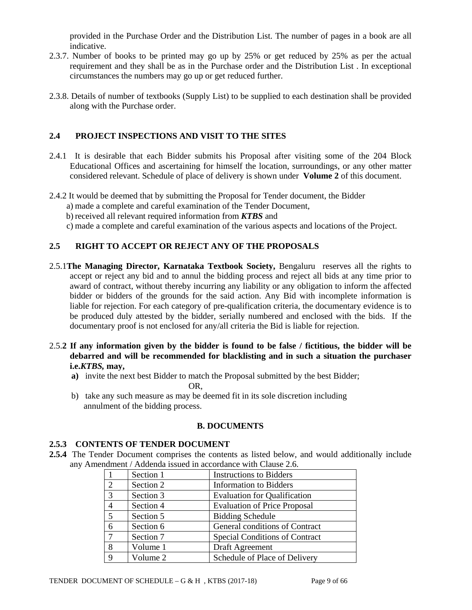provided in the Purchase Order and the Distribution List. The number of pages in a book are all indicative.

- 2.3.7. Number of books to be printed may go up by 25% or get reduced by 25% as per the actual requirement and they shall be as in the Purchase order and the Distribution List . In exceptional circumstances the numbers may go up or get reduced further.
- 2.3.8. Details of number of textbooks (Supply List) to be supplied to each destination shall be provided along with the Purchase order.

## **2.4 PROJECT INSPECTIONS AND VISIT TO THE SITES**

- 2.4.1 It is desirable that each Bidder submits his Proposal after visiting some of the 204 Block Educational Offices and ascertaining for himself the location, surroundings, or any other matter considered relevant. Schedule of place of delivery is shown under **Volume 2** of this document.
- 2.4.2 It would be deemed that by submitting the Proposal for Tender document, the Bidder
	- a) made a complete and careful examination of the Tender Document,
	- b) received all relevant required information from *KTBS* and
	- c) made a complete and careful examination of the various aspects and locations of the Project.

## **2.5 RIGHT TO ACCEPT OR REJECT ANY OF THE PROPOSALS**

- 2.5.1**The Managing Director, Karnataka Textbook Society,** Bengaluru reserves all the rights to accept or reject any bid and to annul the bidding process and reject all bids at any time prior to award of contract, without thereby incurring any liability or any obligation to inform the affected bidder or bidders of the grounds for the said action. Any Bid with incomplete information is liable for rejection. For each category of pre-qualification criteria, the documentary evidence is to be produced duly attested by the bidder, serially numbered and enclosed with the bids. If the documentary proof is not enclosed for any/all criteria the Bid is liable for rejection.
- 2.5.**2 If any information given by the bidder is found to be false / fictitious, the bidder will be debarred and will be recommended for blacklisting and in such a situation the purchaser i.e.***KTBS,* **may,** 
	- **a)** invite the next best Bidder to match the Proposal submitted by the best Bidder;

OR,

b) take any such measure as may be deemed fit in its sole discretion including annulment of the bidding process.

#### **B. DOCUMENTS**

#### **2.5.3 CONTENTS OF TENDER DOCUMENT**

**2.5.4** The Tender Document comprises the contents as listed below, and would additionally include any Amendment / Addenda issued in accordance with Clause 2.6.

|                | Section 1 | <b>Instructions to Bidders</b>      |
|----------------|-----------|-------------------------------------|
| $\overline{2}$ | Section 2 | <b>Information</b> to Bidders       |
| 3              | Section 3 | <b>Evaluation for Qualification</b> |
| $\overline{4}$ | Section 4 | <b>Evaluation of Price Proposal</b> |
| 5              | Section 5 | <b>Bidding Schedule</b>             |
| 6              | Section 6 | General conditions of Contract      |
| 7              | Section 7 | Special Conditions of Contract      |
| 8              | Volume 1  | Draft Agreement                     |
| $\mathbf Q$    | Volume 2  | Schedule of Place of Delivery       |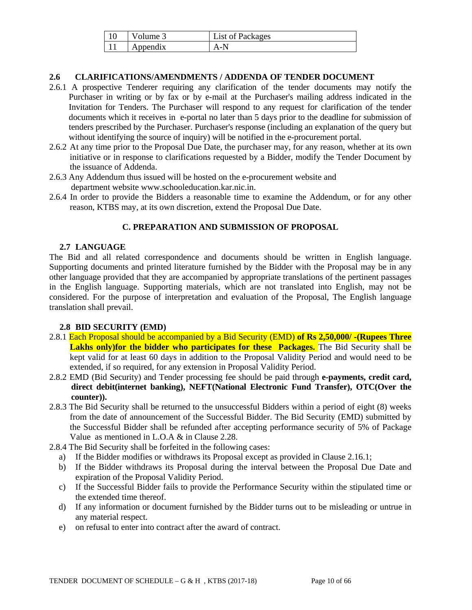| $^{\prime}$ olume $\sim$ | List of Packages |
|--------------------------|------------------|
| Append <sub>1X</sub>     | -                |

## **2.6 CLARIFICATIONS/AMENDMENTS / ADDENDA OF TENDER DOCUMENT**

- 2.6.1 A prospective Tenderer requiring any clarification of the tender documents may notify the Purchaser in writing or by fax or by e-mail at the Purchaser's mailing address indicated in the Invitation for Tenders. The Purchaser will respond to any request for clarification of the tender documents which it receives in e-portal no later than 5 days prior to the deadline for submission of tenders prescribed by the Purchaser. Purchaser's response (including an explanation of the query but without identifying the source of inquiry) will be notified in the e-procurement portal.
- 2.6.2 At any time prior to the Proposal Due Date, the purchaser may, for any reason, whether at its own initiative or in response to clarifications requested by a Bidder, modify the Tender Document by the issuance of Addenda.
- 2.6.3 Any Addendum thus issued will be hosted on the e-procurement website and department website www.schooleducation.kar.nic.in.
- 2.6.4 In order to provide the Bidders a reasonable time to examine the Addendum, or for any other reason, KTBS may, at its own discretion, extend the Proposal Due Date.

### **C. PREPARATION AND SUBMISSION OF PROPOSAL**

#### **2.7 LANGUAGE**

The Bid and all related correspondence and documents should be written in English language. Supporting documents and printed literature furnished by the Bidder with the Proposal may be in any other language provided that they are accompanied by appropriate translations of the pertinent passages in the English language. Supporting materials, which are not translated into English, may not be considered. For the purpose of interpretation and evaluation of the Proposal, The English language translation shall prevail.

#### **2.8 BID SECURITY (EMD)**

- 2.8.1 Each Proposal should be accompanied by a Bid Security (EMD) **of Rs 2,50,000/ -(Rupees Three Lakhs only) for the bidder who participates for these Packages.** The Bid Security shall be kept valid for at least 60 days in addition to the Proposal Validity Period and would need to be extended, if so required, for any extension in Proposal Validity Period.
- 2.8.2 EMD (Bid Security) and Tender processing fee should be paid through **e-payments, credit card, direct debit(internet banking), NEFT(National Electronic Fund Transfer), OTC(Over the counter)).**
- 2.8.3 The Bid Security shall be returned to the unsuccessful Bidders within a period of eight (8) weeks from the date of announcement of the Successful Bidder. The Bid Security (EMD) submitted by the Successful Bidder shall be refunded after accepting performance security of 5% of Package Value as mentioned in L.O.A & in Clause 2.28.
- 2.8.4 The Bid Security shall be forfeited in the following cases:
	- a) If the Bidder modifies or withdraws its Proposal except as provided in Clause 2.16.1;
	- b) If the Bidder withdraws its Proposal during the interval between the Proposal Due Date and expiration of the Proposal Validity Period.
	- c) If the Successful Bidder fails to provide the Performance Security within the stipulated time or the extended time thereof.
	- d) If any information or document furnished by the Bidder turns out to be misleading or untrue in any material respect.
	- e) on refusal to enter into contract after the award of contract.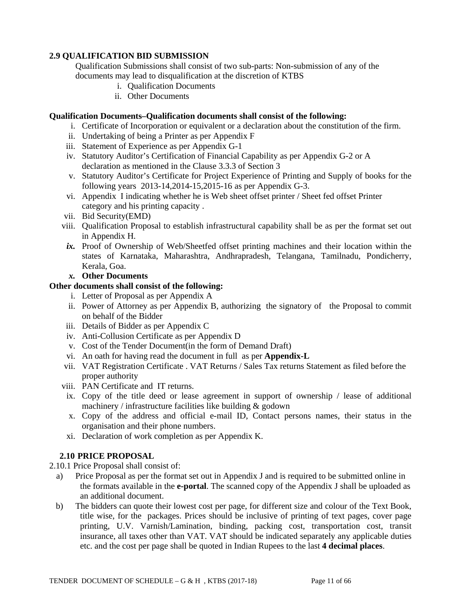## **2.9 QUALIFICATION BID SUBMISSION**

Qualification Submissions shall consist of two sub-parts: Non-submission of any of the documents may lead to disqualification at the discretion of KTBS

- i. Qualification Documents
- ii. Other Documents

#### **Qualification Documents***–***Qualification documents shall consist of the following:**

- i. Certificate of Incorporation or equivalent or a declaration about the constitution of the firm.
- ii. Undertaking of being a Printer as per Appendix F
- iii. Statement of Experience as per Appendix G-1
- iv. Statutory Auditor's Certification of Financial Capability as per Appendix G-2 or A declaration as mentioned in the Clause 3.3.3 of Section 3
- v. Statutory Auditor's Certificate for Project Experience of Printing and Supply of books for the following years 2013-14,2014-15,2015-16 as per Appendix G-3.
- vi. Appendix I indicating whether he is Web sheet offset printer / Sheet fed offset Printer category and his printing capacity .
- vii. Bid Security(EMD)
- viii. Qualification Proposal to establish infrastructural capability shall be as per the format set out in Appendix H.
- *ix.* Proof of Ownership of Web/Sheetfed offset printing machines and their location within the states of Karnataka, Maharashtra, Andhrapradesh, Telangana, Tamilnadu, Pondicherry, Kerala, Goa.
- *x.* **Other Documents**

### **Other documents shall consist of the following:**

- i. Letter of Proposal as per Appendix A
- ii. Power of Attorney as per Appendix B, authorizing the signatory of the Proposal to commit on behalf of the Bidder
- iii. Details of Bidder as per Appendix C
- iv. Anti-Collusion Certificate as per Appendix D
- v. Cost of the Tender Document(in the form of Demand Draft)
- vi. An oath for having read the document in full as per **Appendix-L**
- vii. VAT Registration Certificate . VAT Returns / Sales Tax returns Statement as filed before the proper authority
- viii. PAN Certificate and IT returns.
- ix. Copy of the title deed or lease agreement in support of ownership / lease of additional machinery / infrastructure facilities like building & godown
- x. Copy of the address and official e-mail ID, Contact persons names, their status in the organisation and their phone numbers.
- xi. Declaration of work completion as per Appendix K.

## **2.10 PRICE PROPOSAL**

- 2.10.1 Price Proposal shall consist of:
	- a) Price Proposal as per the format set out in Appendix J and is required to be submitted online in the formats available in the **e-portal**. The scanned copy of the Appendix J shall be uploaded as an additional document.
	- b) The bidders can quote their lowest cost per page, for different size and colour of the Text Book, title wise, for the packages. Prices should be inclusive of printing of text pages, cover page printing, U.V. Varnish/Lamination, binding, packing cost, transportation cost, transit insurance, all taxes other than VAT. VAT should be indicated separately any applicable duties etc. and the cost per page shall be quoted in Indian Rupees to the last **4 decimal places**.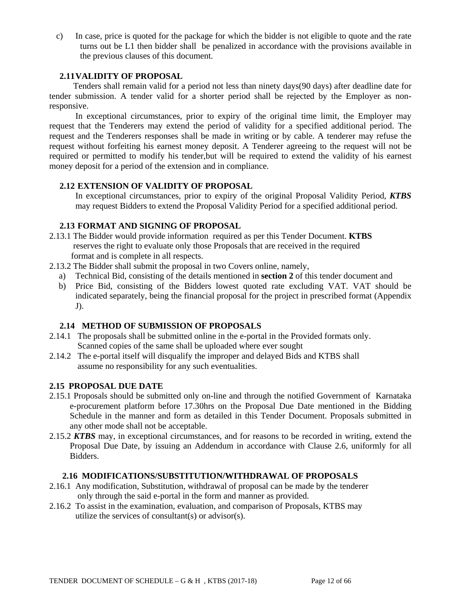c) In case, price is quoted for the package for which the bidder is not eligible to quote and the rate turns out be L1 then bidder shall be penalized in accordance with the provisions available in the previous clauses of this document.

## **2.11VALIDITY OF PROPOSAL**

 Tenders shall remain valid for a period not less than ninety days(90 days) after deadline date for tender submission. A tender valid for a shorter period shall be rejected by the Employer as nonresponsive.

 In exceptional circumstances, prior to expiry of the original time limit, the Employer may request that the Tenderers may extend the period of validity for a specified additional period. The request and the Tenderers responses shall be made in writing or by cable. A tenderer may refuse the request without forfeiting his earnest money deposit. A Tenderer agreeing to the request will not be required or permitted to modify his tender,but will be required to extend the validity of his earnest money deposit for a period of the extension and in compliance.

### **2.12 EXTENSION OF VALIDITY OF PROPOSAL**

In exceptional circumstances, prior to expiry of the original Proposal Validity Period, *KTBS* may request Bidders to extend the Proposal Validity Period for a specified additional period.

### **2.13 FORMAT AND SIGNING OF PROPOSAL**

- 2.13.1 The Bidder would provide information required as per this Tender Document. **KTBS**  reserves the right to evaluate only those Proposals that are received in the required format and is complete in all respects.
- 2.13.2 The Bidder shall submit the proposal in two Covers online, namely,
	- a) Technical Bid, consisting of the details mentioned in **section 2** of this tender document and
	- b) Price Bid, consisting of the Bidders lowest quoted rate excluding VAT. VAT should be indicated separately, being the financial proposal for the project in prescribed format (Appendix J).

## **2.14 METHOD OF SUBMISSION OF PROPOSALS**

- 2.14.1 The proposals shall be submitted online in the e-portal in the Provided formats only. Scanned copies of the same shall be uploaded where ever sought
- 2.14.2 The e-portal itself will disqualify the improper and delayed Bids and KTBS shall assume no responsibility for any such eventualities.

## **2.15 PROPOSAL DUE DATE**

- 2.15.1 Proposals should be submitted only on-line and through the notified Government of Karnataka e-procurement platform before 17.30hrs on the Proposal Due Date mentioned in the Bidding Schedule in the manner and form as detailed in this Tender Document. Proposals submitted in any other mode shall not be acceptable.
- 2.15.2 *KTBS* may, in exceptional circumstances, and for reasons to be recorded in writing, extend the Proposal Due Date, by issuing an Addendum in accordance with Clause 2.6, uniformly for all **Bidders**

#### **2.16 MODIFICATIONS/SUBSTITUTION/WITHDRAWAL OF PROPOSALS**

- 2.16.1 Any modification, Substitution, withdrawal of proposal can be made by the tenderer only through the said e-portal in the form and manner as provided.
- 2.16.2 To assist in the examination, evaluation, and comparison of Proposals, KTBS may utilize the services of consultant(s) or advisor(s).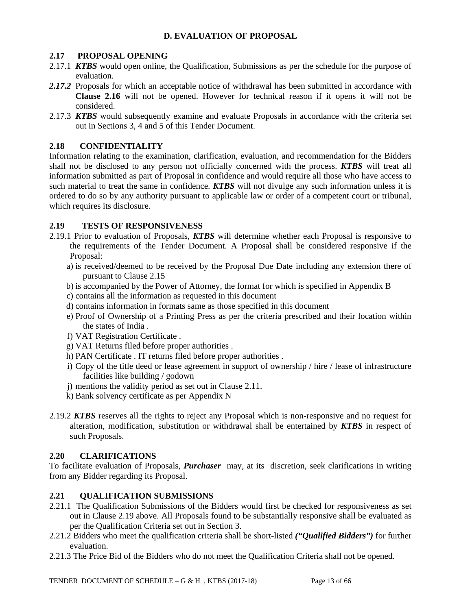## **D. EVALUATION OF PROPOSAL**

### **2.17 PROPOSAL OPENING**

- 2.17.1 *KTBS* would open online, the Qualification, Submissions as per the schedule for the purpose of evaluation.
- 2.17.2 Proposals for which an acceptable notice of withdrawal has been submitted in accordance with **Clause 2.16** will not be opened. However for technical reason if it opens it will not be considered.
- 2.17.3 *KTBS* would subsequently examine and evaluate Proposals in accordance with the criteria set out in Sections 3, 4 and 5 of this Tender Document.

## **2.18 CONFIDENTIALITY**

Information relating to the examination, clarification, evaluation, and recommendation for the Bidders shall not be disclosed to any person not officially concerned with the process. *KTBS* will treat all information submitted as part of Proposal in confidence and would require all those who have access to such material to treat the same in confidence. *KTBS* will not divulge any such information unless it is ordered to do so by any authority pursuant to applicable law or order of a competent court or tribunal, which requires its disclosure.

## **2.19 TESTS OF RESPONSIVENESS**

- 2.19.1 Prior to evaluation of Proposals, *KTBS* will determine whether each Proposal is responsive to the requirements of the Tender Document. A Proposal shall be considered responsive if the Proposal:
	- a) is received/deemed to be received by the Proposal Due Date including any extension there of pursuant to Clause 2.15
	- b) is accompanied by the Power of Attorney, the format for which is specified in Appendix B
	- c) contains all the information as requested in this document
	- d) contains information in formats same as those specified in this document
	- e) Proof of Ownership of a Printing Press as per the criteria prescribed and their location within the states of India .
	- f) VAT Registration Certificate .
	- g) VAT Returns filed before proper authorities .
	- h) PAN Certificate . IT returns filed before proper authorities .
	- i) Copy of the title deed or lease agreement in support of ownership / hire / lease of infrastructure facilities like building / godown
	- j) mentions the validity period as set out in Clause 2.11.
	- k) Bank solvency certificate as per Appendix N
- 2.19.2 *KTBS* reserves all the rights to reject any Proposal which is non-responsive and no request for alteration, modification, substitution or withdrawal shall be entertained by *KTBS* in respect of such Proposals.

## **2.20 CLARIFICATIONS**

To facilitate evaluation of Proposals, *Purchaser* may, at its discretion, seek clarifications in writing from any Bidder regarding its Proposal.

## **2.21 QUALIFICATION SUBMISSIONS**

- 2.21.1 The Qualification Submissions of the Bidders would first be checked for responsiveness as set out in Clause 2.19 above. All Proposals found to be substantially responsive shall be evaluated as per the Qualification Criteria set out in Section 3.
- 2.21.2 Bidders who meet the qualification criteria shall be short-listed *("Qualified Bidders")* for further evaluation.
- 2.21.3 The Price Bid of the Bidders who do not meet the Qualification Criteria shall not be opened.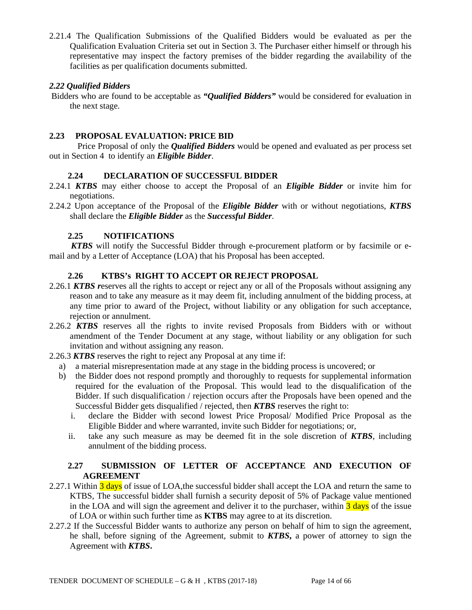2.21.4 The Qualification Submissions of the Qualified Bidders would be evaluated as per the Qualification Evaluation Criteria set out in Section 3. The Purchaser either himself or through his representative may inspect the factory premises of the bidder regarding the availability of the facilities as per qualification documents submitted.

## *2.22 Qualified Bidders*

 Bidders who are found to be acceptable as *"Qualified Bidders"* would be considered for evaluation in the next stage.

## **2.23 PROPOSAL EVALUATION: PRICE BID**

 Price Proposal of only the *Qualified Bidders* would be opened and evaluated as per process set out in Section 4 to identify an *Eligible Bidder*.

#### **2.24 DECLARATION OF SUCCESSFUL BIDDER**

- 2.24.1 *KTBS* may either choose to accept the Proposal of an *Eligible Bidder* or invite him for negotiations.
- 2.24.2 Upon acceptance of the Proposal of the *Eligible Bidder* with or without negotiations, *KTBS*  shall declare the *Eligible Bidder* as the *Successful Bidder*.

#### **2.25 NOTIFICATIONS**

 *KTBS* will notify the Successful Bidder through e-procurement platform or by facsimile or email and by a Letter of Acceptance (LOA) that his Proposal has been accepted.

#### **2.26 KTBS's RIGHT TO ACCEPT OR REJECT PROPOSAL**

- 2.26.1 *KTBS r*eserves all the rights to accept or reject any or all of the Proposals without assigning any reason and to take any measure as it may deem fit, including annulment of the bidding process, at any time prior to award of the Project, without liability or any obligation for such acceptance, rejection or annulment.
- 2.26.2 *KTBS* reserves all the rights to invite revised Proposals from Bidders with or without amendment of the Tender Document at any stage, without liability or any obligation for such invitation and without assigning any reason.
- 2.26.3 *KTBS* reserves the right to reject any Proposal at any time if:
	- a) a material misrepresentation made at any stage in the bidding process is uncovered; or
	- b) the Bidder does not respond promptly and thoroughly to requests for supplemental information required for the evaluation of the Proposal. This would lead to the disqualification of the Bidder. If such disqualification / rejection occurs after the Proposals have been opened and the Successful Bidder gets disqualified / rejected, then *KTBS* reserves the right to:
		- i. declare the Bidder with second lowest Price Proposal/ Modified Price Proposal as the Eligible Bidder and where warranted, invite such Bidder for negotiations; or,
		- ii. take any such measure as may be deemed fit in the sole discretion of *KTBS*, including annulment of the bidding process.

#### **2.27 SUBMISSION OF LETTER OF ACCEPTANCE AND EXECUTION OF AGREEMENT**

- 2.27.1 Within 3 days of issue of LOA, the successful bidder shall accept the LOA and return the same to KTBS, The successful bidder shall furnish a security deposit of 5% of Package value mentioned in the LOA and will sign the agreement and deliver it to the purchaser, within  $\frac{3}{3}$  days of the issue of LOA or within such further time as **KTBS** may agree to at its discretion.
- 2.27.2 If the Successful Bidder wants to authorize any person on behalf of him to sign the agreement, he shall, before signing of the Agreement, submit to *KTBS***,** a power of attorney to sign the Agreement with *KTBS***.**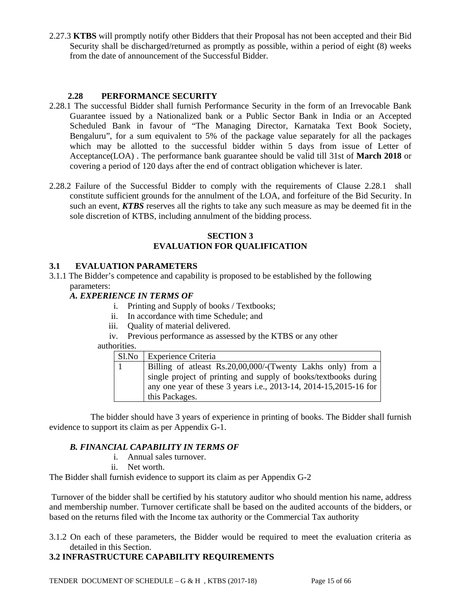2.27.3 **KTBS** will promptly notify other Bidders that their Proposal has not been accepted and their Bid Security shall be discharged/returned as promptly as possible, within a period of eight (8) weeks from the date of announcement of the Successful Bidder.

## **2.28 PERFORMANCE SECURITY**

- 2.28.1 The successful Bidder shall furnish Performance Security in the form of an Irrevocable Bank Guarantee issued by a Nationalized bank or a Public Sector Bank in India or an Accepted Scheduled Bank in favour of "The Managing Director, Karnataka Text Book Society, Bengaluru", for a sum equivalent to 5% of the package value separately for all the packages which may be allotted to the successful bidder within 5 days from issue of Letter of Acceptance(LOA) . The performance bank guarantee should be valid till 31st of **March 2018** or covering a period of 120 days after the end of contract obligation whichever is later.
- 2.28.2 Failure of the Successful Bidder to comply with the requirements of Clause 2.28.1 shall constitute sufficient grounds for the annulment of the LOA, and forfeiture of the Bid Security. In such an event, *KTBS* reserves all the rights to take any such measure as may be deemed fit in the sole discretion of KTBS, including annulment of the bidding process.

## **SECTION 3 EVALUATION FOR QUALIFICATION**

### **3.1 EVALUATION PARAMETERS**

3.1.1 The Bidder's competence and capability is proposed to be established by the following parameters:

### *A. EXPERIENCE IN TERMS OF*

- i. Printing and Supply of books / Textbooks;
- ii. In accordance with time Schedule; and
- iii. Quality of material delivered.
- iv. Previous performance as assessed by the KTBS or any other authorities.

| Sl.No | Experience Criteria                                               |
|-------|-------------------------------------------------------------------|
|       | Billing of atleast Rs.20,00,000/-(Twenty Lakhs only) from a       |
|       | single project of printing and supply of books/textbooks during   |
|       | any one year of these 3 years i.e., 2013-14, 2014-15, 2015-16 for |
|       | this Packages.                                                    |

 The bidder should have 3 years of experience in printing of books. The Bidder shall furnish evidence to support its claim as per Appendix G-1.

## *B. FINANCIAL CAPABILITY IN TERMS OF*

- i. Annual sales turnover.
- ii. Net worth.

The Bidder shall furnish evidence to support its claim as per Appendix G-2

 Turnover of the bidder shall be certified by his statutory auditor who should mention his name, address and membership number. Turnover certificate shall be based on the audited accounts of the bidders, or based on the returns filed with the Income tax authority or the Commercial Tax authority

3.1.2 On each of these parameters, the Bidder would be required to meet the evaluation criteria as detailed in this Section.

## **3.2 INFRASTRUCTURE CAPABILITY REQUIREMENTS**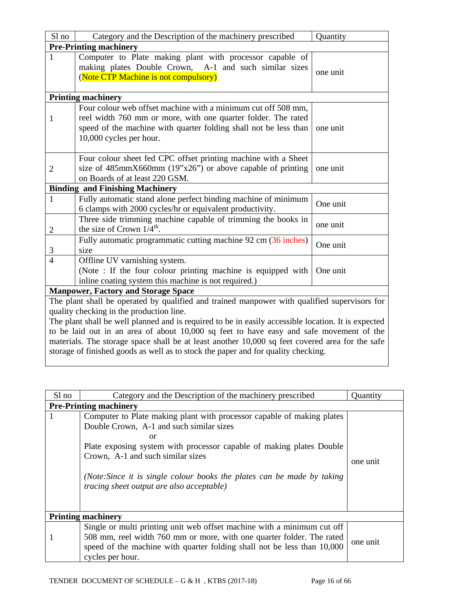| Sl no          | Category and the Description of the machinery prescribed                                                                                                                                                                                                                                                                                                                                                                                                                                                                           | Quantity |
|----------------|------------------------------------------------------------------------------------------------------------------------------------------------------------------------------------------------------------------------------------------------------------------------------------------------------------------------------------------------------------------------------------------------------------------------------------------------------------------------------------------------------------------------------------|----------|
|                | <b>Pre-Printing machinery</b>                                                                                                                                                                                                                                                                                                                                                                                                                                                                                                      |          |
| 1              | Computer to Plate making plant with processor capable of<br>making plates Double Crown, A-1 and such similar sizes<br>(Note CTP Machine is not compulsory)                                                                                                                                                                                                                                                                                                                                                                         | one unit |
|                | <b>Printing machinery</b>                                                                                                                                                                                                                                                                                                                                                                                                                                                                                                          |          |
| 1              | Four colour web offset machine with a minimum cut off 508 mm,<br>reel width 760 mm or more, with one quarter folder. The rated<br>speed of the machine with quarter folding shall not be less than<br>10,000 cycles per hour.                                                                                                                                                                                                                                                                                                      | one unit |
| $\overline{2}$ | Four colour sheet fed CPC offset printing machine with a Sheet<br>size of $485$ mmX660mm $(19"x26")$ or above capable of printing<br>on Boards of at least 220 GSM.                                                                                                                                                                                                                                                                                                                                                                | one unit |
|                | <b>Binding and Finishing Machinery</b>                                                                                                                                                                                                                                                                                                                                                                                                                                                                                             |          |
| $\mathbf{1}$   | Fully automatic stand alone perfect binding machine of minimum<br>6 clamps with 2000 cycles/hr or equivalent productivity.                                                                                                                                                                                                                                                                                                                                                                                                         | One unit |
| 2              | Three side trimming machine capable of trimming the books in<br>the size of Crown $1/4^{\text{th}}$ .                                                                                                                                                                                                                                                                                                                                                                                                                              | one unit |
| 3              | Fully automatic programmatic cutting machine 92 cm (36 inches)<br>size                                                                                                                                                                                                                                                                                                                                                                                                                                                             | One unit |
| $\overline{4}$ | Offline UV varnishing system.<br>(Note : If the four colour printing machine is equipped with<br>inline coating system this machine is not required.)                                                                                                                                                                                                                                                                                                                                                                              | One unit |
|                | <b>Manpower, Factory and Storage Space</b>                                                                                                                                                                                                                                                                                                                                                                                                                                                                                         |          |
|                | The plant shall be operated by qualified and trained manpower with qualified supervisors for<br>quality checking in the production line.<br>The plant shall be well planned and is required to be in easily accessible location. It is expected<br>to be laid out in an area of about 10,000 sq feet to have easy and safe movement of the<br>materials. The storage space shall be at least another 10,000 sq feet covered area for the safe<br>storage of finished goods as well as to stock the paper and for quality checking. |          |

| Sl no | Category and the Description of the machinery prescribed                                                                                                                                                                                                                                                                                                             | Quantity |
|-------|----------------------------------------------------------------------------------------------------------------------------------------------------------------------------------------------------------------------------------------------------------------------------------------------------------------------------------------------------------------------|----------|
|       | <b>Pre-Printing machinery</b>                                                                                                                                                                                                                                                                                                                                        |          |
|       | Computer to Plate making plant with processor capable of making plates<br>Double Crown, A-1 and such similar sizes<br>or<br>Plate exposing system with processor capable of making plates Double<br>Crown, A-1 and such similar sizes<br>(Note: Since it is single colour books the plates can be made by taking<br><i>tracing sheet output are also acceptable)</i> | one unit |
|       | <b>Printing machinery</b>                                                                                                                                                                                                                                                                                                                                            |          |
| 1     | Single or multi printing unit web offset machine with a minimum cut off<br>508 mm, reel width 760 mm or more, with one quarter folder. The rated<br>speed of the machine with quarter folding shall not be less than 10,000<br>cycles per hour.                                                                                                                      | one unit |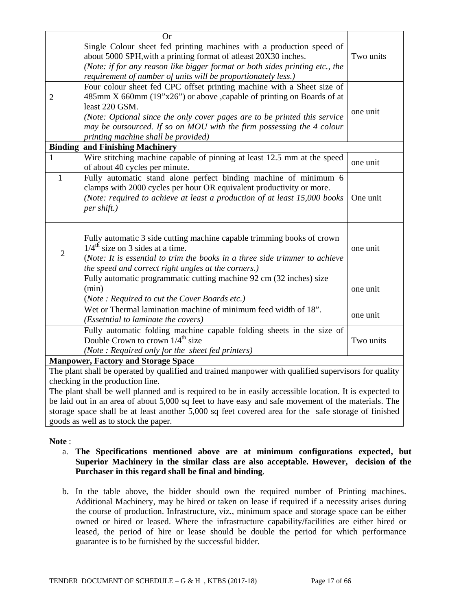|                | <b>Or</b>                                                                                                 |           |
|----------------|-----------------------------------------------------------------------------------------------------------|-----------|
|                | Single Colour sheet fed printing machines with a production speed of                                      |           |
|                | about 5000 SPH, with a printing format of atleast 20X30 inches.                                           | Two units |
|                | (Note: if for any reason like bigger format or both sides printing etc., the                              |           |
|                | requirement of number of units will be proportionately less.)                                             |           |
|                | Four colour sheet fed CPC offset printing machine with a Sheet size of                                    |           |
| $\overline{2}$ | 485mm X 660mm (19"x26") or above , capable of printing on Boards of at<br>least 220 GSM.                  | one unit  |
|                | (Note: Optional since the only cover pages are to be printed this service                                 |           |
|                | may be outsourced. If so on MOU with the firm possessing the 4 colour                                     |           |
|                | printing machine shall be provided)                                                                       |           |
|                | <b>Binding and Finishing Machinery</b>                                                                    |           |
| 1              | Wire stitching machine capable of pinning at least 12.5 mm at the speed<br>of about 40 cycles per minute. | one unit  |
| $\mathbf{1}$   | Fully automatic stand alone perfect binding machine of minimum 6                                          |           |
|                | clamps with 2000 cycles per hour OR equivalent productivity or more.                                      |           |
|                | (Note: required to achieve at least a production of at least 15,000 books                                 | One unit  |
|                | per shift.)                                                                                               |           |
|                |                                                                                                           |           |
|                |                                                                                                           |           |
|                | Fully automatic 3 side cutting machine capable trimming books of crown                                    |           |
| $\overline{2}$ | $1/4^{\text{th}}$ size on 3 sides at a time.                                                              | one unit  |
|                | (Note: It is essential to trim the books in a three side trimmer to achieve                               |           |
|                | the speed and correct right angles at the corners.)                                                       |           |
|                | Fully automatic programmatic cutting machine 92 cm (32 inches) size                                       |           |
|                | (min)                                                                                                     | one unit  |
|                | (Note: Required to cut the Cover Boards etc.)                                                             |           |
|                | Wet or Thermal lamination machine of minimum feed width of 18".                                           | one unit  |
|                | (Essetntial to laminate the covers)                                                                       |           |
|                | Fully automatic folding machine capable folding sheets in the size of                                     |           |
|                | Double Crown to crown $1/4^{\text{th}}$ size                                                              | Two units |
|                | (Note: Required only for the sheet fed printers)                                                          |           |
|                | <b>Manpower, Factory and Storage Space</b>                                                                |           |
|                | The plant shall be operated by qualified and trained manpower with qualified supervisors for quality      |           |
|                | checking in the production line.                                                                          |           |

The plant shall be well planned and is required to be in easily accessible location. It is expected to be laid out in an area of about 5,000 sq feet to have easy and safe movement of the materials. The storage space shall be at least another 5,000 sq feet covered area for the safe storage of finished goods as well as to stock the paper.

**Note** :

- a. **The Specifications mentioned above are at minimum configurations expected, but Superior Machinery in the similar class are also acceptable. However, decision of the Purchaser in this regard shall be final and binding**.
- b. In the table above, the bidder should own the required number of Printing machines. Additional Machinery, may be hired or taken on lease if required if a necessity arises during the course of production. Infrastructure, viz., minimum space and storage space can be either owned or hired or leased. Where the infrastructure capability/facilities are either hired or leased, the period of hire or lease should be double the period for which performance guarantee is to be furnished by the successful bidder.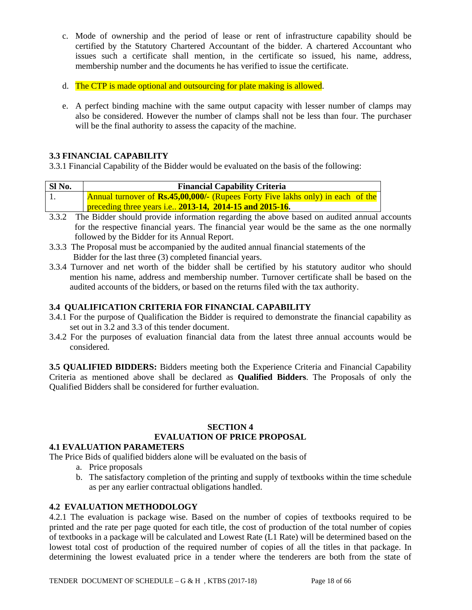- c. Mode of ownership and the period of lease or rent of infrastructure capability should be certified by the Statutory Chartered Accountant of the bidder. A chartered Accountant who issues such a certificate shall mention, in the certificate so issued, his name, address, membership number and the documents he has verified to issue the certificate.
- d. The CTP is made optional and outsourcing for plate making is allowed.
- e. A perfect binding machine with the same output capacity with lesser number of clamps may also be considered. However the number of clamps shall not be less than four. The purchaser will be the final authority to assess the capacity of the machine.

## **3.3 FINANCIAL CAPABILITY**

3.3.1 Financial Capability of the Bidder would be evaluated on the basis of the following:

| Sl No. | <b>Financial Capability Criteria</b>                                                   |  |
|--------|----------------------------------------------------------------------------------------|--|
|        | <b>Annual turnover of Rs.45,00,000/-</b> (Rupees Forty Five lakhs only) in each of the |  |
|        | preceding three years i.e., $2013-14$ , $2014-15$ and $2015-16$ .                      |  |

- 3.3.2 The Bidder should provide information regarding the above based on audited annual accounts for the respective financial years. The financial year would be the same as the one normally followed by the Bidder for its Annual Report.
- 3.3.3 The Proposal must be accompanied by the audited annual financial statements of the Bidder for the last three (3) completed financial years.
- 3.3.4 Turnover and net worth of the bidder shall be certified by his statutory auditor who should mention his name, address and membership number. Turnover certificate shall be based on the audited accounts of the bidders, or based on the returns filed with the tax authority.

## **3.4 QUALIFICATION CRITERIA FOR FINANCIAL CAPABILITY**

- 3.4.1 For the purpose of Qualification the Bidder is required to demonstrate the financial capability as set out in 3.2 and 3.3 of this tender document.
- 3.4.2 For the purposes of evaluation financial data from the latest three annual accounts would be considered.

**3.5 QUALIFIED BIDDERS:** Bidders meeting both the Experience Criteria and Financial Capability Criteria as mentioned above shall be declared as **Qualified Bidders**. The Proposals of only the Qualified Bidders shall be considered for further evaluation.

#### **SECTION 4**

#### **EVALUATION OF PRICE PROPOSAL**

#### **4.1 EVALUATION PARAMETERS**

The Price Bids of qualified bidders alone will be evaluated on the basis of

- a. Price proposals
- b. The satisfactory completion of the printing and supply of textbooks within the time schedule as per any earlier contractual obligations handled.

#### **4.2 EVALUATION METHODOLOGY**

4.2.1 The evaluation is package wise. Based on the number of copies of textbooks required to be printed and the rate per page quoted for each title, the cost of production of the total number of copies of textbooks in a package will be calculated and Lowest Rate (L1 Rate) will be determined based on the lowest total cost of production of the required number of copies of all the titles in that package. In determining the lowest evaluated price in a tender where the tenderers are both from the state of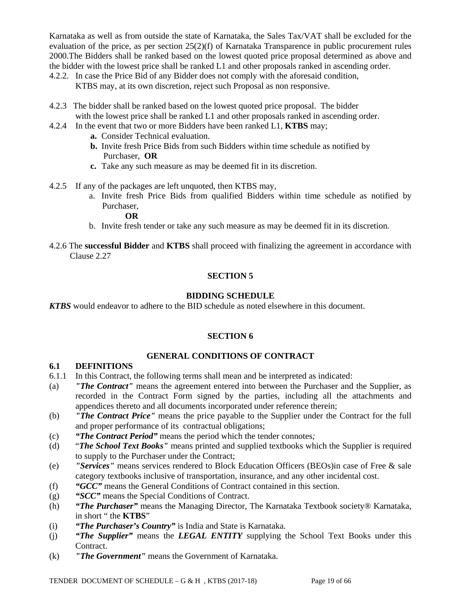Karnataka as well as from outside the state of Karnataka, the Sales Tax/VAT shall be excluded for the evaluation of the price, as per section 25(2)(f) of Karnataka Transparence in public procurement rules 2000.The Bidders shall be ranked based on the lowest quoted price proposal determined as above and the bidder with the lowest price shall be ranked L1 and other proposals ranked in ascending order.

- 4.2.2. In case the Price Bid of any Bidder does not comply with the aforesaid condition, KTBS may, at its own discretion, reject such Proposal as non responsive.
- 4.2.3 The bidder shall be ranked based on the lowest quoted price proposal. The bidder with the lowest price shall be ranked L1 and other proposals ranked in ascending order.
- 4.2.4 In the event that two or more Bidders have been ranked L1, **KTBS** may;
	- **a.** Consider Technical evaluation.
	- **b.** Invite fresh Price Bids from such Bidders within time schedule as notified by Purchaser, **OR**
	- **c.** Take any such measure as may be deemed fit in its discretion.
- 4.2.5 If any of the packages are left unquoted, then KTBS may,
	- a. Invite fresh Price Bids from qualified Bidders within time schedule as notified by Purchaser,
		- **OR**
	- b. Invite fresh tender or take any such measure as may be deemed fit in its discretion.
- 4.2.6 The **successful Bidder** and **KTBS** shall proceed with finalizing the agreement in accordance with Clause 2.27

### **SECTION 5**

### **BIDDING SCHEDULE**

*KTBS* would endeavor to adhere to the BID schedule as noted elsewhere in this document.

## **SECTION 6**

## **GENERAL CONDITIONS OF CONTRACT**

## **6.1 DEFINITIONS**

- 6.1.1 In this Contract, the following terms shall mean and be interpreted as indicated:
- (a) *"The Contract"* means the agreement entered into between the Purchaser and the Supplier, as recorded in the Contract Form signed by the parties, including all the attachments and appendices thereto and all documents incorporated under reference therein;
- (b) *"The Contract Price"* means the price payable to the Supplier under the Contract for the full and proper performance of its contractual obligations;
- (c) *"The Contract Period"* means the period which the tender connotes*;*
- (d) "*The School Text Books"* means printed and supplied textbooks which the Supplier is required to supply to the Purchaser under the Contract;
- (e) *"Services"* means services rendered to Block Education Officers (BEOs)in case of Free & sale category textbooks inclusive of transportation, insurance, and any other incidental cost.
- (f) *"GCC"* means the General Conditions of Contract contained in this section.
- (g) *"SCC"* means the Special Conditions of Contract.
- (h) *"The Purchaser"* means the Managing Director, The Karnataka Textbook society® Karnataka, in short " the **KTBS**"
- (i) *"The Purchaser's Country"* is India and State is Karnataka.
- (j) *"The Supplier"* means the *LEGAL ENTITY* supplying the School Text Books under this Contract.
- (k) *"The Government"* means the Government of Karnataka.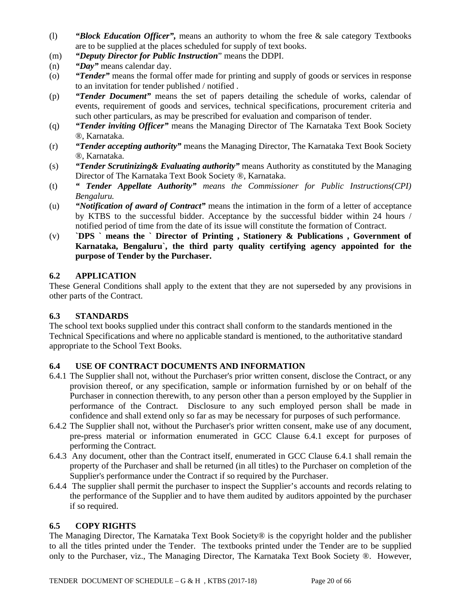- (l) *"Block Education Officer",* means an authority to whom the free & sale category Textbooks are to be supplied at the places scheduled for supply of text books.
- (m) *"Deputy Director for Public Instruction*" means the DDPI.
- (n) *"Day"* means calendar day.
- (o) *"Tender"* means the formal offer made for printing and supply of goods or services in response to an invitation for tender published / notified .
- (p) *"Tender Document"* means the set of papers detailing the schedule of works, calendar of events, requirement of goods and services, technical specifications, procurement criteria and such other particulars, as may be prescribed for evaluation and comparison of tender.
- (q) *"Tender inviting Officer"* means the Managing Director of The Karnataka Text Book Society ®, Karnataka.
- (r) *"Tender accepting authority"* means the Managing Director, The Karnataka Text Book Society ®, Karnataka.
- (s) *"Tender Scrutinizing& Evaluating authority"* means Authority as constituted by the Managing Director of The Karnataka Text Book Society ®, Karnataka.
- (t) *" Tender Appellate Authority" means the Commissioner for Public Instructions(CPI) Bengaluru.*
- (u) *"Notification of award of Contract"* means the intimation in the form of a letter of acceptance by KTBS to the successful bidder. Acceptance by the successful bidder within 24 hours / notified period of time from the date of its issue will constitute the formation of Contract.
- (v) **`DPS ` means the ` Director of Printing , Stationery & Publications , Government of Karnataka, Bengaluru`, the third party quality certifying agency appointed for the purpose of Tender by the Purchaser.**

## **6.2 APPLICATION**

These General Conditions shall apply to the extent that they are not superseded by any provisions in other parts of the Contract.

## **6.3 STANDARDS**

The school text books supplied under this contract shall conform to the standards mentioned in the Technical Specifications and where no applicable standard is mentioned, to the authoritative standard appropriate to the School Text Books.

## **6.4 USE OF CONTRACT DOCUMENTS AND INFORMATION**

- 6.4.1 The Supplier shall not, without the Purchaser's prior written consent, disclose the Contract, or any provision thereof, or any specification, sample or information furnished by or on behalf of the Purchaser in connection therewith, to any person other than a person employed by the Supplier in performance of the Contract. Disclosure to any such employed person shall be made in confidence and shall extend only so far as may be necessary for purposes of such performance.
- 6.4.2 The Supplier shall not, without the Purchaser's prior written consent, make use of any document, pre-press material or information enumerated in GCC Clause 6.4.1 except for purposes of performing the Contract.
- 6.4.3 Any document, other than the Contract itself, enumerated in GCC Clause 6.4.1 shall remain the property of the Purchaser and shall be returned (in all titles) to the Purchaser on completion of the Supplier's performance under the Contract if so required by the Purchaser.
- 6.4.4 The supplier shall permit the purchaser to inspect the Supplier's accounts and records relating to the performance of the Supplier and to have them audited by auditors appointed by the purchaser if so required.

#### **6.5 COPY RIGHTS**

The Managing Director, The Karnataka Text Book Society® is the copyright holder and the publisher to all the titles printed under the Tender. The textbooks printed under the Tender are to be supplied only to the Purchaser, viz., The Managing Director, The Karnataka Text Book Society ®. However,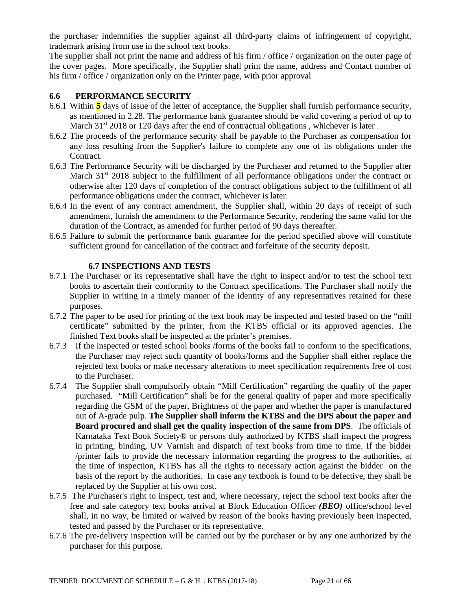the purchaser indemnifies the supplier against all third-party claims of infringement of copyright, trademark arising from use in the school text books.

The supplier shall not print the name and address of his firm / office / organization on the outer page of the cover pages. More specifically, the Supplier shall print the name, address and Contact number of his firm / office / organization only on the Printer page, with prior approval

## **6.6 PERFORMANCE SECURITY**

- 6.6.1 Within **5** days of issue of the letter of acceptance, the Supplier shall furnish performance security, as mentioned in 2.28. The performance bank guarantee should be valid covering a period of up to March  $31<sup>st</sup>$  2018 or 120 days after the end of contractual obligations, whichever is later.
- 6.6.2 The proceeds of the performance security shall be payable to the Purchaser as compensation for any loss resulting from the Supplier's failure to complete any one of its obligations under the Contract.
- 6.6.3 The Performance Security will be discharged by the Purchaser and returned to the Supplier after March  $31<sup>st</sup>$  2018 subject to the fulfillment of all performance obligations under the contract or otherwise after 120 days of completion of the contract obligations subject to the fulfillment of all performance obligations under the contract, whichever is later.
- 6.6.4 In the event of any contract amendment, the Supplier shall, within 20 days of receipt of such amendment, furnish the amendment to the Performance Security, rendering the same valid for the duration of the Contract, as amended for further period of 90 days thereafter.
- 6.6.5 Failure to submit the performance bank guarantee for the period specified above will constitute sufficient ground for cancellation of the contract and forfeiture of the security deposit.

### **6.7 INSPECTIONS AND TESTS**

- 6.7.1 The Purchaser or its representative shall have the right to inspect and/or to test the school text books to ascertain their conformity to the Contract specifications. The Purchaser shall notify the Supplier in writing in a timely manner of the identity of any representatives retained for these purposes.
- 6.7.2 The paper to be used for printing of the text book may be inspected and tested based on the "mill certificate" submitted by the printer, from the KTBS official or its approved agencies. The finished Text books shall be inspected at the printer's premises.
- 6.7.3 If the inspected or tested school books /forms of the books fail to conform to the specifications, the Purchaser may reject such quantity of books/forms and the Supplier shall either replace the rejected text books or make necessary alterations to meet specification requirements free of cost to the Purchaser.
- 6.7.4 The Supplier shall compulsorily obtain "Mill Certification" regarding the quality of the paper purchased. "Mill Certification" shall be for the general quality of paper and more specifically regarding the GSM of the paper, Brightness of the paper and whether the paper is manufactured out of A-grade pulp. **The Supplier shall inform the KTBS and the DPS about the paper and Board procured and shall get the quality inspection of the same from DPS**. The officials of Karnataka Text Book Society® or persons duly authorized by KTBS shall inspect the progress in printing, binding, UV Varnish and dispatch of text books from time to time. If the bidder /printer fails to provide the necessary information regarding the progress to the authorities, at the time of inspection, KTBS has all the rights to necessary action against the bidder on the basis of the report by the authorities. In case any textbook is found to be defective, they shall be replaced by the Supplier at his own cost.
- 6.7.5 The Purchaser's right to inspect, test and, where necessary, reject the school text books after the free and sale category text books arrival at Block Education Officer *(BEO)* office/school level shall, in no way, be limited or waived by reason of the books having previously been inspected, tested and passed by the Purchaser or its representative.
- 6.7.6 The pre-delivery inspection will be carried out by the purchaser or by any one authorized by the purchaser for this purpose.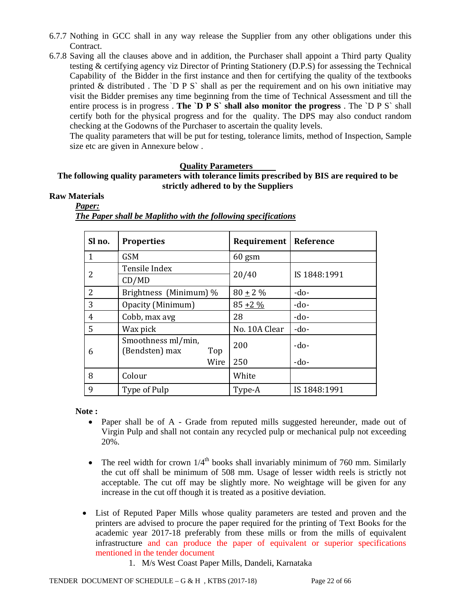- 6.7.7 Nothing in GCC shall in any way release the Supplier from any other obligations under this Contract.
- 6.7.8 Saving all the clauses above and in addition, the Purchaser shall appoint a Third party Quality testing & certifying agency viz Director of Printing Stationery (D.P.S) for assessing the Technical Capability of the Bidder in the first instance and then for certifying the quality of the textbooks printed & distributed. The  $\overline{D} P S$  shall as per the requirement and on his own initiative may visit the Bidder premises any time beginning from the time of Technical Assessment and till the entire process is in progress . **The `D P S` shall also monitor the progress** . The `D P S` shall certify both for the physical progress and for the quality. The DPS may also conduct random checking at the Godowns of the Purchaser to ascertain the quality levels.

The quality parameters that will be put for testing, tolerance limits, method of Inspection, Sample size etc are given in Annexure below .

#### **Quality Parameters**

## **The following quality parameters with tolerance limits prescribed by BIS are required to be strictly adhered to by the Suppliers**

#### **Raw Materials**

| Paper: |
|--------|
|--------|

| Sl no. | <b>Properties</b>                           | <b>Requirement</b> | Reference    |
|--------|---------------------------------------------|--------------------|--------------|
| 1      | <b>GSM</b>                                  | $60$ gsm           |              |
| 2      | Tensile Index                               | 20/40              | IS 1848:1991 |
|        | CD/MD                                       |                    |              |
| 2      | Brightness (Minimum) %                      | $80 \pm 2 \%$      | $-do-$       |
| 3      | Opacity (Minimum)                           | $85 + 2\%$         | $-do-$       |
| 4      | Cobb, max avg                               | 28                 | $-do-$       |
| 5      | Wax pick                                    | No. 10A Clear      | $-do-$       |
| 6      | Smoothness ml/min,<br>(Bendsten) max<br>Top | 200                | $-do-$       |
|        | Wire                                        | 250                | $-do-$       |
| 8      | Colour                                      | White              |              |
| 9      | Type of Pulp                                | Type-A             | IS 1848:1991 |

| The Paper shall be Maplitho with the following specifications |  |  |
|---------------------------------------------------------------|--|--|
|---------------------------------------------------------------|--|--|

**Note :** 

- Paper shall be of A Grade from reputed mills suggested hereunder, made out of Virgin Pulp and shall not contain any recycled pulp or mechanical pulp not exceeding 20%.
- The reel width for crown  $1/4^{\text{th}}$  books shall invariably minimum of 760 mm. Similarly the cut off shall be minimum of 508 mm. Usage of lesser width reels is strictly not acceptable. The cut off may be slightly more. No weightage will be given for any increase in the cut off though it is treated as a positive deviation.
- List of Reputed Paper Mills whose quality parameters are tested and proven and the printers are advised to procure the paper required for the printing of Text Books for the academic year 2017-18 preferably from these mills or from the mills of equivalent infrastructure and can produce the paper of equivalent or superior specifications mentioned in the tender document
	- 1. M/s West Coast Paper Mills, Dandeli, Karnataka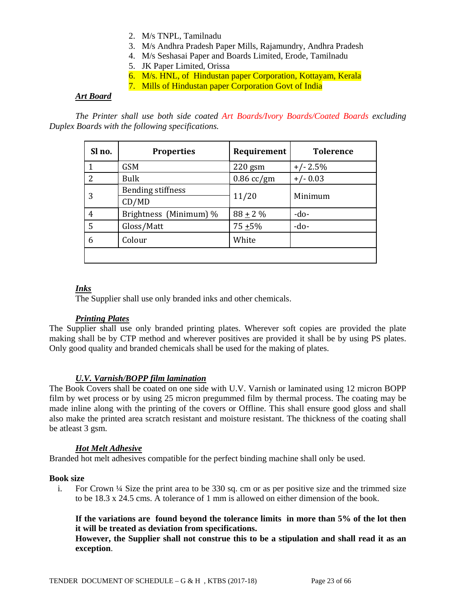- 2. M/s TNPL, Tamilnadu
- 3. M/s Andhra Pradesh Paper Mills, Rajamundry, Andhra Pradesh
- 4. M/s Seshasai Paper and Boards Limited, Erode, Tamilnadu
- 5. JK Paper Limited, Orissa
- 6. M/s. HNL, of Hindustan paper Corporation, Kottayam, Kerala
- 7. Mills of Hindustan paper Corporation Govt of India

### *Art Board*

*The Printer shall use both side coated Art Boards/Ivory Boards/Coated Boards excluding Duplex Boards with the following specifications.* 

| Sl no. | <b>Properties</b>        | Requirement  | <b>Tolerence</b> |
|--------|--------------------------|--------------|------------------|
|        | <b>GSM</b>               | $220$ gsm    | $+/- 2.5%$       |
| 2      | <b>Bulk</b>              | $0.86$ cc/gm | $+/- 0.03$       |
|        | <b>Bending stiffness</b> |              | Minimum          |
| 3      | CD/MD                    | 11/20        |                  |
| 4      | Brightness (Minimum) %   | $88 + 2\%$   | $-do-$           |
| 5      | Gloss/Matt               | $75 + 5\%$   | $-do-$           |
| 6      | Colour                   | White        |                  |
|        |                          |              |                  |

### *Inks*

The Supplier shall use only branded inks and other chemicals.

#### *Printing Plates*

The Supplier shall use only branded printing plates. Wherever soft copies are provided the plate making shall be by CTP method and wherever positives are provided it shall be by using PS plates. Only good quality and branded chemicals shall be used for the making of plates.

#### *U.V. Varnish/BOPP film lamination*

The Book Covers shall be coated on one side with U.V. Varnish or laminated using 12 micron BOPP film by wet process or by using 25 micron pregummed film by thermal process. The coating may be made inline along with the printing of the covers or Offline. This shall ensure good gloss and shall also make the printed area scratch resistant and moisture resistant. The thickness of the coating shall be atleast 3 gsm.

#### *Hot Melt Adhesive*

Branded hot melt adhesives compatible for the perfect binding machine shall only be used.

#### **Book size**

i. For Crown ¼ Size the print area to be 330 sq. cm or as per positive size and the trimmed size to be 18.3 x 24.5 cms. A tolerance of 1 mm is allowed on either dimension of the book.

## **If the variations are found beyond the tolerance limits in more than 5% of the lot then it will be treated as deviation from specifications.**

**However, the Supplier shall not construe this to be a stipulation and shall read it as an exception**.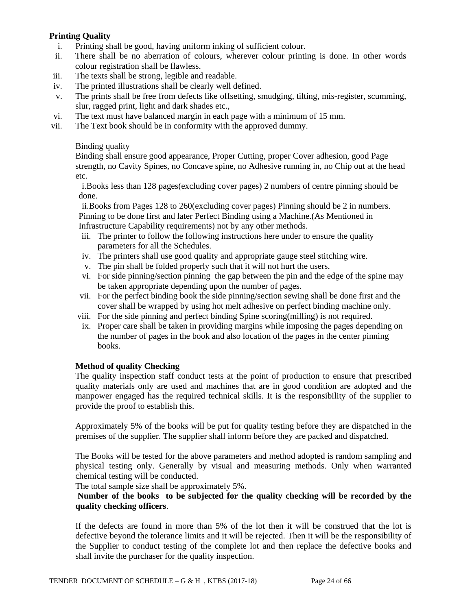## **Printing Quality**

- i. Printing shall be good, having uniform inking of sufficient colour.
- ii. There shall be no aberration of colours, wherever colour printing is done. In other words colour registration shall be flawless.
- iii. The texts shall be strong, legible and readable.
- iv. The printed illustrations shall be clearly well defined.
- v. The prints shall be free from defects like offsetting, smudging, tilting, mis-register, scumming, slur, ragged print, light and dark shades etc.,
- vi. The text must have balanced margin in each page with a minimum of 15 mm.
- vii. The Text book should be in conformity with the approved dummy.

### Binding quality

Binding shall ensure good appearance, Proper Cutting, proper Cover adhesion, good Page strength, no Cavity Spines, no Concave spine, no Adhesive running in, no Chip out at the head etc.

i.Books less than 128 pages(excluding cover pages) 2 numbers of centre pinning should be done.

ii.Books from Pages 128 to 260(excluding cover pages) Pinning should be 2 in numbers. Pinning to be done first and later Perfect Binding using a Machine.(As Mentioned in Infrastructure Capability requirements) not by any other methods.

- iii. The printer to follow the following instructions here under to ensure the quality parameters for all the Schedules.
- iv. The printers shall use good quality and appropriate gauge steel stitching wire.
- v. The pin shall be folded properly such that it will not hurt the users.
- vi. For side pinning/section pinning the gap between the pin and the edge of the spine may be taken appropriate depending upon the number of pages.
- vii. For the perfect binding book the side pinning/section sewing shall be done first and the cover shall be wrapped by using hot melt adhesive on perfect binding machine only.
- viii. For the side pinning and perfect binding Spine scoring(milling) is not required.
- ix. Proper care shall be taken in providing margins while imposing the pages depending on the number of pages in the book and also location of the pages in the center pinning books.

## **Method of quality Checking**

The quality inspection staff conduct tests at the point of production to ensure that prescribed quality materials only are used and machines that are in good condition are adopted and the manpower engaged has the required technical skills. It is the responsibility of the supplier to provide the proof to establish this.

Approximately 5% of the books will be put for quality testing before they are dispatched in the premises of the supplier. The supplier shall inform before they are packed and dispatched.

The Books will be tested for the above parameters and method adopted is random sampling and physical testing only. Generally by visual and measuring methods. Only when warranted chemical testing will be conducted.

The total sample size shall be approximately 5%.

### **Number of the books to be subjected for the quality checking will be recorded by the quality checking officers**.

If the defects are found in more than 5% of the lot then it will be construed that the lot is defective beyond the tolerance limits and it will be rejected. Then it will be the responsibility of the Supplier to conduct testing of the complete lot and then replace the defective books and shall invite the purchaser for the quality inspection.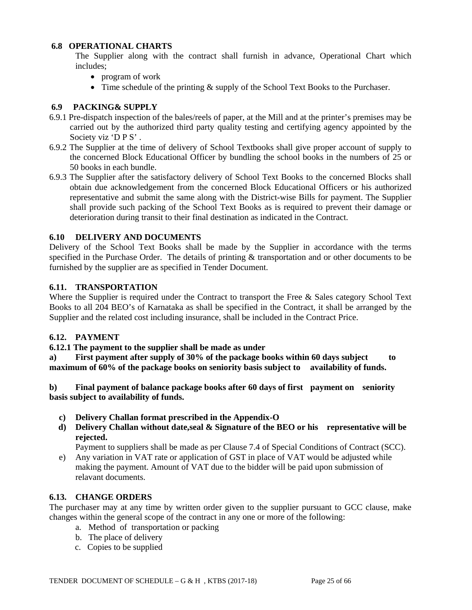#### **6.8 OPERATIONAL CHARTS**

The Supplier along with the contract shall furnish in advance, Operational Chart which includes;

- program of work
- Time schedule of the printing & supply of the School Text Books to the Purchaser.

### **6.9 PACKING& SUPPLY**

- 6.9.1 Pre-dispatch inspection of the bales/reels of paper, at the Mill and at the printer's premises may be carried out by the authorized third party quality testing and certifying agency appointed by the Society viz 'D P S'.
- 6.9.2 The Supplier at the time of delivery of School Textbooks shall give proper account of supply to the concerned Block Educational Officer by bundling the school books in the numbers of 25 or 50 books in each bundle.
- 6.9.3 The Supplier after the satisfactory delivery of School Text Books to the concerned Blocks shall obtain due acknowledgement from the concerned Block Educational Officers or his authorized representative and submit the same along with the District-wise Bills for payment. The Supplier shall provide such packing of the School Text Books as is required to prevent their damage or deterioration during transit to their final destination as indicated in the Contract.

## **6.10 DELIVERY AND DOCUMENTS**

Delivery of the School Text Books shall be made by the Supplier in accordance with the terms specified in the Purchase Order. The details of printing & transportation and or other documents to be furnished by the supplier are as specified in Tender Document.

### **6.11. TRANSPORTATION**

Where the Supplier is required under the Contract to transport the Free & Sales category School Text Books to all 204 BEO's of Karnataka as shall be specified in the Contract, it shall be arranged by the Supplier and the related cost including insurance, shall be included in the Contract Price.

#### **6.12. PAYMENT**

**6.12.1 The payment to the supplier shall be made as under** 

**a) First payment after supply of 30% of the package books within 60 days subject to maximum of 60% of the package books on seniority basis subject to availability of funds.** 

**b) Final payment of balance package books after 60 days of first payment on seniority basis subject to availability of funds.** 

- **c) Delivery Challan format prescribed in the Appendix-O**
- **d) Delivery Challan without date,seal & Signature of the BEO or his representative will be rejected.**

Payment to suppliers shall be made as per Clause 7.4 of Special Conditions of Contract (SCC).

e) Any variation in VAT rate or application of GST in place of VAT would be adjusted while making the payment. Amount of VAT due to the bidder will be paid upon submission of relavant documents.

#### **6.13. CHANGE ORDERS**

The purchaser may at any time by written order given to the supplier pursuant to GCC clause, make changes within the general scope of the contract in any one or more of the following:

- a. Method of transportation or packing
- b. The place of delivery
- c. Copies to be supplied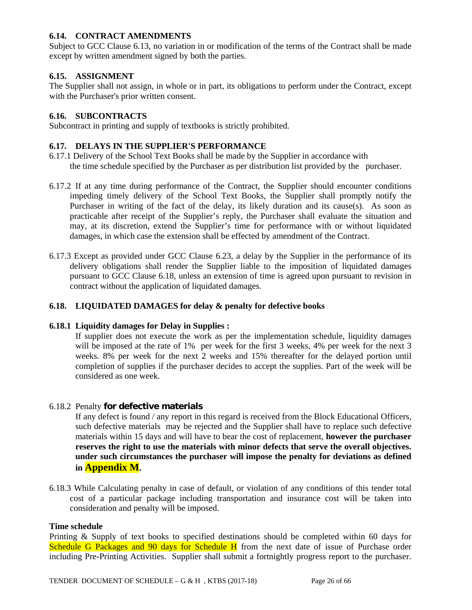## **6.14. CONTRACT AMENDMENTS**

Subject to GCC Clause 6.13, no variation in or modification of the terms of the Contract shall be made except by written amendment signed by both the parties.

## **6.15. ASSIGNMENT**

The Supplier shall not assign, in whole or in part, its obligations to perform under the Contract, except with the Purchaser's prior written consent.

## **6.16. SUBCONTRACTS**

Subcontract in printing and supply of textbooks is strictly prohibited.

## **6.17. DELAYS IN THE SUPPLIER'S PERFORMANCE**

- 6.17.1 Delivery of the School Text Books shall be made by the Supplier in accordance with the time schedule specified by the Purchaser as per distribution list provided by the purchaser.
- 6.17.2 If at any time during performance of the Contract, the Supplier should encounter conditions impeding timely delivery of the School Text Books, the Supplier shall promptly notify the Purchaser in writing of the fact of the delay, its likely duration and its cause(s). As soon as practicable after receipt of the Supplier's reply, the Purchaser shall evaluate the situation and may, at its discretion, extend the Supplier's time for performance with or without liquidated damages, in which case the extension shall be effected by amendment of the Contract.
- 6.17.3 Except as provided under GCC Clause 6.23, a delay by the Supplier in the performance of its delivery obligations shall render the Supplier liable to the imposition of liquidated damages pursuant to GCC Clause 6.18, unless an extension of time is agreed upon pursuant to revision in contract without the application of liquidated damages.

#### **6.18. LIQUIDATED DAMAGES for delay & penalty for defective books**

#### **6.18.1 Liquidity damages for Delay in Supplies :**

If supplier does not execute the work as per the implementation schedule, liquidity damages will be imposed at the rate of 1% per week for the first 3 weeks, 4% per week for the next 3 weeks. 8% per week for the next 2 weeks and 15% thereafter for the delayed portion until completion of supplies if the purchaser decides to accept the supplies. Part of the week will be considered as one week.

#### 6.18.2 Penalty **for defective materials**

If any defect is found / any report in this regard is received from the Block Educational Officers, such defective materials may be rejected and the Supplier shall have to replace such defective materials within 15 days and will have to bear the cost of replacement, **however the purchaser reserves the right to use the materials with minor defects that serve the overall objectives. under such circumstances the purchaser will impose the penalty for deviations as defined in Appendix M.** 

6.18.3 While Calculating penalty in case of default, or violation of any conditions of this tender total cost of a particular package including transportation and insurance cost will be taken into consideration and penalty will be imposed.

#### **Time schedule**

Printing & Supply of text books to specified destinations should be completed within 60 days for Schedule G Packages and 90 days for Schedule H from the next date of issue of Purchase order including Pre-Printing Activities. Supplier shall submit a fortnightly progress report to the purchaser.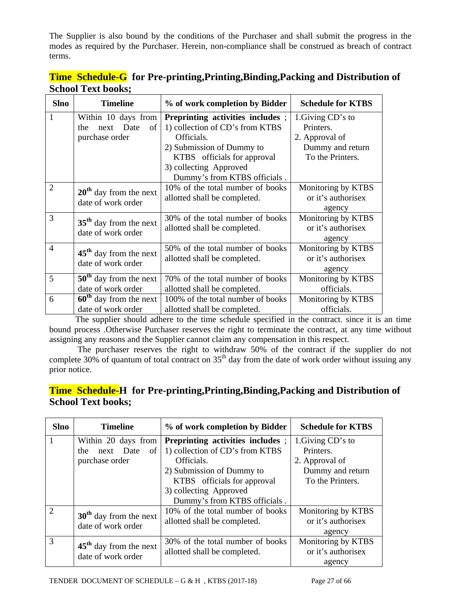The Supplier is also bound by the conditions of the Purchaser and shall submit the progress in the modes as required by the Purchaser. Herein, non-compliance shall be construed as breach of contract terms.

|                           | <b>Time Schedule-G</b> for Pre-printing, Printing, Binding, Packing and Distribution of |
|---------------------------|-----------------------------------------------------------------------------------------|
| <b>School Text books;</b> |                                                                                         |

| <b>Slno</b>    | <b>Timeline</b>          | % of work completion by Bidder    | <b>Schedule for KTBS</b> |
|----------------|--------------------------|-----------------------------------|--------------------------|
| 1              | Within 10 days from      | Preprinting activities includes;  | 1. Giving CD's to        |
|                | next Date<br>of<br>the   | 1) collection of CD's from KTBS   | Printers.                |
|                | purchase order           | Officials.                        | 2. Approval of           |
|                |                          | 2) Submission of Dummy to         | Dummy and return         |
|                |                          | KTBS officials for approval       | To the Printers.         |
|                |                          | 3) collecting Approved            |                          |
|                |                          | Dummy's from KTBS officials.      |                          |
| $\overline{2}$ | $20th$ day from the next | 10% of the total number of books  | Monitoring by KTBS       |
|                | date of work order       | allotted shall be completed.      | or it's authorisex       |
|                |                          |                                   | agency                   |
| 3              | $35th$ day from the next | 30% of the total number of books  | Monitoring by KTBS       |
|                | date of work order       | allotted shall be completed.      | or it's authorisex       |
|                |                          |                                   | agency                   |
| $\overline{4}$ | $45th$ day from the next | 50% of the total number of books  | Monitoring by KTBS       |
|                | date of work order       | allotted shall be completed.      | or it's authorisex       |
|                |                          |                                   | agency                   |
| 5              | $50th$ day from the next | 70% of the total number of books  | Monitoring by KTBS       |
|                | date of work order       | allotted shall be completed.      | officials.               |
| 6              | $60th$ day from the next | 100% of the total number of books | Monitoring by KTBS       |
|                | date of work order       | allotted shall be completed.      | officials.               |

 The supplier should adhere to the time schedule specified in the contract. since it is an time bound process .Otherwise Purchaser reserves the right to terminate the contract, at any time without assigning any reasons and the Supplier cannot claim any compensation in this respect.

 The purchaser reserves the right to withdraw 50% of the contract if the supplier do not complete 30% of quantum of total contract on  $35<sup>th</sup>$  day from the date of work order without issuing any prior notice.

# **Time Schedule-H for Pre-printing,Printing,Binding,Packing and Distribution of School Text books;**

| <b>Slno</b>                 | <b>Timeline</b>                                                 | % of work completion by Bidder                                                                                                                                           | <b>Schedule for KTBS</b>                                                                 |
|-----------------------------|-----------------------------------------------------------------|--------------------------------------------------------------------------------------------------------------------------------------------------------------------------|------------------------------------------------------------------------------------------|
|                             | Within 20 days from<br>next Date<br>οf<br>the<br>purchase order | Preprinting activities includes ;<br>1) collection of CD's from KTBS<br>Officials.<br>2) Submission of Dummy to<br>KTBS officials for approval<br>3) collecting Approved | 1. Giving CD's to<br>Printers.<br>2. Approval of<br>Dummy and return<br>To the Printers. |
| $\mathcal{D}_{\mathcal{L}}$ | $30th$ day from the next                                        | Dummy's from KTBS officials.<br>10% of the total number of books                                                                                                         | Monitoring by KTBS                                                                       |
|                             | date of work order                                              | allotted shall be completed.                                                                                                                                             | or it's authorisex<br>agency                                                             |
| 3                           | $45th$ day from the next<br>date of work order                  | 30% of the total number of books<br>allotted shall be completed.                                                                                                         | Monitoring by KTBS<br>or it's authorisex<br>agency                                       |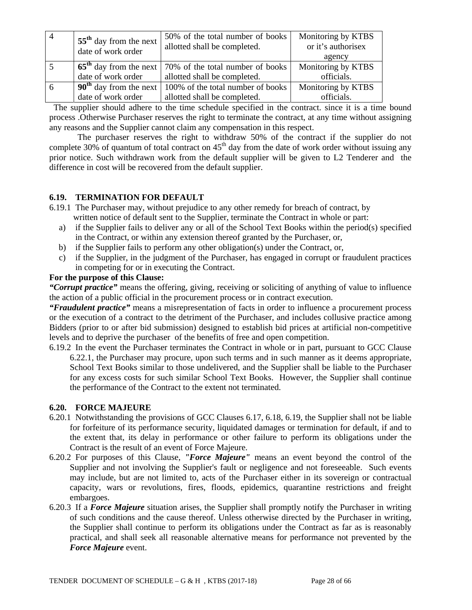|   | $55th$ day from the next<br>date of work order | 50% of the total number of books<br>allotted shall be completed. | Monitoring by KTBS<br>or it's authorisex |
|---|------------------------------------------------|------------------------------------------------------------------|------------------------------------------|
|   |                                                | $65th$ day from the next   70% of the total number of books      | agency<br>Monitoring by KTBS             |
|   | date of work order                             |                                                                  |                                          |
|   |                                                | allotted shall be completed.                                     | officials.                               |
| 6 | $90th$ day from the next                       | 100% of the total number of books                                | Monitoring by KTBS                       |
|   | date of work order                             | allotted shall be completed.                                     | officials.                               |

 The supplier should adhere to the time schedule specified in the contract. since it is a time bound process .Otherwise Purchaser reserves the right to terminate the contract, at any time without assigning any reasons and the Supplier cannot claim any compensation in this respect.

 The purchaser reserves the right to withdraw 50% of the contract if the supplier do not complete 30% of quantum of total contract on  $45<sup>th</sup>$  day from the date of work order without issuing any prior notice. Such withdrawn work from the default supplier will be given to L2 Tenderer and the difference in cost will be recovered from the default supplier.

### **6.19. TERMINATION FOR DEFAULT**

- 6.19.1 The Purchaser may, without prejudice to any other remedy for breach of contract, by written notice of default sent to the Supplier, terminate the Contract in whole or part:
	- a) if the Supplier fails to deliver any or all of the School Text Books within the period(s) specified in the Contract, or within any extension thereof granted by the Purchaser, or,
	- b) if the Supplier fails to perform any other obligation(s) under the Contract, or,
	- c) if the Supplier, in the judgment of the Purchaser, has engaged in corrupt or fraudulent practices in competing for or in executing the Contract.

## **For the purpose of this Clause:**

*"Corrupt practice"* means the offering, giving, receiving or soliciting of anything of value to influence the action of a public official in the procurement process or in contract execution.

*"Fraudulent practice"* means a misrepresentation of facts in order to influence a procurement process or the execution of a contract to the detriment of the Purchaser, and includes collusive practice among Bidders (prior to or after bid submission) designed to establish bid prices at artificial non-competitive levels and to deprive the purchaser of the benefits of free and open competition.

6.19.2 In the event the Purchaser terminates the Contract in whole or in part, pursuant to GCC Clause 6.22.1, the Purchaser may procure, upon such terms and in such manner as it deems appropriate, School Text Books similar to those undelivered, and the Supplier shall be liable to the Purchaser for any excess costs for such similar School Text Books. However, the Supplier shall continue the performance of the Contract to the extent not terminated.

#### **6.20. FORCE MAJEURE**

- 6.20.1 Notwithstanding the provisions of GCC Clauses 6.17, 6.18, 6.19, the Supplier shall not be liable for forfeiture of its performance security, liquidated damages or termination for default, if and to the extent that, its delay in performance or other failure to perform its obligations under the Contract is the result of an event of Force Majeure.
- 6.20.2 For purposes of this Clause, *"Force Majeure"* means an event beyond the control of the Supplier and not involving the Supplier's fault or negligence and not foreseeable. Such events may include, but are not limited to, acts of the Purchaser either in its sovereign or contractual capacity, wars or revolutions, fires, floods, epidemics, quarantine restrictions and freight embargoes.
- 6.20.3 If a *Force Majeure* situation arises, the Supplier shall promptly notify the Purchaser in writing of such conditions and the cause thereof. Unless otherwise directed by the Purchaser in writing, the Supplier shall continue to perform its obligations under the Contract as far as is reasonably practical, and shall seek all reasonable alternative means for performance not prevented by the *Force Majeure* event.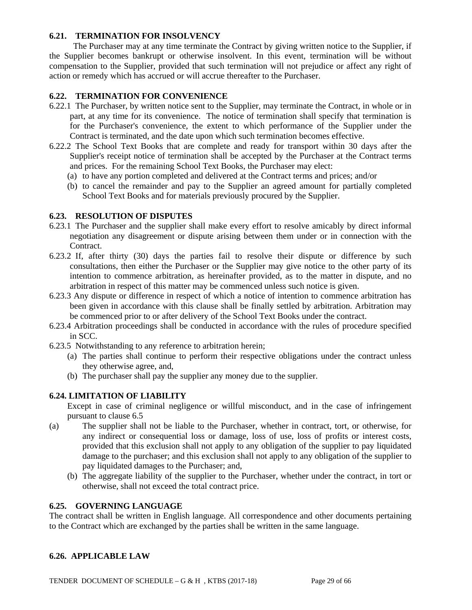## **6.21. TERMINATION FOR INSOLVENCY**

 The Purchaser may at any time terminate the Contract by giving written notice to the Supplier, if the Supplier becomes bankrupt or otherwise insolvent. In this event, termination will be without compensation to the Supplier, provided that such termination will not prejudice or affect any right of action or remedy which has accrued or will accrue thereafter to the Purchaser.

## **6.22. TERMINATION FOR CONVENIENCE**

- 6.22.1 The Purchaser, by written notice sent to the Supplier, may terminate the Contract, in whole or in part, at any time for its convenience. The notice of termination shall specify that termination is for the Purchaser's convenience, the extent to which performance of the Supplier under the Contract is terminated, and the date upon which such termination becomes effective.
- 6.22.2 The School Text Books that are complete and ready for transport within 30 days after the Supplier's receipt notice of termination shall be accepted by the Purchaser at the Contract terms and prices. For the remaining School Text Books, the Purchaser may elect:
	- (a) to have any portion completed and delivered at the Contract terms and prices; and/or
	- (b) to cancel the remainder and pay to the Supplier an agreed amount for partially completed School Text Books and for materials previously procured by the Supplier.

#### **6.23. RESOLUTION OF DISPUTES**

- 6.23.1 The Purchaser and the supplier shall make every effort to resolve amicably by direct informal negotiation any disagreement or dispute arising between them under or in connection with the Contract.
- 6.23.2 If, after thirty (30) days the parties fail to resolve their dispute or difference by such consultations, then either the Purchaser or the Supplier may give notice to the other party of its intention to commence arbitration, as hereinafter provided, as to the matter in dispute, and no arbitration in respect of this matter may be commenced unless such notice is given.
- 6.23.3 Any dispute or difference in respect of which a notice of intention to commence arbitration has been given in accordance with this clause shall be finally settled by arbitration. Arbitration may be commenced prior to or after delivery of the School Text Books under the contract.
- 6.23.4 Arbitration proceedings shall be conducted in accordance with the rules of procedure specified in SCC.
- 6.23.5 Notwithstanding to any reference to arbitration herein;
	- (a) The parties shall continue to perform their respective obligations under the contract unless they otherwise agree, and,
	- (b) The purchaser shall pay the supplier any money due to the supplier.

#### **6.24. LIMITATION OF LIABILITY**

Except in case of criminal negligence or willful misconduct, and in the case of infringement pursuant to clause 6.5

- (a) The supplier shall not be liable to the Purchaser, whether in contract, tort, or otherwise, for any indirect or consequential loss or damage, loss of use, loss of profits or interest costs, provided that this exclusion shall not apply to any obligation of the supplier to pay liquidated damage to the purchaser; and this exclusion shall not apply to any obligation of the supplier to pay liquidated damages to the Purchaser; and,
	- (b) The aggregate liability of the supplier to the Purchaser, whether under the contract, in tort or otherwise, shall not exceed the total contract price.

#### **6.25. GOVERNING LANGUAGE**

The contract shall be written in English language. All correspondence and other documents pertaining to the Contract which are exchanged by the parties shall be written in the same language.

#### **6.26. APPLICABLE LAW**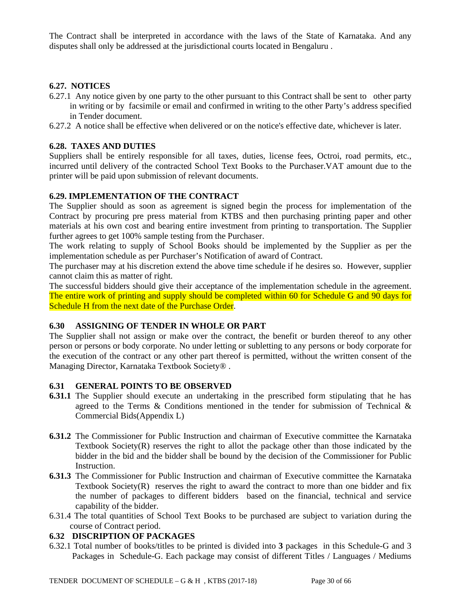The Contract shall be interpreted in accordance with the laws of the State of Karnataka. And any disputes shall only be addressed at the jurisdictional courts located in Bengaluru .

## **6.27. NOTICES**

- 6.27.1 Any notice given by one party to the other pursuant to this Contract shall be sent to other party in writing or by facsimile or email and confirmed in writing to the other Party's address specified in Tender document.
- 6.27.2 A notice shall be effective when delivered or on the notice's effective date, whichever is later.

### **6.28. TAXES AND DUTIES**

Suppliers shall be entirely responsible for all taxes, duties, license fees, Octroi, road permits, etc., incurred until delivery of the contracted School Text Books to the Purchaser.VAT amount due to the printer will be paid upon submission of relevant documents.

#### **6.29. IMPLEMENTATION OF THE CONTRACT**

The Supplier should as soon as agreement is signed begin the process for implementation of the Contract by procuring pre press material from KTBS and then purchasing printing paper and other materials at his own cost and bearing entire investment from printing to transportation. The Supplier further agrees to get 100% sample testing from the Purchaser.

The work relating to supply of School Books should be implemented by the Supplier as per the implementation schedule as per Purchaser's Notification of award of Contract.

The purchaser may at his discretion extend the above time schedule if he desires so. However, supplier cannot claim this as matter of right.

The successful bidders should give their acceptance of the implementation schedule in the agreement. The entire work of printing and supply should be completed within 60 for Schedule G and 90 days for Schedule H from the next date of the Purchase Order.

#### **6.30 ASSIGNING OF TENDER IN WHOLE OR PART**

The Supplier shall not assign or make over the contract, the benefit or burden thereof to any other person or persons or body corporate. No under letting or subletting to any persons or body corporate for the execution of the contract or any other part thereof is permitted, without the written consent of the Managing Director, Karnataka Textbook Society® .

#### **6.31 GENERAL POINTS TO BE OBSERVED**

- **6.31.1** The Supplier should execute an undertaking in the prescribed form stipulating that he has agreed to the Terms  $\&$  Conditions mentioned in the tender for submission of Technical  $\&$ Commercial Bids(Appendix L)
- **6.31.2** The Commissioner for Public Instruction and chairman of Executive committee the Karnataka Textbook Society( $R$ ) reserves the right to allot the package other than those indicated by the bidder in the bid and the bidder shall be bound by the decision of the Commissioner for Public Instruction.
- **6.31.3** The Commissioner for Public Instruction and chairman of Executive committee the Karnataka Textbook Society $(R)$  reserves the right to award the contract to more than one bidder and fix the number of packages to different bidders based on the financial, technical and service capability of the bidder.
- 6.31.4 The total quantities of School Text Books to be purchased are subject to variation during the course of Contract period.

#### **6.32 DISCRIPTION OF PACKAGES**

6.32.1 Total number of books/titles to be printed is divided into **3** packages in this Schedule-G and 3 Packages in Schedule-G. Each package may consist of different Titles / Languages / Mediums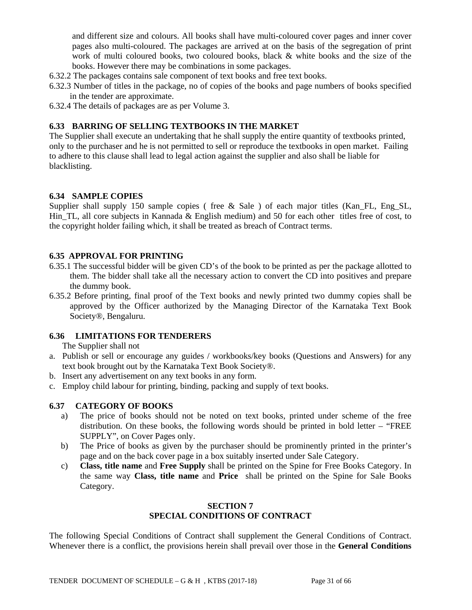and different size and colours. All books shall have multi-coloured cover pages and inner cover pages also multi-coloured. The packages are arrived at on the basis of the segregation of print work of multi coloured books, two coloured books, black & white books and the size of the books. However there may be combinations in some packages.

- 6.32.2 The packages contains sale component of text books and free text books.
- 6.32.3 Number of titles in the package, no of copies of the books and page numbers of books specified in the tender are approximate.
- 6.32.4 The details of packages are as per Volume 3.

#### **6.33 BARRING OF SELLING TEXTBOOKS IN THE MARKET**

The Supplier shall execute an undertaking that he shall supply the entire quantity of textbooks printed, only to the purchaser and he is not permitted to sell or reproduce the textbooks in open market. Failing to adhere to this clause shall lead to legal action against the supplier and also shall be liable for blacklisting.

#### **6.34 SAMPLE COPIES**

Supplier shall supply 150 sample copies ( free & Sale ) of each major titles (Kan\_FL, Eng\_SL, Hin\_TL, all core subjects in Kannada & English medium) and 50 for each other titles free of cost, to the copyright holder failing which, it shall be treated as breach of Contract terms.

### **6.35 APPROVAL FOR PRINTING**

- 6.35.1 The successful bidder will be given CD's of the book to be printed as per the package allotted to them. The bidder shall take all the necessary action to convert the CD into positives and prepare the dummy book.
- 6.35.2 Before printing, final proof of the Text books and newly printed two dummy copies shall be approved by the Officer authorized by the Managing Director of the Karnataka Text Book Society®, Bengaluru.

#### **6.36 LIMITATIONS FOR TENDERERS**

The Supplier shall not

- a. Publish or sell or encourage any guides / workbooks/key books (Questions and Answers) for any text book brought out by the Karnataka Text Book Society®.
- b. Insert any advertisement on any text books in any form.
- c. Employ child labour for printing, binding, packing and supply of text books.

#### **6.37 CATEGORY OF BOOKS**

- a) The price of books should not be noted on text books, printed under scheme of the free distribution. On these books, the following words should be printed in bold letter – "FREE SUPPLY", on Cover Pages only.
- b) The Price of books as given by the purchaser should be prominently printed in the printer's page and on the back cover page in a box suitably inserted under Sale Category.
- c) **Class, title name** and **Free Supply** shall be printed on the Spine for Free Books Category. In the same way **Class, title name** and **Price** shall be printed on the Spine for Sale Books Category.

#### **SECTION 7 SPECIAL CONDITIONS OF CONTRACT**

The following Special Conditions of Contract shall supplement the General Conditions of Contract. Whenever there is a conflict, the provisions herein shall prevail over those in the **General Conditions**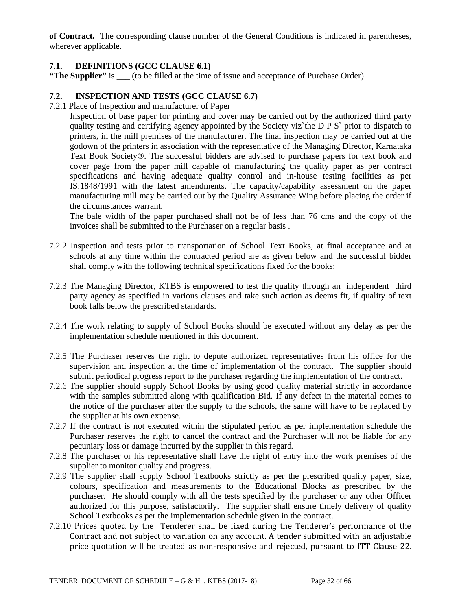**of Contract.** The corresponding clause number of the General Conditions is indicated in parentheses, wherever applicable.

## **7.1. DEFINITIONS (GCC CLAUSE 6.1)**

**"The Supplier"** is \_\_\_ (to be filled at the time of issue and acceptance of Purchase Order)

## **7.2. INSPECTION AND TESTS (GCC CLAUSE 6.7)**

7.2.1 Place of Inspection and manufacturer of Paper

Inspection of base paper for printing and cover may be carried out by the authorized third party quality testing and certifying agency appointed by the Society viz`the D P S` prior to dispatch to printers, in the mill premises of the manufacturer. The final inspection may be carried out at the godown of the printers in association with the representative of the Managing Director, Karnataka Text Book Society®. The successful bidders are advised to purchase papers for text book and cover page from the paper mill capable of manufacturing the quality paper as per contract specifications and having adequate quality control and in-house testing facilities as per IS:1848/1991 with the latest amendments. The capacity/capability assessment on the paper manufacturing mill may be carried out by the Quality Assurance Wing before placing the order if the circumstances warrant.

The bale width of the paper purchased shall not be of less than 76 cms and the copy of the invoices shall be submitted to the Purchaser on a regular basis .

- 7.2.2 Inspection and tests prior to transportation of School Text Books, at final acceptance and at schools at any time within the contracted period are as given below and the successful bidder shall comply with the following technical specifications fixed for the books:
- 7.2.3 The Managing Director, KTBS is empowered to test the quality through an independent third party agency as specified in various clauses and take such action as deems fit, if quality of text book falls below the prescribed standards.
- 7.2.4 The work relating to supply of School Books should be executed without any delay as per the implementation schedule mentioned in this document.
- 7.2.5 The Purchaser reserves the right to depute authorized representatives from his office for the supervision and inspection at the time of implementation of the contract. The supplier should submit periodical progress report to the purchaser regarding the implementation of the contract.
- 7.2.6 The supplier should supply School Books by using good quality material strictly in accordance with the samples submitted along with qualification Bid. If any defect in the material comes to the notice of the purchaser after the supply to the schools, the same will have to be replaced by the supplier at his own expense.
- 7.2.7 If the contract is not executed within the stipulated period as per implementation schedule the Purchaser reserves the right to cancel the contract and the Purchaser will not be liable for any pecuniary loss or damage incurred by the supplier in this regard.
- 7.2.8 The purchaser or his representative shall have the right of entry into the work premises of the supplier to monitor quality and progress.
- 7.2.9 The supplier shall supply School Textbooks strictly as per the prescribed quality paper, size, colours, specification and measurements to the Educational Blocks as prescribed by the purchaser. He should comply with all the tests specified by the purchaser or any other Officer authorized for this purpose, satisfactorily. The supplier shall ensure timely delivery of quality School Textbooks as per the implementation schedule given in the contract.
- 7.2.10 Prices quoted by the Tenderer shall be fixed during the Tenderer's performance of the Contract and not subject to variation on any account. A tender submitted with an adjustable price quotation will be treated as non-responsive and rejected, pursuant to ITT Clause 22.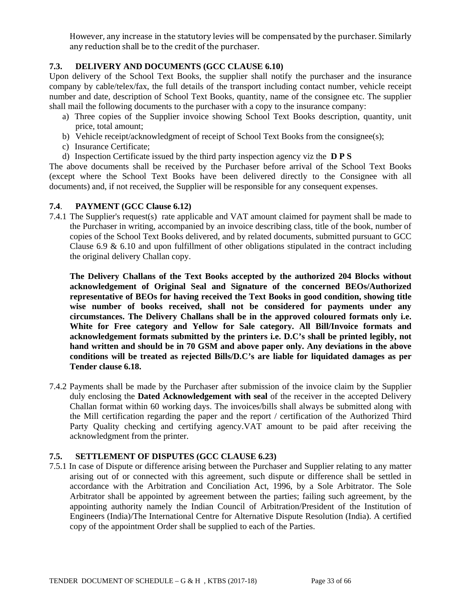However, any increase in the statutory levies will be compensated by the purchaser. Similarly any reduction shall be to the credit of the purchaser.

## **7.3. DELIVERY AND DOCUMENTS (GCC CLAUSE 6.10)**

Upon delivery of the School Text Books, the supplier shall notify the purchaser and the insurance company by cable/telex/fax, the full details of the transport including contact number, vehicle receipt number and date, description of School Text Books, quantity, name of the consignee etc. The supplier shall mail the following documents to the purchaser with a copy to the insurance company:

- a) Three copies of the Supplier invoice showing School Text Books description, quantity, unit price, total amount;
- b) Vehicle receipt/acknowledgment of receipt of School Text Books from the consignee(s);
- c) Insurance Certificate;
- d) Inspection Certificate issued by the third party inspection agency viz the **D P S**

The above documents shall be received by the Purchaser before arrival of the School Text Books (except where the School Text Books have been delivered directly to the Consignee with all documents) and, if not received, the Supplier will be responsible for any consequent expenses.

#### **7.4**. **PAYMENT (GCC Clause 6.12)**

7.4.1 The Supplier's request(s) rate applicable and VAT amount claimed for payment shall be made to the Purchaser in writing, accompanied by an invoice describing class, title of the book, number of copies of the School Text Books delivered, and by related documents, submitted pursuant to GCC Clause  $6.9 \& 6.10$  and upon fulfillment of other obligations stipulated in the contract including the original delivery Challan copy.

**The Delivery Challans of the Text Books accepted by the authorized 204 Blocks without acknowledgement of Original Seal and Signature of the concerned BEOs/Authorized representative of BEOs for having received the Text Books in good condition, showing title wise number of books received, shall not be considered for payments under any circumstances. The Delivery Challans shall be in the approved coloured formats only i.e. White for Free category and Yellow for Sale category. All Bill/Invoice formats and acknowledgement formats submitted by the printers i.e. D.C's shall be printed legibly, not hand written and should be in 70 GSM and above paper only. Any deviations in the above conditions will be treated as rejected Bills/D.C's are liable for liquidated damages as per Tender clause 6.18.** 

7.4.2 Payments shall be made by the Purchaser after submission of the invoice claim by the Supplier duly enclosing the **Dated Acknowledgement with seal** of the receiver in the accepted Delivery Challan format within 60 working days. The invoices/bills shall always be submitted along with the Mill certification regarding the paper and the report / certification of the Authorized Third Party Quality checking and certifying agency.VAT amount to be paid after receiving the acknowledgment from the printer.

#### **7.5. SETTLEMENT OF DISPUTES (GCC CLAUSE 6.23)**

7.5.1 In case of Dispute or difference arising between the Purchaser and Supplier relating to any matter arising out of or connected with this agreement, such dispute or difference shall be settled in accordance with the Arbitration and Conciliation Act, 1996, by a Sole Arbitrator. The Sole Arbitrator shall be appointed by agreement between the parties; failing such agreement, by the appointing authority namely the Indian Council of Arbitration/President of the Institution of Engineers (India)/The International Centre for Alternative Dispute Resolution (India). A certified copy of the appointment Order shall be supplied to each of the Parties.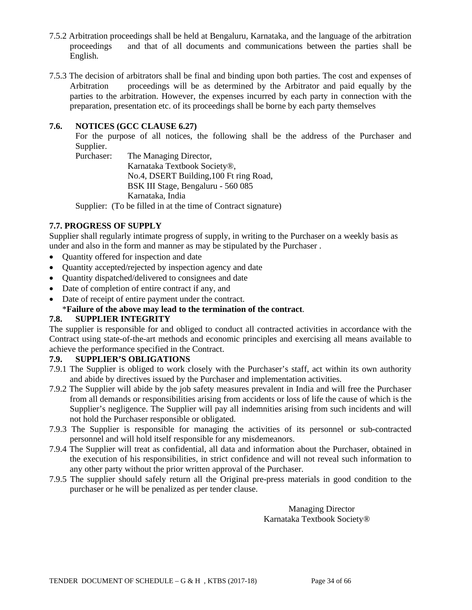- 7.5.2 Arbitration proceedings shall be held at Bengaluru, Karnataka, and the language of the arbitration proceedings and that of all documents and communications between the parties shall be English.
- 7.5.3 The decision of arbitrators shall be final and binding upon both parties. The cost and expenses of Arbitration proceedings will be as determined by the Arbitrator and paid equally by the parties to the arbitration. However, the expenses incurred by each party in connection with the preparation, presentation etc. of its proceedings shall be borne by each party themselves

## **7.6. NOTICES (GCC CLAUSE 6.27)**

 For the purpose of all notices, the following shall be the address of the Purchaser and Supplier.

 Purchaser: The Managing Director, Karnataka Textbook Society®, No.4, DSERT Building,100 Ft ring Road, BSK III Stage, Bengaluru - 560 085 Karnataka, India

Supplier: (To be filled in at the time of Contract signature)

## **7.7. PROGRESS OF SUPPLY**

Supplier shall regularly intimate progress of supply, in writing to the Purchaser on a weekly basis as under and also in the form and manner as may be stipulated by the Purchaser .

- Ouantity offered for inspection and date
- Quantity accepted/rejected by inspection agency and date
- Quantity dispatched/delivered to consignees and date
- Date of completion of entire contract if any, and
- Date of receipt of entire payment under the contract.

#### \***Failure of the above may lead to the termination of the contract**.

#### **7.8. SUPPLIER INTEGRITY**

The supplier is responsible for and obliged to conduct all contracted activities in accordance with the Contract using state-of-the-art methods and economic principles and exercising all means available to achieve the performance specified in the Contract.

#### **7.9. SUPPLIER'S OBLIGATIONS**

- 7.9.1 The Supplier is obliged to work closely with the Purchaser's staff, act within its own authority and abide by directives issued by the Purchaser and implementation activities.
- 7.9.2 The Supplier will abide by the job safety measures prevalent in India and will free the Purchaser from all demands or responsibilities arising from accidents or loss of life the cause of which is the Supplier's negligence. The Supplier will pay all indemnities arising from such incidents and will not hold the Purchaser responsible or obligated.
- 7.9.3 The Supplier is responsible for managing the activities of its personnel or sub-contracted personnel and will hold itself responsible for any misdemeanors.
- 7.9.4 The Supplier will treat as confidential, all data and information about the Purchaser, obtained in the execution of his responsibilities, in strict confidence and will not reveal such information to any other party without the prior written approval of the Purchaser.
- 7.9.5 The supplier should safely return all the Original pre-press materials in good condition to the purchaser or he will be penalized as per tender clause.

Managing Director Karnataka Textbook Society®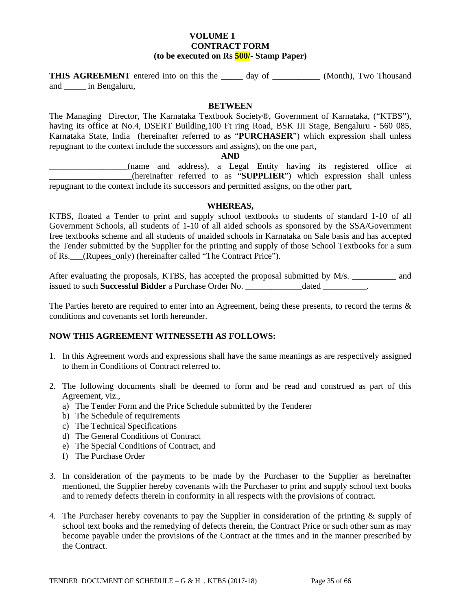#### **VOLUME 1 CONTRACT FORM (to be executed on Rs 500/- Stamp Paper)**

**THIS AGREEMENT** entered into on this the <u>equal day of equal controllation</u> (Month), Two Thousand and \_\_\_\_\_ in Bengaluru,

#### **BETWEEN**

The Managing Director, The Karnataka Textbook Society®, Government of Karnataka, ("KTBS"), having its office at No.4, DSERT Building, 100 Ft ring Road, BSK III Stage, Bengaluru - 560 085, Karnataka State, India (hereinafter referred to as "**PURCHASER**") which expression shall unless repugnant to the context include the successors and assigns), on the one part,

#### **AND**

\_\_\_\_\_\_\_\_\_\_\_\_\_\_\_\_\_\_(name and address), a Legal Entity having its registered office at \_\_\_\_\_\_\_\_\_\_\_\_\_\_\_\_\_\_\_(hereinafter referred to as "**SUPPLIER**") which expression shall unless repugnant to the context include its successors and permitted assigns, on the other part,

#### **WHEREAS,**

KTBS, floated a Tender to print and supply school textbooks to students of standard 1-10 of all Government Schools, all students of 1-10 of all aided schools as sponsored by the SSA/Government free textbooks scheme and all students of unaided schools in Karnataka on Sale basis and has accepted the Tender submitted by the Supplier for the printing and supply of those School Textbooks for a sum of Rs.\_\_\_(Rupees\_only) (hereinafter called "The Contract Price").

After evaluating the proposals, KTBS, has accepted the proposal submitted by M/s. \_\_\_\_\_\_\_\_\_\_ and issued to such **Successful Bidder** a Purchase Order No. \_\_\_\_\_\_\_\_\_\_\_\_\_dated \_\_\_\_\_\_\_\_\_\_.

The Parties hereto are required to enter into an Agreement, being these presents, to record the terms & conditions and covenants set forth hereunder.

#### **NOW THIS AGREEMENT WITNESSETH AS FOLLOWS:**

- 1. In this Agreement words and expressions shall have the same meanings as are respectively assigned to them in Conditions of Contract referred to.
- 2. The following documents shall be deemed to form and be read and construed as part of this Agreement, viz.,
	- a) The Tender Form and the Price Schedule submitted by the Tenderer
	- b) The Schedule of requirements
	- c) The Technical Specifications
	- d) The General Conditions of Contract
	- e) The Special Conditions of Contract, and
	- f) The Purchase Order
- 3. In consideration of the payments to be made by the Purchaser to the Supplier as hereinafter mentioned, the Supplier hereby covenants with the Purchaser to print and supply school text books and to remedy defects therein in conformity in all respects with the provisions of contract.
- 4. The Purchaser hereby covenants to pay the Supplier in consideration of the printing & supply of school text books and the remedying of defects therein, the Contract Price or such other sum as may become payable under the provisions of the Contract at the times and in the manner prescribed by the Contract.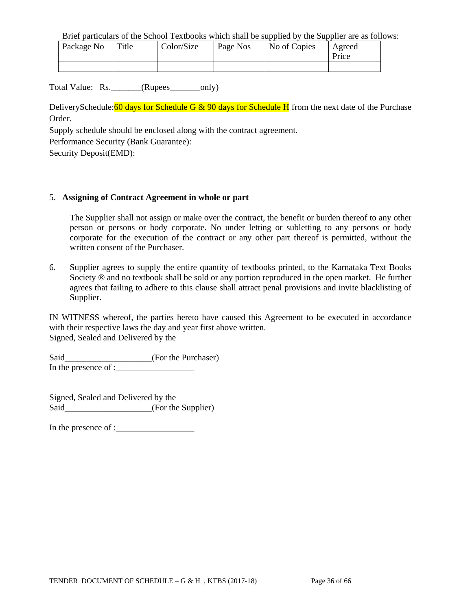Brief particulars of the School Textbooks which shall be supplied by the Supplier are as follows:

| Package No | Title | Color/Size | Page Nos | No of Copies | Agreed<br>Price |
|------------|-------|------------|----------|--------------|-----------------|
|            |       |            |          |              |                 |

Total Value: Rs. \_\_\_\_\_\_\_(Rupees\_\_\_\_\_\_\_only)

DeliverySchedule: 60 days for Schedule G & 90 days for Schedule H from the next date of the Purchase Order.

Supply schedule should be enclosed along with the contract agreement.

Performance Security (Bank Guarantee):

Security Deposit(EMD):

#### 5. **Assigning of Contract Agreement in whole or part**

The Supplier shall not assign or make over the contract, the benefit or burden thereof to any other person or persons or body corporate. No under letting or subletting to any persons or body corporate for the execution of the contract or any other part thereof is permitted, without the written consent of the Purchaser.

6. Supplier agrees to supply the entire quantity of textbooks printed, to the Karnataka Text Books Society  $\otimes$  and no textbook shall be sold or any portion reproduced in the open market. He further agrees that failing to adhere to this clause shall attract penal provisions and invite blacklisting of Supplier.

IN WITNESS whereof, the parties hereto have caused this Agreement to be executed in accordance with their respective laws the day and year first above written. Signed, Sealed and Delivered by the

Said\_\_\_\_\_\_\_\_\_\_\_\_\_\_\_\_\_\_(For the Purchaser) In the presence of :

Signed, Sealed and Delivered by the Said (For the Supplier)

In the presence of :\_\_\_\_\_\_\_\_\_\_\_\_\_\_\_\_\_\_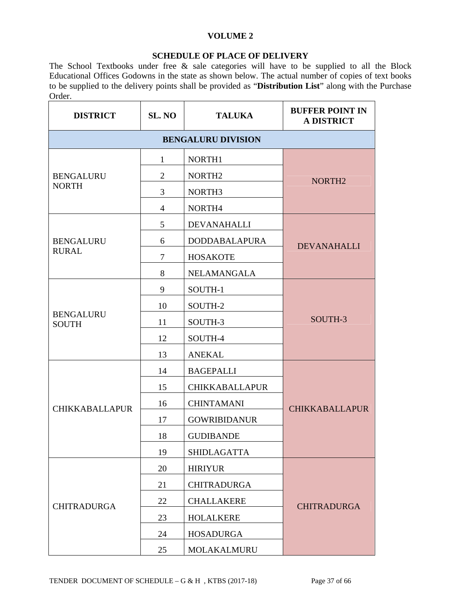## **VOLUME 2**

#### **SCHEDULE OF PLACE OF DELIVERY**

The School Textbooks under free & sale categories will have to be supplied to all the Block Educational Offices Godowns in the state as shown below. The actual number of copies of text books to be supplied to the delivery points shall be provided as "**Distribution List**" along with the Purchase Order.

| <b>DISTRICT</b>                  | SL. NO         | <b>TALUKA</b>             | <b>BUFFER POINT IN</b><br><b>A DISTRICT</b> |
|----------------------------------|----------------|---------------------------|---------------------------------------------|
|                                  |                | <b>BENGALURU DIVISION</b> |                                             |
|                                  | $\mathbf{1}$   | NORTH1                    |                                             |
| <b>BENGALURU</b>                 | $\overline{2}$ | NORTH <sub>2</sub>        | NORTH <sub>2</sub>                          |
| <b>NORTH</b>                     | 3              | NORTH3                    |                                             |
|                                  | $\overline{4}$ | NORTH4                    |                                             |
|                                  | 5              | DEVANAHALLI               |                                             |
| <b>BENGALURU</b>                 | 6              | <b>DODDABALAPURA</b>      | <b>DEVANAHALLI</b>                          |
| <b>RURAL</b>                     | 7              | <b>HOSAKOTE</b>           |                                             |
|                                  | 8              | <b>NELAMANGALA</b>        |                                             |
|                                  | 9              | SOUTH-1                   |                                             |
|                                  | 10             | SOUTH-2                   |                                             |
| <b>BENGALURU</b><br><b>SOUTH</b> | 11             | SOUTH-3                   | SOUTH-3                                     |
|                                  | 12             | SOUTH-4                   |                                             |
|                                  | 13             | <b>ANEKAL</b>             |                                             |
|                                  | 14             | <b>BAGEPALLI</b>          |                                             |
|                                  | 15             | <b>CHIKKABALLAPUR</b>     |                                             |
| <b>CHIKKABALLAPUR</b>            | 16             | <b>CHINTAMANI</b>         | <b>CHIKKABALLAPUR</b>                       |
|                                  | 17             | <b>GOWRIBIDANUR</b>       |                                             |
|                                  | 18             | <b>GUDIBANDE</b>          |                                             |
|                                  | 19             | <b>SHIDLAGATTA</b>        |                                             |
|                                  | 20             | <b>HIRIYUR</b>            |                                             |
|                                  | 21             | <b>CHITRADURGA</b>        |                                             |
| <b>CHITRADURGA</b>               | 22             | <b>CHALLAKERE</b>         | <b>CHITRADURGA</b>                          |
|                                  | 23             | <b>HOLALKERE</b>          |                                             |
|                                  | 24             | <b>HOSADURGA</b>          |                                             |
|                                  | 25             | MOLAKALMURU               |                                             |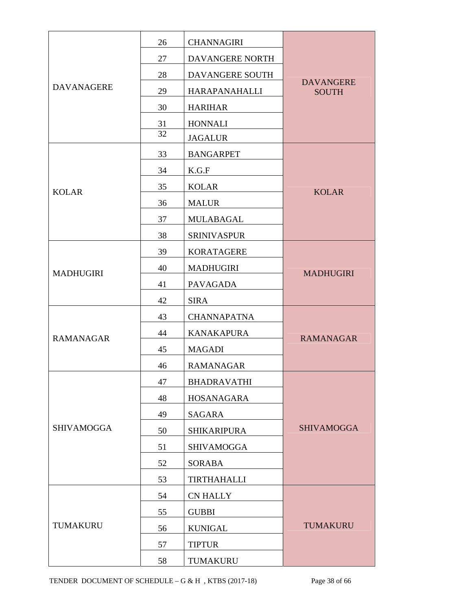|                   | 26 | <b>CHANNAGIRI</b>  |                                  |  |
|-------------------|----|--------------------|----------------------------------|--|
|                   | 27 | DAVANGERE NORTH    |                                  |  |
|                   | 28 | DAVANGERE SOUTH    |                                  |  |
| <b>DAVANAGERE</b> | 29 | HARAPANAHALLI      | <b>DAVANGERE</b><br><b>SOUTH</b> |  |
|                   | 30 | <b>HARIHAR</b>     |                                  |  |
|                   | 31 | <b>HONNALI</b>     |                                  |  |
|                   | 32 | <b>JAGALUR</b>     |                                  |  |
|                   | 33 | <b>BANGARPET</b>   |                                  |  |
|                   | 34 | K.G.F              |                                  |  |
| <b>KOLAR</b>      | 35 | <b>KOLAR</b>       | <b>KOLAR</b>                     |  |
|                   | 36 | <b>MALUR</b>       |                                  |  |
|                   | 37 | MULABAGAL          |                                  |  |
|                   | 38 | <b>SRINIVASPUR</b> |                                  |  |
|                   | 39 | <b>KORATAGERE</b>  |                                  |  |
| <b>MADHUGIRI</b>  | 40 | <b>MADHUGIRI</b>   |                                  |  |
|                   | 41 | <b>PAVAGADA</b>    | <b>MADHUGIRI</b>                 |  |
|                   | 42 | <b>SIRA</b>        |                                  |  |
|                   | 43 | <b>CHANNAPATNA</b> |                                  |  |
| <b>RAMANAGAR</b>  | 44 | <b>KANAKAPURA</b>  | <b>RAMANAGAR</b>                 |  |
|                   | 45 | <b>MAGADI</b>      |                                  |  |
|                   | 46 | <b>RAMANAGAR</b>   |                                  |  |
|                   | 47 | <b>BHADRAVATHI</b> |                                  |  |
|                   | 48 | HOSANAGARA         |                                  |  |
|                   | 49 | <b>SAGARA</b>      |                                  |  |
| <b>SHIVAMOGGA</b> | 50 | <b>SHIKARIPURA</b> | <b>SHIVAMOGGA</b>                |  |
|                   | 51 | <b>SHIVAMOGGA</b>  |                                  |  |
|                   | 52 | <b>SORABA</b>      |                                  |  |
|                   | 53 | <b>TIRTHAHALLI</b> |                                  |  |
|                   | 54 | <b>CN HALLY</b>    |                                  |  |
|                   | 55 | <b>GUBBI</b>       |                                  |  |
| TUMAKURU          | 56 | <b>KUNIGAL</b>     | <b>TUMAKURU</b>                  |  |
|                   | 57 | <b>TIPTUR</b>      |                                  |  |
|                   | 58 | TUMAKURU           |                                  |  |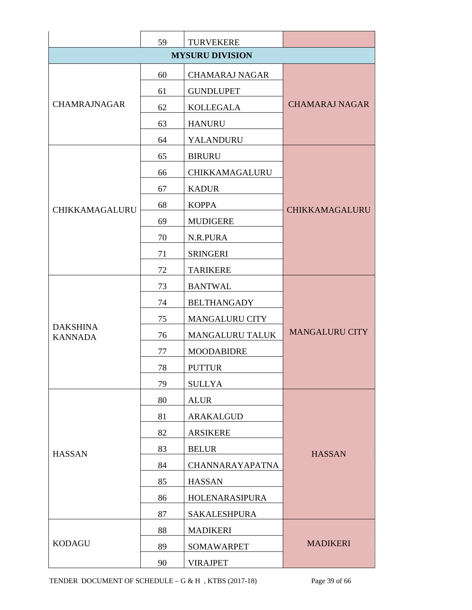|                                   | 59 | <b>TURVEKERE</b>       |                       |
|-----------------------------------|----|------------------------|-----------------------|
|                                   |    | <b>MYSURU DIVISION</b> |                       |
|                                   | 60 | <b>CHAMARAJ NAGAR</b>  |                       |
|                                   | 61 | <b>GUNDLUPET</b>       |                       |
| <b>CHAMRAJNAGAR</b>               | 62 | <b>KOLLEGALA</b>       | <b>CHAMARAJ NAGAR</b> |
|                                   | 63 | <b>HANURU</b>          |                       |
|                                   | 64 | YALANDURU              |                       |
|                                   | 65 | <b>BIRURU</b>          |                       |
|                                   | 66 | CHIKKAMAGALURU         |                       |
|                                   | 67 | <b>KADUR</b>           |                       |
| <b>CHIKKAMAGALURU</b>             | 68 | <b>KOPPA</b>           | <b>CHIKKAMAGALURU</b> |
|                                   | 69 | <b>MUDIGERE</b>        |                       |
|                                   | 70 | N.R.PURA               |                       |
|                                   | 71 | <b>SRINGERI</b>        |                       |
|                                   | 72 | <b>TARIKERE</b>        |                       |
|                                   | 73 | <b>BANTWAL</b>         |                       |
|                                   | 74 | <b>BELTHANGADY</b>     |                       |
|                                   | 75 | <b>MANGALURU CITY</b>  |                       |
| <b>DAKSHINA</b><br><b>KANNADA</b> | 76 | <b>MANGALURU TALUK</b> | <b>MANGALURU CITY</b> |
|                                   | 77 | <b>MOODABIDRE</b>      |                       |
|                                   | 78 | <b>PUTTUR</b>          |                       |
|                                   | 79 | <b>SULLYA</b>          |                       |
|                                   | 80 | <b>ALUR</b>            |                       |
|                                   | 81 | ARAKALGUD              |                       |
|                                   | 82 | <b>ARSIKERE</b>        |                       |
| <b>HASSAN</b>                     | 83 | <b>BELUR</b>           | <b>HASSAN</b>         |
|                                   | 84 | <b>CHANNARAYAPATNA</b> |                       |
|                                   | 85 | <b>HASSAN</b>          |                       |
|                                   | 86 | HOLENARASIPURA         |                       |
|                                   | 87 | <b>SAKALESHPURA</b>    |                       |
|                                   | 88 | <b>MADIKERI</b>        |                       |
| <b>KODAGU</b>                     | 89 | SOMAWARPET             | <b>MADIKERI</b>       |
|                                   | 90 | <b>VIRAJPET</b>        |                       |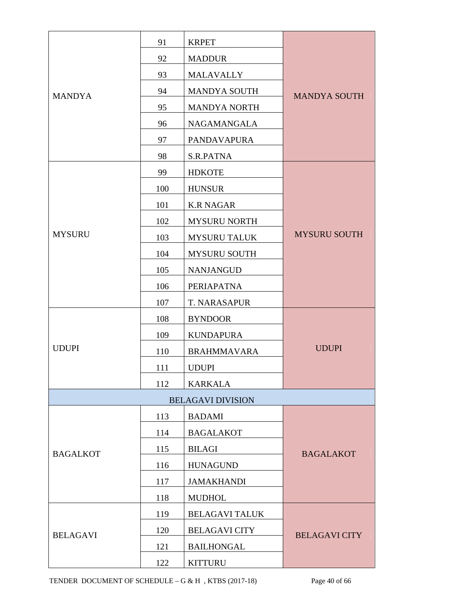|                 | 91  | <b>KRPET</b>             |                      |  |
|-----------------|-----|--------------------------|----------------------|--|
|                 | 92  | <b>MADDUR</b>            |                      |  |
|                 | 93  | <b>MALAVALLY</b>         |                      |  |
| <b>MANDYA</b>   | 94  | <b>MANDYA SOUTH</b>      | <b>MANDYA SOUTH</b>  |  |
|                 | 95  | <b>MANDYA NORTH</b>      |                      |  |
|                 | 96  | NAGAMANGALA              |                      |  |
|                 | 97  | <b>PANDAVAPURA</b>       |                      |  |
|                 | 98  | S.R.PATNA                |                      |  |
|                 | 99  | <b>HDKOTE</b>            |                      |  |
|                 | 100 | <b>HUNSUR</b>            |                      |  |
|                 | 101 | <b>K.R NAGAR</b>         |                      |  |
|                 | 102 | <b>MYSURU NORTH</b>      |                      |  |
| <b>MYSURU</b>   | 103 | <b>MYSURU TALUK</b>      | <b>MYSURU SOUTH</b>  |  |
|                 | 104 | <b>MYSURU SOUTH</b>      |                      |  |
|                 | 105 | <b>NANJANGUD</b>         |                      |  |
|                 | 106 | PERIAPATNA               |                      |  |
|                 | 107 | <b>T. NARASAPUR</b>      |                      |  |
|                 | 108 | <b>BYNDOOR</b>           |                      |  |
|                 | 109 | <b>KUNDAPURA</b>         |                      |  |
| <b>UDUPI</b>    | 110 | <b>BRAHMMAVARA</b>       | <b>UDUPI</b>         |  |
|                 | 111 | <b>UDUPI</b>             |                      |  |
|                 | 112 | <b>KARKALA</b>           |                      |  |
|                 |     | <b>BELAGAVI DIVISION</b> |                      |  |
|                 | 113 | <b>BADAMI</b>            |                      |  |
|                 | 114 | <b>BAGALAKOT</b>         |                      |  |
| <b>BAGALKOT</b> | 115 | <b>BILAGI</b>            | <b>BAGALAKOT</b>     |  |
|                 | 116 | <b>HUNAGUND</b>          |                      |  |
|                 | 117 | <b>JAMAKHANDI</b>        |                      |  |
|                 | 118 | <b>MUDHOL</b>            |                      |  |
|                 | 119 | <b>BELAGAVI TALUK</b>    |                      |  |
| <b>BELAGAVI</b> | 120 | <b>BELAGAVI CITY</b>     | <b>BELAGAVI CITY</b> |  |
|                 | 121 | <b>BAILHONGAL</b>        |                      |  |
|                 | 122 | <b>KITTURU</b>           |                      |  |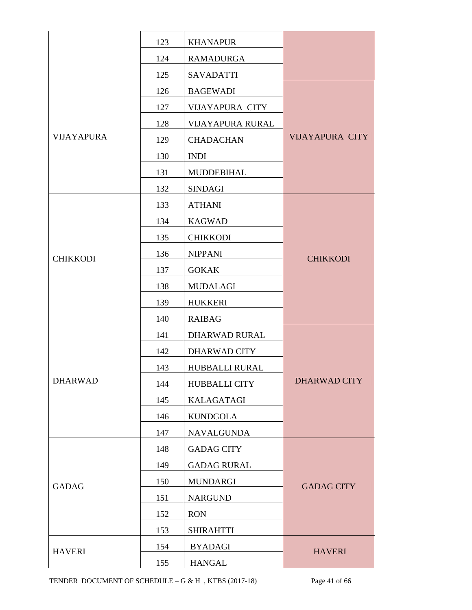|                   | 123 | <b>KHANAPUR</b>       |                        |  |
|-------------------|-----|-----------------------|------------------------|--|
|                   | 124 | <b>RAMADURGA</b>      |                        |  |
|                   | 125 | <b>SAVADATTI</b>      |                        |  |
|                   | 126 | <b>BAGEWADI</b>       |                        |  |
|                   | 127 | VIJAYAPURA CITY       |                        |  |
|                   | 128 | VIJAYAPURA RURAL      |                        |  |
| <b>VIJAYAPURA</b> | 129 | <b>CHADACHAN</b>      | <b>VIJAYAPURA CITY</b> |  |
|                   | 130 | <b>INDI</b>           |                        |  |
|                   | 131 | <b>MUDDEBIHAL</b>     |                        |  |
|                   | 132 | <b>SINDAGI</b>        |                        |  |
|                   | 133 | <b>ATHANI</b>         |                        |  |
|                   | 134 | <b>KAGWAD</b>         |                        |  |
|                   | 135 | <b>CHIKKODI</b>       |                        |  |
| <b>CHIKKODI</b>   | 136 | <b>NIPPANI</b>        | <b>CHIKKODI</b>        |  |
|                   | 137 | <b>GOKAK</b>          |                        |  |
|                   | 138 | <b>MUDALAGI</b>       |                        |  |
|                   | 139 | <b>HUKKERI</b>        |                        |  |
|                   | 140 | <b>RAIBAG</b>         |                        |  |
|                   | 141 | <b>DHARWAD RURAL</b>  |                        |  |
|                   | 142 | DHARWAD CITY          |                        |  |
|                   | 143 | <b>HUBBALLI RURAL</b> |                        |  |
| <b>DHARWAD</b>    | 144 | <b>HUBBALLI CITY</b>  | <b>DHARWAD CITY</b>    |  |
|                   | 145 | <b>KALAGATAGI</b>     |                        |  |
|                   | 146 | <b>KUNDGOLA</b>       |                        |  |
|                   | 147 | <b>NAVALGUNDA</b>     |                        |  |
|                   | 148 | <b>GADAG CITY</b>     |                        |  |
|                   | 149 | <b>GADAG RURAL</b>    |                        |  |
| <b>GADAG</b>      | 150 | <b>MUNDARGI</b>       | <b>GADAG CITY</b>      |  |
|                   | 151 | <b>NARGUND</b>        |                        |  |
|                   | 152 | <b>RON</b>            |                        |  |
|                   | 153 | <b>SHIRAHTTI</b>      |                        |  |
| <b>HAVERI</b>     | 154 | <b>BYADAGI</b>        | <b>HAVERI</b>          |  |
|                   | 155 | <b>HANGAL</b>         |                        |  |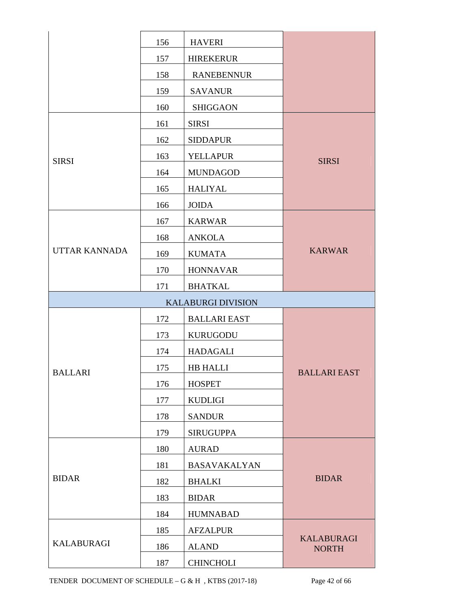|                      | 156 | <b>HAVERI</b>             |                                   |
|----------------------|-----|---------------------------|-----------------------------------|
|                      | 157 | <b>HIREKERUR</b>          |                                   |
|                      | 158 | <b>RANEBENNUR</b>         |                                   |
|                      | 159 | <b>SAVANUR</b>            |                                   |
|                      | 160 | <b>SHIGGAON</b>           |                                   |
|                      | 161 | <b>SIRSI</b>              |                                   |
|                      | 162 | <b>SIDDAPUR</b>           |                                   |
| <b>SIRSI</b>         | 163 | <b>YELLAPUR</b>           | <b>SIRSI</b>                      |
|                      | 164 | <b>MUNDAGOD</b>           |                                   |
|                      | 165 | <b>HALIYAL</b>            |                                   |
|                      | 166 | <b>JOIDA</b>              |                                   |
|                      | 167 | <b>KARWAR</b>             |                                   |
|                      | 168 | <b>ANKOLA</b>             |                                   |
| <b>UTTAR KANNADA</b> | 169 | <b>KUMATA</b>             | <b>KARWAR</b>                     |
|                      | 170 | <b>HONNAVAR</b>           |                                   |
|                      | 171 | <b>BHATKAL</b>            |                                   |
|                      |     | <b>KALABURGI DIVISION</b> |                                   |
|                      | 172 | <b>BALLARI EAST</b>       |                                   |
|                      | 173 | <b>KURUGODU</b>           |                                   |
|                      | 174 | <b>HADAGALI</b>           |                                   |
| <b>BALLARI</b>       | 175 | HB HALLI                  | <b>BALLARI EAST</b>               |
|                      | 176 | <b>HOSPET</b>             |                                   |
|                      | 177 | <b>KUDLIGI</b>            |                                   |
|                      | 178 | <b>SANDUR</b>             |                                   |
|                      | 179 | <b>SIRUGUPPA</b>          |                                   |
|                      | 180 | <b>AURAD</b>              |                                   |
| <b>BIDAR</b>         | 181 | <b>BASAVAKALYAN</b>       |                                   |
|                      | 182 | <b>BHALKI</b>             | <b>BIDAR</b>                      |
|                      | 183 | <b>BIDAR</b>              |                                   |
|                      | 184 | <b>HUMNABAD</b>           |                                   |
|                      | 185 | <b>AFZALPUR</b>           |                                   |
| <b>KALABURAGI</b>    | 186 | <b>ALAND</b>              | <b>KALABURAGI</b><br><b>NORTH</b> |
|                      | 187 | <b>CHINCHOLI</b>          |                                   |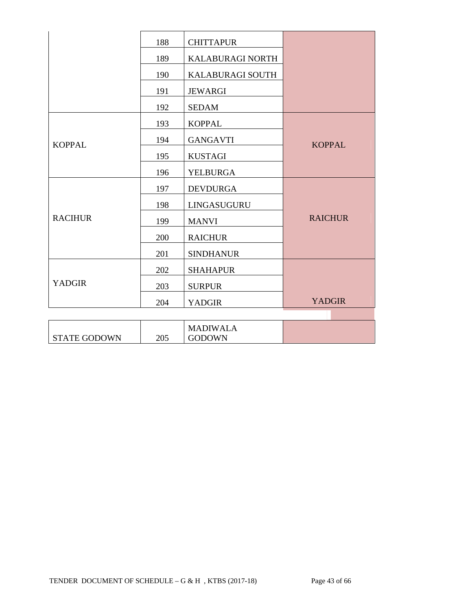|                     | 188 | <b>CHITTAPUR</b>                 |                |
|---------------------|-----|----------------------------------|----------------|
|                     | 189 | KALABURAGI NORTH                 |                |
|                     | 190 | KALABURAGI SOUTH                 |                |
|                     | 191 | <b>JEWARGI</b>                   |                |
|                     | 192 | <b>SEDAM</b>                     |                |
|                     | 193 | <b>KOPPAL</b>                    |                |
| <b>KOPPAL</b>       | 194 | <b>GANGAVTI</b>                  | <b>KOPPAL</b>  |
|                     | 195 | <b>KUSTAGI</b>                   |                |
|                     | 196 | <b>YELBURGA</b>                  |                |
|                     | 197 | <b>DEVDURGA</b>                  |                |
|                     | 198 | LINGASUGURU                      |                |
| <b>RACIHUR</b>      | 199 | <b>MANVI</b>                     | <b>RAICHUR</b> |
|                     | 200 | <b>RAICHUR</b>                   |                |
|                     | 201 | <b>SINDHANUR</b>                 |                |
|                     | 202 | <b>SHAHAPUR</b>                  |                |
| <b>YADGIR</b>       | 203 | <b>SURPUR</b>                    |                |
|                     | 204 | <b>YADGIR</b>                    | <b>YADGIR</b>  |
|                     |     |                                  |                |
| <b>STATE GODOWN</b> | 205 | <b>MADIWALA</b><br><b>GODOWN</b> |                |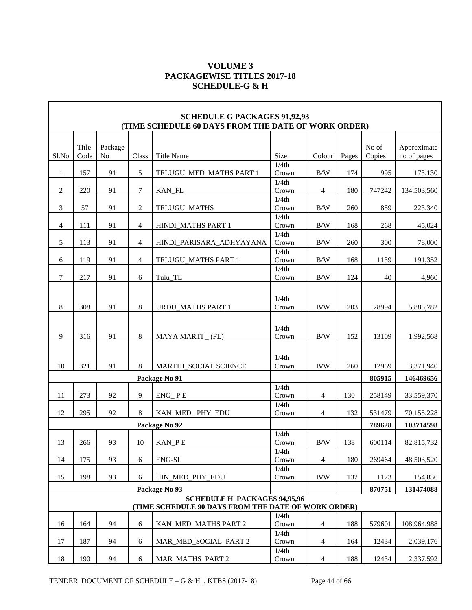## **VOLUME 3 PACKAGEWISE TITLES 2017-18 SCHEDULE-G & H**

 $\mathsf{r}$ 

|                |            |                |                | <b>SCHEDULE G PACKAGES 91,92,93</b><br>(TIME SCHEDULE 60 DAYS FROM THE DATE OF WORK ORDER) |                |                |       |        |             |
|----------------|------------|----------------|----------------|--------------------------------------------------------------------------------------------|----------------|----------------|-------|--------|-------------|
|                |            |                |                |                                                                                            |                |                |       |        |             |
|                | Title      | Package        |                |                                                                                            |                |                |       | No of  | Approximate |
| Sl.No          | $\rm Code$ | N <sub>o</sub> | Class          | Title Name                                                                                 | Size           | Colour         | Pages | Copies | no of pages |
|                |            |                |                |                                                                                            | 1/4th          |                |       |        |             |
| 1              | 157        | 91             | 5              | TELUGU_MED_MATHS PART 1                                                                    | Crown          | $\rm\,B/W$     | 174   | 995    | 173,130     |
|                |            |                |                |                                                                                            | 1/4th          |                |       |        |             |
| 2              | 220        | 91             | 7              | KAN_FL                                                                                     | Crown          | $\overline{4}$ | 180   | 747242 | 134,503,560 |
|                |            |                |                |                                                                                            | 1/4th          |                |       |        |             |
| 3              | 57         | 91             | $\sqrt{2}$     | TELUGU_MATHS                                                                               | Crown          | B/W            | 260   | 859    | 223,340     |
|                |            |                |                |                                                                                            | 1/4th          |                |       |        |             |
| $\overline{4}$ | 111        | 91             | $\overline{4}$ | HINDI_MATHS PART 1                                                                         | Crown          | B/W            | 168   | 268    | 45,024      |
|                |            |                |                |                                                                                            | 1/4th          |                |       |        |             |
| 5              | 113        | 91             | $\overline{4}$ | HINDI_PARISARA_ADHYAYANA                                                                   | Crown          | B/W            | 260   | 300    | 78,000      |
|                |            |                |                |                                                                                            | 1/4th          |                |       |        |             |
| 6              | 119        | 91             | $\overline{4}$ | TELUGU_MATHS PART 1                                                                        | Crown          | B/W            | 168   | 1139   | 191,352     |
| 7              | 217        | 91             | 6              | Tulu_TL                                                                                    | 1/4th<br>Crown | B/W            | 124   | 40     | 4,960       |
|                |            |                |                |                                                                                            |                |                |       |        |             |
|                |            |                |                |                                                                                            |                |                |       |        |             |
|                |            |                |                |                                                                                            | 1/4th          |                |       |        |             |
| 8              | 308        | 91             | 8              | URDU MATHS PART 1                                                                          | Crown          | B/W            | 203   | 28994  | 5,885,782   |
|                |            |                |                |                                                                                            |                |                |       |        |             |
|                |            |                |                |                                                                                            | 1/4th          |                |       |        |             |
| 9              | 316        | 91             | 8              | MAYA MARTI (FL)                                                                            | Crown          | B/W            | 152   | 13109  | 1,992,568   |
|                |            |                |                |                                                                                            |                |                |       |        |             |
|                |            |                |                |                                                                                            | 1/4th          |                |       |        |             |
| 10             | 321        | 91             | 8              | MARTHI_SOCIAL SCIENCE                                                                      | Crown          | B/W            | 260   | 12969  | 3,371,940   |
|                |            |                |                | Package No 91                                                                              |                |                |       | 805915 | 146469656   |
|                |            |                |                |                                                                                            | 1/4th          |                |       |        |             |
| 11             | 273        | 92             | 9              | ENG_PE                                                                                     | Crown          | $\overline{4}$ | 130   | 258149 | 33,559,370  |
|                |            |                |                |                                                                                            | 1/4th          |                |       |        |             |
| 12             | 295        | 92             | 8              | KAN_MED_PHY_EDU                                                                            | Crown          | $\overline{4}$ | 132   | 531479 | 70,155,228  |
|                |            |                |                | Package No 92                                                                              |                |                |       | 789628 | 103714598   |
|                |            |                |                |                                                                                            | 1/4th          |                |       |        |             |
| 13             | 266        | 93             | 10             | KAN_PE                                                                                     | Crown          | $\rm\,B/W$     | 138   | 600114 | 82,815,732  |
|                |            |                |                |                                                                                            | 1/4th          |                |       |        |             |
| 14             | 175        | 93             | 6              | ENG-SL                                                                                     | Crown          | $\overline{4}$ | 180   | 269464 | 48,503,520  |
|                |            |                |                |                                                                                            | 1/4th          |                |       |        |             |
| 15             | 198        | 93             | 6              | HIN MED PHY EDU                                                                            | Crown          | B/W            | 132   | 1173   | 154,836     |
|                |            |                |                | Package No 93                                                                              |                |                |       | 870751 | 131474088   |
|                |            |                |                | <b>SCHEDULE H PACKAGES 94,95,96</b>                                                        |                |                |       |        |             |
|                |            |                |                | (TIME SCHEDULE 90 DAYS FROM THE DATE OF WORK ORDER)                                        |                |                |       |        |             |
|                |            |                |                |                                                                                            | 1/4th          |                |       |        |             |
| 16             | 164        | 94             | 6              | KAN_MED_MATHS PART 2                                                                       | Crown          | $\overline{4}$ | 188   | 579601 | 108,964,988 |
|                |            |                |                |                                                                                            | 1/4th          |                |       |        |             |
| 17             | 187        | 94             | 6              | MAR_MED_SOCIAL PART 2                                                                      | Crown          | $\overline{4}$ | 164   | 12434  | 2,039,176   |
|                |            |                |                |                                                                                            | 1/4th          |                |       |        |             |
| $18\,$         | 190        | 94             | 6              | <b>MAR_MATHS PART 2</b>                                                                    | Crown          | $\overline{4}$ | 188   | 12434  | 2,337,592   |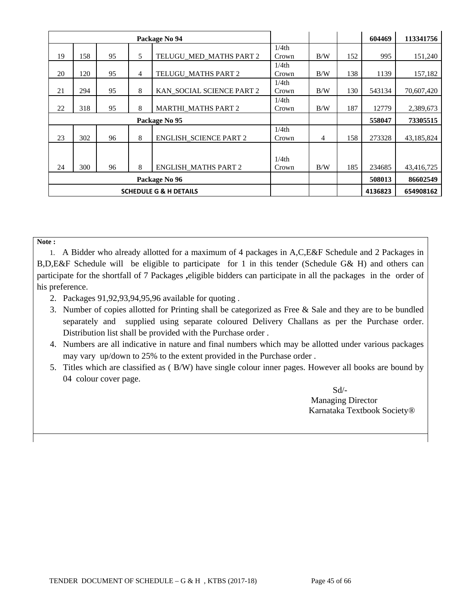|    |     |    |                | Package No 94                     |       |     |     | 604469  | 113341756  |
|----|-----|----|----------------|-----------------------------------|-------|-----|-----|---------|------------|
|    |     |    |                |                                   | 1/4th |     |     |         |            |
| 19 | 158 | 95 | 5              | TELUGU MED MATHS PART 2           | Crown | B/W | 152 | 995     | 151,240    |
|    |     |    |                |                                   | 1/4th |     |     |         |            |
| 20 | 120 | 95 | $\overline{4}$ | TELUGU MATHS PART 2               | Crown | B/W | 138 | 1139    | 157,182    |
|    |     |    |                |                                   | 1/4th |     |     |         |            |
| 21 | 294 | 95 | 8              | KAN SOCIAL SCIENCE PART 2         | Crown | B/W | 130 | 543134  | 70.607.420 |
|    |     |    |                |                                   | 1/4th |     |     |         |            |
| 22 | 318 | 95 | 8              | <b>MARTHI MATHS PART 2</b>        | Crown | B/W | 187 | 12779   | 2,389,673  |
|    |     |    |                | Package No 95                     |       |     |     | 558047  | 73305515   |
|    |     |    |                |                                   | 1/4th |     |     |         |            |
| 23 | 302 | 96 | 8              | <b>ENGLISH SCIENCE PART 2</b>     | Crown | 4   | 158 | 273328  | 43,185,824 |
|    |     |    |                |                                   |       |     |     |         |            |
|    |     |    |                |                                   | 1/4th |     |     |         |            |
| 24 | 300 | 96 | 8              | <b>ENGLISH MATHS PART 2</b>       | Crown | B/W | 185 | 234685  | 43,416,725 |
|    |     |    |                |                                   |       |     |     |         |            |
|    |     |    |                | Package No 96                     |       |     |     | 508013  | 86602549   |
|    |     |    |                | <b>SCHEDULE G &amp; H DETAILS</b> |       |     |     | 4136823 | 654908162  |

#### **Note :**

 1. A Bidder who already allotted for a maximum of 4 packages in A,C,E&F Schedule and 2 Packages in B,D,E&F Schedule will be eligible to participate for 1 in this tender (Schedule G& H) and others can participate for the shortfall of 7 Packages **,**eligible bidders can participate in all the packages in the order of his preference.

- 2. Packages 91,92,93,94,95,96 available for quoting .
- 3. Number of copies allotted for Printing shall be categorized as Free & Sale and they are to be bundled separately and supplied using separate coloured Delivery Challans as per the Purchase order. Distribution list shall be provided with the Purchase order .
- 4. Numbers are all indicative in nature and final numbers which may be allotted under various packages may vary up/down to 25% to the extent provided in the Purchase order .
- 5. Titles which are classified as ( B/W) have single colour inner pages. However all books are bound by 04 colour cover page.

 Sd/- Managing Director Karnataka Textbook Society®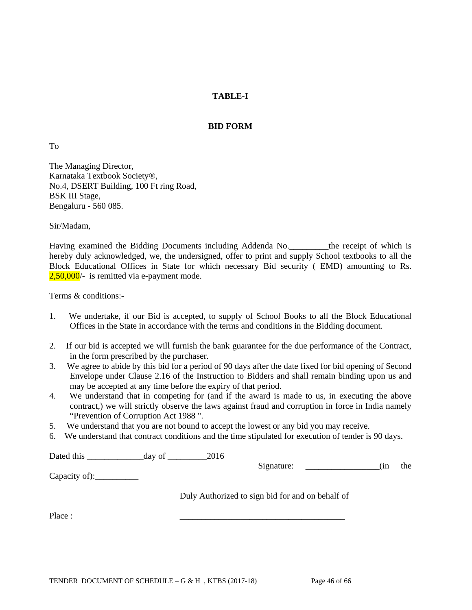## **TABLE-I**

## **BID FORM**

To

The Managing Director, Karnataka Textbook Society®, No.4, DSERT Building, 100 Ft ring Road, BSK III Stage, Bengaluru - 560 085.

Sir/Madam,

Having examined the Bidding Documents including Addenda No. The receipt of which is hereby duly acknowledged, we, the undersigned, offer to print and supply School textbooks to all the Block Educational Offices in State for which necessary Bid security ( EMD) amounting to Rs.  $2,50,000/$ - is remitted via e-payment mode.

Terms & conditions:-

- 1. We undertake, if our Bid is accepted, to supply of School Books to all the Block Educational Offices in the State in accordance with the terms and conditions in the Bidding document.
- 2. If our bid is accepted we will furnish the bank guarantee for the due performance of the Contract, in the form prescribed by the purchaser.
- 3. We agree to abide by this bid for a period of 90 days after the date fixed for bid opening of Second Envelope under Clause 2.16 of the Instruction to Bidders and shall remain binding upon us and may be accepted at any time before the expiry of that period.
- 4. We understand that in competing for (and if the award is made to us, in executing the above contract,) we will strictly observe the laws against fraud and corruption in force in India namely "Prevention of Corruption Act 1988 ".
- 5. We understand that you are not bound to accept the lowest or any bid you may receive.
- 6. We understand that contract conditions and the time stipulated for execution of tender is 90 days.

| Dated this                                        | day of | 2016 |                                                  |     |     |
|---------------------------------------------------|--------|------|--------------------------------------------------|-----|-----|
|                                                   |        |      | Signature:                                       | (in | the |
| Capacity of: $\_\_\_\_\_\_\_\_\_\_\_\_\_\_\_\_\_$ |        |      |                                                  |     |     |
|                                                   |        |      | Duly Authorized to sign bid for and on behalf of |     |     |
| Place:                                            |        |      |                                                  |     |     |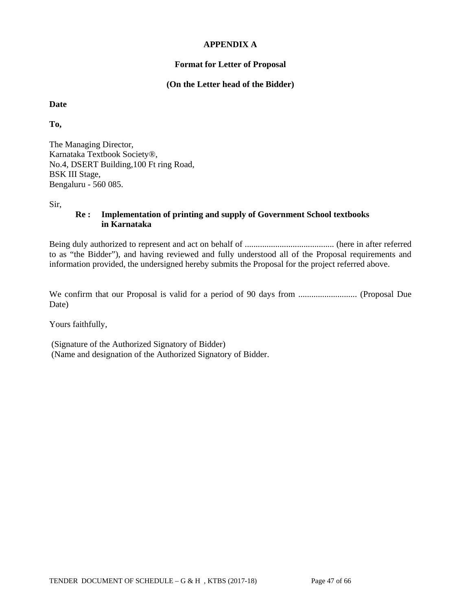### **APPENDIX A**

#### **Format for Letter of Proposal**

#### **(On the Letter head of the Bidder)**

**Date** 

**To,** 

The Managing Director, Karnataka Textbook Society®, No.4, DSERT Building,100 Ft ring Road, BSK III Stage, Bengaluru - 560 085.

Sir,

#### **Re : Implementation of printing and supply of Government School textbooks in Karnataka**

Being duly authorized to represent and act on behalf of ......................................... (here in after referred to as "the Bidder"), and having reviewed and fully understood all of the Proposal requirements and information provided, the undersigned hereby submits the Proposal for the project referred above.

We confirm that our Proposal is valid for a period of 90 days from ........................... (Proposal Due Date)

Yours faithfully,

 (Signature of the Authorized Signatory of Bidder) (Name and designation of the Authorized Signatory of Bidder.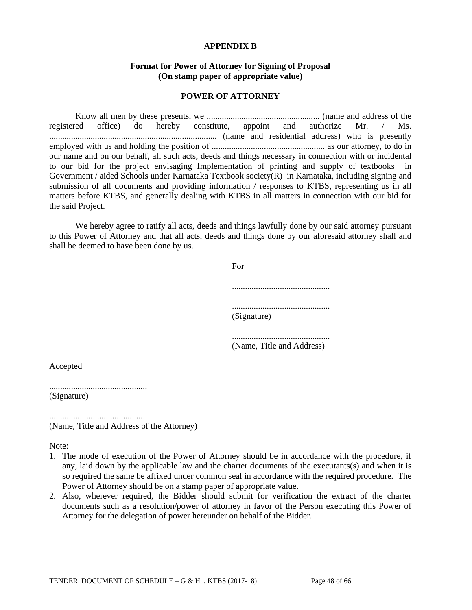#### **APPENDIX B**

#### **Format for Power of Attorney for Signing of Proposal (On stamp paper of appropriate value)**

#### **POWER OF ATTORNEY**

 Know all men by these presents, we .................................................... (name and address of the registered office) do hereby constitute, appoint and authorize Mr. / Ms. ............................................................................. (name and residential address) who is presently employed with us and holding the position of .................................................... as our attorney, to do in our name and on our behalf, all such acts, deeds and things necessary in connection with or incidental to our bid for the project envisaging Implementation of printing and supply of textbooks in Government / aided Schools under Karnataka Textbook society(R) in Karnataka, including signing and submission of all documents and providing information / responses to KTBS, representing us in all matters before KTBS, and generally dealing with KTBS in all matters in connection with our bid for the said Project.

 We hereby agree to ratify all acts, deeds and things lawfully done by our said attorney pursuant to this Power of Attorney and that all acts, deeds and things done by our aforesaid attorney shall and shall be deemed to have been done by us.

| For         |
|-------------|
|             |
| (Signature) |

............................................. (Name, Title and Address)

Accepted

............................................. (Signature)

............................................. (Name, Title and Address of the Attorney)

Note:

- 1. The mode of execution of the Power of Attorney should be in accordance with the procedure, if any, laid down by the applicable law and the charter documents of the executants(s) and when it is so required the same be affixed under common seal in accordance with the required procedure. The Power of Attorney should be on a stamp paper of appropriate value.
- 2. Also, wherever required, the Bidder should submit for verification the extract of the charter documents such as a resolution/power of attorney in favor of the Person executing this Power of Attorney for the delegation of power hereunder on behalf of the Bidder.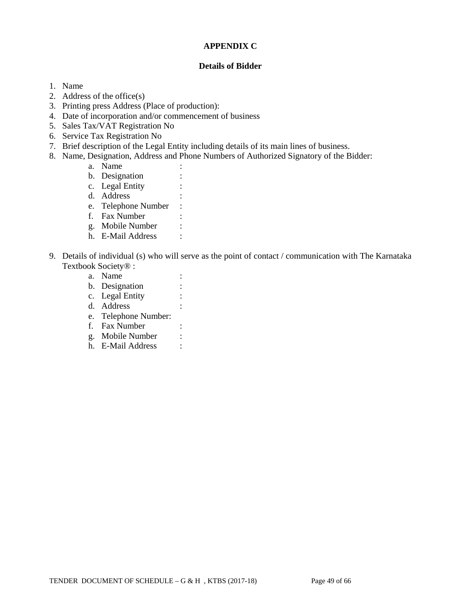## **APPENDIX C**

### **Details of Bidder**

- 1. Name
- 2. Address of the office(s)
- 3. Printing press Address (Place of production):
- 4. Date of incorporation and/or commencement of business
- 5. Sales Tax/VAT Registration No
- 6. Service Tax Registration No
- 7. Brief description of the Legal Entity including details of its main lines of business.
- 8. Name, Designation, Address and Phone Numbers of Authorized Signatory of the Bidder:
	- a. Name :
	- b. Designation :
	- c. Legal Entity :
	- d. Address :
	- e. Telephone Number :
	- f. Fax Number :
	- g. Mobile Number :
	- h. E-Mail Address :
- 9. Details of individual (s) who will serve as the point of contact / communication with The Karnataka Textbook Society® :
	- a. Name :
	- b. Designation :
	- c. Legal Entity :
	- d. Address :
	- e. Telephone Number:
	- f. Fax Number :
	- g. Mobile Number :
	- h. E-Mail Address :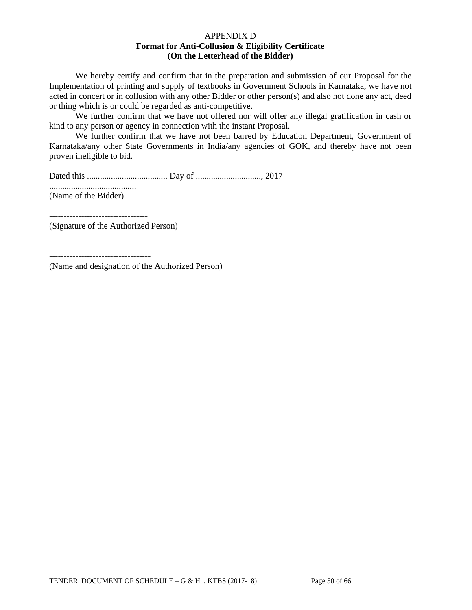#### APPENDIX D **Format for Anti-Collusion & Eligibility Certificate (On the Letterhead of the Bidder)**

 We hereby certify and confirm that in the preparation and submission of our Proposal for the Implementation of printing and supply of textbooks in Government Schools in Karnataka, we have not acted in concert or in collusion with any other Bidder or other person(s) and also not done any act, deed or thing which is or could be regarded as anti-competitive.

 We further confirm that we have not offered nor will offer any illegal gratification in cash or kind to any person or agency in connection with the instant Proposal.

 We further confirm that we have not been barred by Education Department, Government of Karnataka/any other State Governments in India/any agencies of GOK, and thereby have not been proven ineligible to bid.

Dated this ..................................... Day of .............................., 2017

........................................ (Name of the Bidder)

----------------------------------

(Signature of the Authorized Person)

-----------------------------------

(Name and designation of the Authorized Person)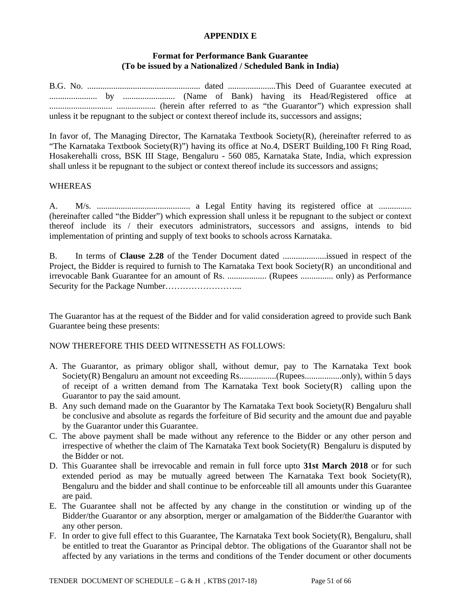#### **APPENDIX E**

#### **Format for Performance Bank Guarantee (To be issued by a Nationalized / Scheduled Bank in India)**

B.G. No. .................................................... dated ......................This Deed of Guarantee executed at ...................... by ........................ (Name of Bank) having its Head/Registered office at ............................. .................. (herein after referred to as "the Guarantor") which expression shall unless it be repugnant to the subject or context thereof include its, successors and assigns;

In favor of, The Managing Director, The Karnataka Textbook Society(R), (hereinafter referred to as "The Karnataka Textbook Society(R)") having its office at No.4, DSERT Building,100 Ft Ring Road, Hosakerehalli cross, BSK III Stage, Bengaluru - 560 085, Karnataka State, India, which expression shall unless it be repugnant to the subject or context thereof include its successors and assigns;

#### WHEREAS

A. M/s. ........................................... a Legal Entity having its registered office at ............... (hereinafter called "the Bidder") which expression shall unless it be repugnant to the subject or context thereof include its / their executors administrators, successors and assigns, intends to bid implementation of printing and supply of text books to schools across Karnataka.

B. In terms of **Clause 2.28** of the Tender Document dated ....................issued in respect of the Project, the Bidder is required to furnish to The Karnataka Text book Society(R) an unconditional and irrevocable Bank Guarantee for an amount of Rs. .................. (Rupees ............... only) as Performance Security for the Package Number……………………...

The Guarantor has at the request of the Bidder and for valid consideration agreed to provide such Bank Guarantee being these presents:

#### NOW THEREFORE THIS DEED WITNESSETH AS FOLLOWS:

- A. The Guarantor, as primary obligor shall, without demur, pay to The Karnataka Text book Society(R) Bengaluru an amount not exceeding Rs.................(Rupees.................only), within 5 days of receipt of a written demand from The Karnataka Text book Society(R) calling upon the Guarantor to pay the said amount.
- B. Any such demand made on the Guarantor by The Karnataka Text book Society(R) Bengaluru shall be conclusive and absolute as regards the forfeiture of Bid security and the amount due and payable by the Guarantor under this Guarantee.
- C. The above payment shall be made without any reference to the Bidder or any other person and irrespective of whether the claim of The Karnataka Text book Society(R) Bengaluru is disputed by the Bidder or not.
- D. This Guarantee shall be irrevocable and remain in full force upto **31st March 2018** or for such extended period as may be mutually agreed between The Karnataka Text book Society $(R)$ , Bengaluru and the bidder and shall continue to be enforceable till all amounts under this Guarantee are paid.
- E. The Guarantee shall not be affected by any change in the constitution or winding up of the Bidder/the Guarantor or any absorption, merger or amalgamation of the Bidder/the Guarantor with any other person.
- F. In order to give full effect to this Guarantee, The Karnataka Text book Society(R), Bengaluru, shall be entitled to treat the Guarantor as Principal debtor. The obligations of the Guarantor shall not be affected by any variations in the terms and conditions of the Tender document or other documents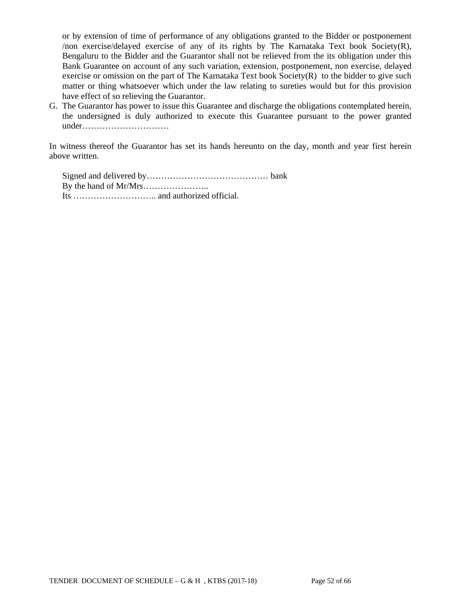or by extension of time of performance of any obligations granted to the Bidder or postponement /non exercise/delayed exercise of any of its rights by The Karnataka Text book Society(R), Bengaluru to the Bidder and the Guarantor shall not be relieved from the its obligation under this Bank Guarantee on account of any such variation, extension, postponement, non exercise, delayed exercise or omission on the part of The Karnataka Text book Society(R) to the bidder to give such matter or thing whatsoever which under the law relating to sureties would but for this provision have effect of so relieving the Guarantor.

G. The Guarantor has power to issue this Guarantee and discharge the obligations contemplated herein, the undersigned is duly authorized to execute this Guarantee pursuant to the power granted under…………………………

In witness thereof the Guarantor has set its hands hereunto on the day, month and year first herein above written.

Signed and delivered by…………………………………… bank By the hand of Mr/Mrs………………….. Its ……………………….. and authorized official.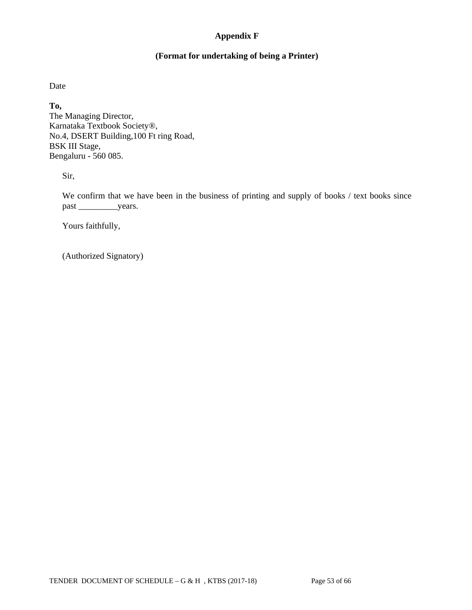## **Appendix F**

#### **(Format for undertaking of being a Printer)**

Date

**To,**  The Managing Director, Karnataka Textbook Society®, No.4, DSERT Building,100 Ft ring Road,

BSK III Stage, Bengaluru - 560 085.

Sir,

We confirm that we have been in the business of printing and supply of books / text books since past \_\_\_\_\_\_\_\_\_\_\_\_\_\_\_years.

Yours faithfully,

(Authorized Signatory)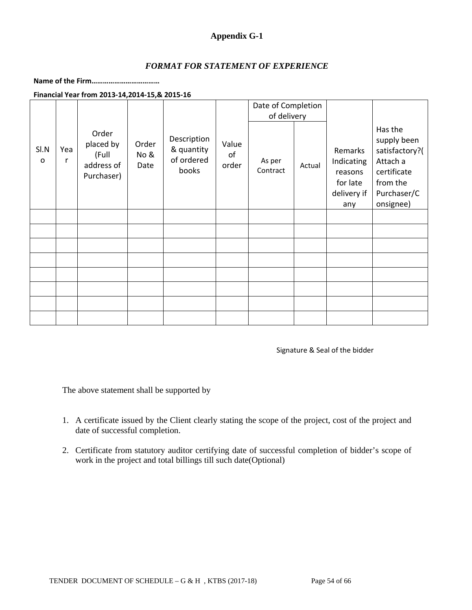## **Appendix G-1**

### *FORMAT FOR STATEMENT OF EXPERIENCE*

**Name of the Firm………………………………**

#### **Financial Year from 2013‐14,2014‐15,& 2015‐16**

|           |          |                                                         |                       |                                                  |                      | Date of Completion<br>of delivery |        |                                                                    |                                                                                                             |
|-----------|----------|---------------------------------------------------------|-----------------------|--------------------------------------------------|----------------------|-----------------------------------|--------|--------------------------------------------------------------------|-------------------------------------------------------------------------------------------------------------|
| SI.N<br>o | Yea<br>r | Order<br>placed by<br>(Full<br>address of<br>Purchaser) | Order<br>No &<br>Date | Description<br>& quantity<br>of ordered<br>books | Value<br>of<br>order | As per<br>Contract                | Actual | Remarks<br>Indicating<br>reasons<br>for late<br>delivery if<br>any | Has the<br>supply been<br>satisfactory?(<br>Attach a<br>certificate<br>from the<br>Purchaser/C<br>onsignee) |
|           |          |                                                         |                       |                                                  |                      |                                   |        |                                                                    |                                                                                                             |
|           |          |                                                         |                       |                                                  |                      |                                   |        |                                                                    |                                                                                                             |
|           |          |                                                         |                       |                                                  |                      |                                   |        |                                                                    |                                                                                                             |
|           |          |                                                         |                       |                                                  |                      |                                   |        |                                                                    |                                                                                                             |
|           |          |                                                         |                       |                                                  |                      |                                   |        |                                                                    |                                                                                                             |
|           |          |                                                         |                       |                                                  |                      |                                   |        |                                                                    |                                                                                                             |
|           |          |                                                         |                       |                                                  |                      |                                   |        |                                                                    |                                                                                                             |
|           |          |                                                         |                       |                                                  |                      |                                   |        |                                                                    |                                                                                                             |

Signature & Seal of the bidder

The above statement shall be supported by

- 1. A certificate issued by the Client clearly stating the scope of the project, cost of the project and date of successful completion.
- 2. Certificate from statutory auditor certifying date of successful completion of bidder's scope of work in the project and total billings till such date(Optional)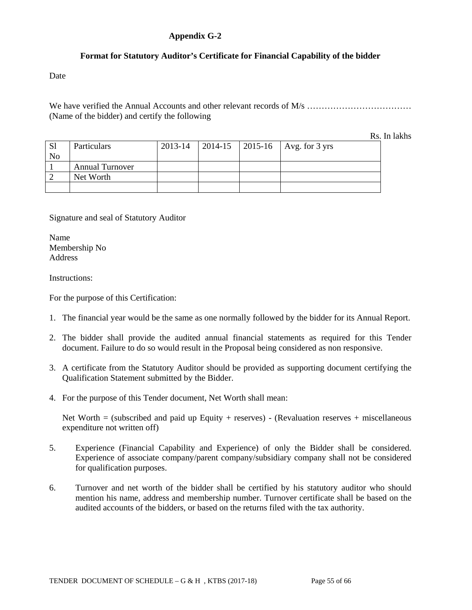## **Appendix G-2**

### **Format for Statutory Auditor's Certificate for Financial Capability of the bidder**

Date

We have verified the Annual Accounts and other relevant records of M/s ………………………………………… (Name of the bidder) and certify the following

Rs. In lakhs

| -S1<br>N <sub>o</sub> | Particulars            | $2013 - 14$ |  | $\vert$ 2014-15 $\vert$ 2015-16 $\vert$ Avg. for 3 yrs |
|-----------------------|------------------------|-------------|--|--------------------------------------------------------|
|                       | <b>Annual Turnover</b> |             |  |                                                        |
|                       | Net Worth              |             |  |                                                        |
|                       |                        |             |  |                                                        |

Signature and seal of Statutory Auditor

Name Membership No Address

Instructions:

For the purpose of this Certification:

- 1. The financial year would be the same as one normally followed by the bidder for its Annual Report.
- 2. The bidder shall provide the audited annual financial statements as required for this Tender document. Failure to do so would result in the Proposal being considered as non responsive.
- 3. A certificate from the Statutory Auditor should be provided as supporting document certifying the Qualification Statement submitted by the Bidder.
- 4. For the purpose of this Tender document, Net Worth shall mean:

Net Worth  $=$  (subscribed and paid up Equity + reserves) - (Revaluation reserves + miscellaneous expenditure not written off)

- 5. Experience (Financial Capability and Experience) of only the Bidder shall be considered. Experience of associate company/parent company/subsidiary company shall not be considered for qualification purposes.
- 6. Turnover and net worth of the bidder shall be certified by his statutory auditor who should mention his name, address and membership number. Turnover certificate shall be based on the audited accounts of the bidders, or based on the returns filed with the tax authority.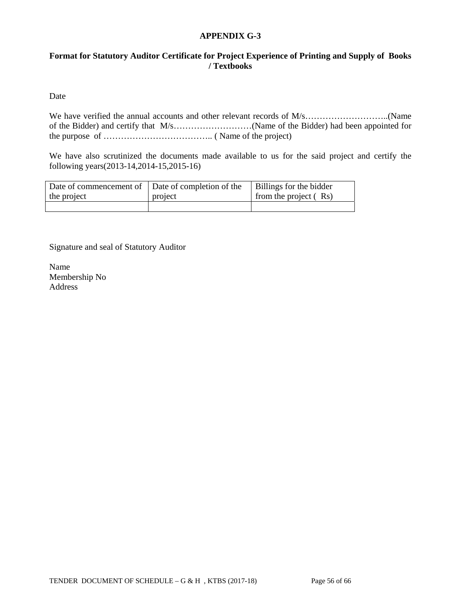### **APPENDIX G-3**

## **Format for Statutory Auditor Certificate for Project Experience of Printing and Supply of Books / Textbooks**

Date

We have verified the annual accounts and other relevant records of M/s…………………………….(Name of the Bidder) and certify that M/s………………………(Name of the Bidder) had been appointed for the purpose of ……………………………….. ( Name of the project)

We have also scrutinized the documents made available to us for the said project and certify the following years(2013-14,2014-15,2015-16)

| Date of commencement of Date of completion of the |         | Billings for the bidder |
|---------------------------------------------------|---------|-------------------------|
| the project                                       | project | from the project (Rs)   |
|                                                   |         |                         |

Signature and seal of Statutory Auditor

Name Membership No Address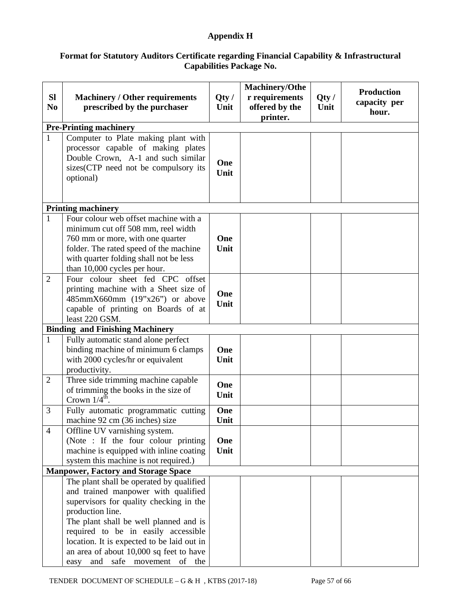## **Appendix H**

## **Format for Statutory Auditors Certificate regarding Financial Capability & Infrastructural Capabilities Package No.**

| <b>SI</b><br>N <sub>0</sub> | <b>Machinery / Other requirements</b><br>prescribed by the purchaser                                                                                                                                                                                                                                                                                            | Qty/<br>Unit | <b>Machinery/Othe</b><br>r requirements<br>offered by the<br>printer. | Qty/<br>Unit | <b>Production</b><br>capacity per<br>hour. |
|-----------------------------|-----------------------------------------------------------------------------------------------------------------------------------------------------------------------------------------------------------------------------------------------------------------------------------------------------------------------------------------------------------------|--------------|-----------------------------------------------------------------------|--------------|--------------------------------------------|
|                             | <b>Pre-Printing machinery</b>                                                                                                                                                                                                                                                                                                                                   |              |                                                                       |              |                                            |
| 1                           | Computer to Plate making plant with<br>processor capable of making plates<br>Double Crown, A-1 and such similar<br>sizes(CTP need not be compulsory its<br>optional)                                                                                                                                                                                            | One<br>Unit  |                                                                       |              |                                            |
|                             | <b>Printing machinery</b>                                                                                                                                                                                                                                                                                                                                       |              |                                                                       |              |                                            |
| $\mathbf{1}$                | Four colour web offset machine with a<br>minimum cut off 508 mm, reel width<br>760 mm or more, with one quarter<br>folder. The rated speed of the machine<br>with quarter folding shall not be less<br>than 10,000 cycles per hour.                                                                                                                             | One<br>Unit  |                                                                       |              |                                            |
| $\overline{2}$              | Four colour sheet fed CPC offset<br>printing machine with a Sheet size of<br>$485$ mm $X660$ mm $(19"x26")$ or above<br>capable of printing on Boards of at<br>least 220 GSM.                                                                                                                                                                                   | One<br>Unit  |                                                                       |              |                                            |
|                             | <b>Binding and Finishing Machinery</b>                                                                                                                                                                                                                                                                                                                          |              |                                                                       |              |                                            |
| 1                           | Fully automatic stand alone perfect<br>binding machine of minimum 6 clamps<br>with 2000 cycles/hr or equivalent<br>productivity.                                                                                                                                                                                                                                | One<br>Unit  |                                                                       |              |                                            |
| $\overline{2}$              | Three side trimming machine capable<br>of trimming the books in the size of<br>Crown $1/4^{\text{th}}$ .                                                                                                                                                                                                                                                        | One<br>Unit  |                                                                       |              |                                            |
| 3                           | Fully automatic programmatic cutting<br>machine 92 cm (36 inches) size                                                                                                                                                                                                                                                                                          | One<br>Unit  |                                                                       |              |                                            |
| $\overline{4}$              | Offline UV varnishing system.<br>(Note : If the four colour printing<br>machine is equipped with inline coating<br>system this machine is not required.)                                                                                                                                                                                                        | One<br>Unit  |                                                                       |              |                                            |
|                             | <b>Manpower, Factory and Storage Space</b>                                                                                                                                                                                                                                                                                                                      |              |                                                                       |              |                                            |
|                             | The plant shall be operated by qualified<br>and trained manpower with qualified<br>supervisors for quality checking in the<br>production line.<br>The plant shall be well planned and is<br>required to be in easily accessible<br>location. It is expected to be laid out in<br>an area of about 10,000 sq feet to have<br>and safe<br>movement of the<br>easy |              |                                                                       |              |                                            |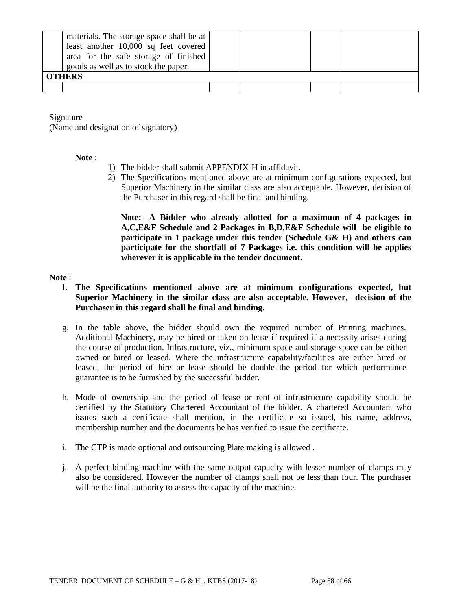| materials. The storage space shall be at<br>least another 10,000 sq feet covered<br>area for the safe storage of finished<br>goods as well as to stock the paper.<br>OTHERS |  |  |
|-----------------------------------------------------------------------------------------------------------------------------------------------------------------------------|--|--|
|                                                                                                                                                                             |  |  |

Signature

(Name and designation of signatory)

#### **Note** :

- 1) The bidder shall submit APPENDIX-H in affidavit.
- 2) The Specifications mentioned above are at minimum configurations expected, but Superior Machinery in the similar class are also acceptable. However, decision of the Purchaser in this regard shall be final and binding.

**Note:- A Bidder who already allotted for a maximum of 4 packages in A,C,E&F Schedule and 2 Packages in B,D,E&F Schedule will be eligible to participate in 1 package under this tender (Schedule G& H) and others can participate for the shortfall of 7 Packages i.e. this condition will be applies wherever it is applicable in the tender document.**

#### **Note** :

- f. **The Specifications mentioned above are at minimum configurations expected, but Superior Machinery in the similar class are also acceptable. However, decision of the Purchaser in this regard shall be final and binding**.
- g. In the table above, the bidder should own the required number of Printing machines. Additional Machinery, may be hired or taken on lease if required if a necessity arises during the course of production. Infrastructure, viz., minimum space and storage space can be either owned or hired or leased. Where the infrastructure capability/facilities are either hired or leased, the period of hire or lease should be double the period for which performance guarantee is to be furnished by the successful bidder.
- h. Mode of ownership and the period of lease or rent of infrastructure capability should be certified by the Statutory Chartered Accountant of the bidder. A chartered Accountant who issues such a certificate shall mention, in the certificate so issued, his name, address, membership number and the documents he has verified to issue the certificate.
- i. The CTP is made optional and outsourcing Plate making is allowed .
- j. A perfect binding machine with the same output capacity with lesser number of clamps may also be considered. However the number of clamps shall not be less than four. The purchaser will be the final authority to assess the capacity of the machine.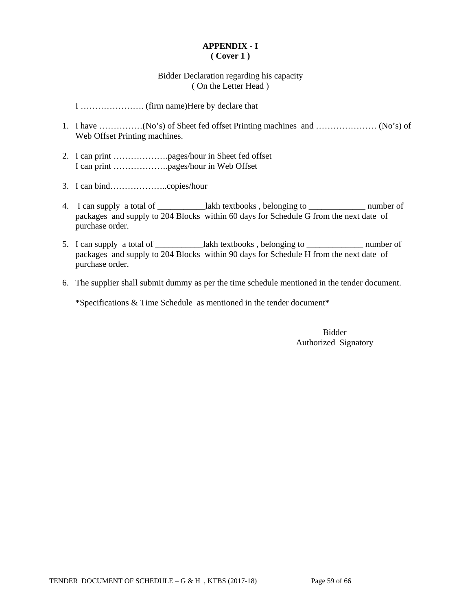## **APPENDIX - I ( Cover 1 )**

### Bidder Declaration regarding his capacity ( On the Letter Head )

I …………………. (firm name)Here by declare that

- 1. I have ……………(No's) of Sheet fed offset Printing machines and ………………… (No's) of Web Offset Printing machines.
- 2. I can print ……………….pages/hour in Sheet fed offset I can print ……………….pages/hour in Web Offset
- 3. I can bind………………..copies/hour
- 4. I can supply a total of \_\_\_\_\_\_\_\_\_\_\_lakh textbooks , belonging to \_\_\_\_\_\_\_\_\_\_\_\_\_ number of packages and supply to 204 Blocks within 60 days for Schedule G from the next date of purchase order.
- 5. I can supply a total of \_\_\_\_\_\_\_\_\_\_\_lakh textbooks, belonging to \_\_\_\_\_\_\_\_\_\_\_\_\_\_ number of packages and supply to 204 Blocks within 90 days for Schedule H from the next date of purchase order.
- 6. The supplier shall submit dummy as per the time schedule mentioned in the tender document.

\*Specifications & Time Schedule as mentioned in the tender document\*

Bidder Authorized Signatory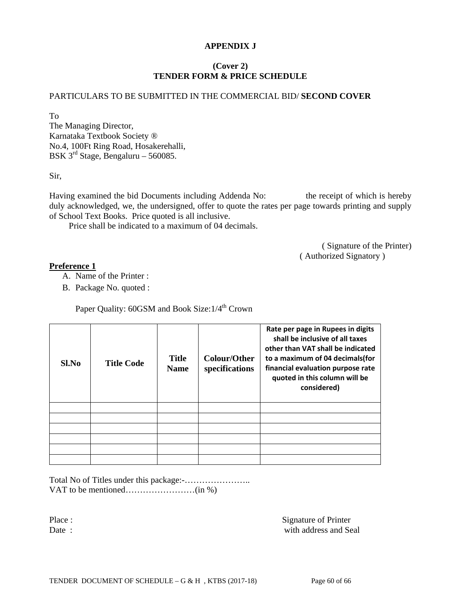## **APPENDIX J**

## **(Cover 2) TENDER FORM & PRICE SCHEDULE**

#### PARTICULARS TO BE SUBMITTED IN THE COMMERCIAL BID/ **SECOND COVER**

To

The Managing Director, Karnataka Textbook Society ® No.4, 100Ft Ring Road, Hosakerehalli, BSK  $3^{\text{rd}}$  Stage, Bengaluru – 560085.

Sir,

Having examined the bid Documents including Addenda No: the receipt of which is hereby duly acknowledged, we, the undersigned, offer to quote the rates per page towards printing and supply of School Text Books. Price quoted is all inclusive.

Price shall be indicated to a maximum of 04 decimals.

( Signature of the Printer) ( Authorized Signatory )

#### **Preference 1**

A. Name of the Printer :

B. Package No. quoted :

Paper Quality: 60GSM and Book Size:  $1/4^{\text{th}}$  Crown

| Sl.No | <b>Title Code</b> | <b>Title</b><br><b>Name</b> | <b>Colour/Other</b><br>specifications | Rate per page in Rupees in digits<br>shall be inclusive of all taxes<br>other than VAT shall be indicated<br>to a maximum of 04 decimals (for<br>financial evaluation purpose rate<br>quoted in this column will be<br>considered) |
|-------|-------------------|-----------------------------|---------------------------------------|------------------------------------------------------------------------------------------------------------------------------------------------------------------------------------------------------------------------------------|
|       |                   |                             |                                       |                                                                                                                                                                                                                                    |
|       |                   |                             |                                       |                                                                                                                                                                                                                                    |
|       |                   |                             |                                       |                                                                                                                                                                                                                                    |
|       |                   |                             |                                       |                                                                                                                                                                                                                                    |
|       |                   |                             |                                       |                                                                                                                                                                                                                                    |
|       |                   |                             |                                       |                                                                                                                                                                                                                                    |

Total No of Titles under this package:-………………….. VAT to be mentioned……………………(in %)

Place : Signature of Printer Date : with address and Seal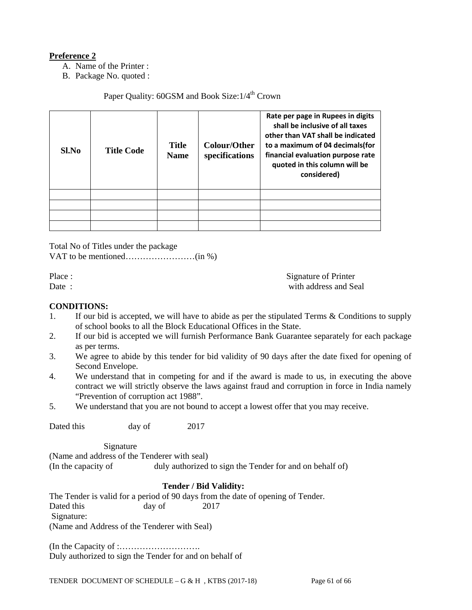## **Preference 2**

A. Name of the Printer :

B. Package No. quoted :

## Paper Quality: 60GSM and Book Size:  $1/4^{th}$  Crown

| Sl.No | <b>Title Code</b> | <b>Title</b><br><b>Name</b> | <b>Colour/Other</b><br>specifications | Rate per page in Rupees in digits<br>shall be inclusive of all taxes<br>other than VAT shall be indicated<br>to a maximum of 04 decimals (for<br>financial evaluation purpose rate<br>quoted in this column will be<br>considered) |
|-------|-------------------|-----------------------------|---------------------------------------|------------------------------------------------------------------------------------------------------------------------------------------------------------------------------------------------------------------------------------|
|       |                   |                             |                                       |                                                                                                                                                                                                                                    |
|       |                   |                             |                                       |                                                                                                                                                                                                                                    |
|       |                   |                             |                                       |                                                                                                                                                                                                                                    |
|       |                   |                             |                                       |                                                                                                                                                                                                                                    |

Total No of Titles under the package VAT to be mentioned……………………(in %)

Place : Signature of Printer Date : with address and Seal

#### **CONDITIONS:**

- 1. If our bid is accepted, we will have to abide as per the stipulated Terms & Conditions to supply of school books to all the Block Educational Offices in the State.
- 2. If our bid is accepted we will furnish Performance Bank Guarantee separately for each package as per terms.
- 3. We agree to abide by this tender for bid validity of 90 days after the date fixed for opening of Second Envelope.
- 4. We understand that in competing for and if the award is made to us, in executing the above contract we will strictly observe the laws against fraud and corruption in force in India namely "Prevention of corruption act 1988".
- 5. We understand that you are not bound to accept a lowest offer that you may receive.

Dated this day of 2017

Signature

(Name and address of the Tenderer with seal)

(In the capacity of duly authorized to sign the Tender for and on behalf of)

#### **Tender / Bid Validity:**

The Tender is valid for a period of 90 days from the date of opening of Tender. Dated this day of 2017 Signature: (Name and Address of the Tenderer with Seal)

(In the Capacity of :………………………. Duly authorized to sign the Tender for and on behalf of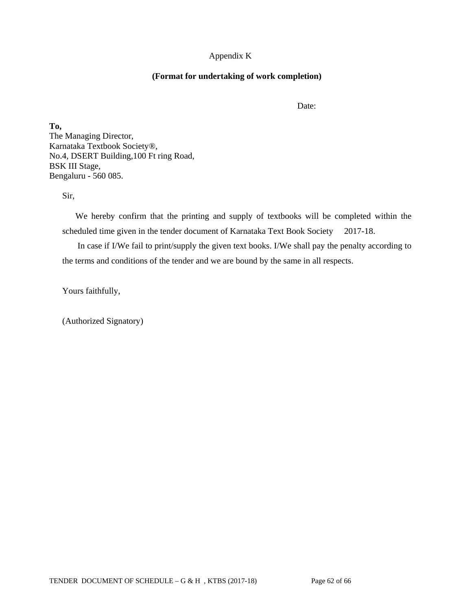## Appendix K

### **(Format for undertaking of work completion)**

Date:

**To,**  The Managing Director, Karnataka Textbook Society®, No.4, DSERT Building,100 Ft ring Road, BSK III Stage, Bengaluru - 560 085.

Sir,

 We hereby confirm that the printing and supply of textbooks will be completed within the scheduled time given in the tender document of Karnataka Text Book Society 2017-18.

 In case if I/We fail to print/supply the given text books. I/We shall pay the penalty according to the terms and conditions of the tender and we are bound by the same in all respects.

Yours faithfully,

(Authorized Signatory)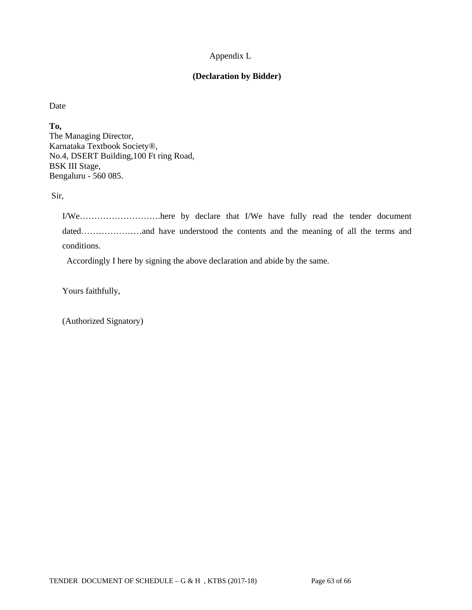## Appendix L

## **(Declaration by Bidder)**

Date

**To,**  The Managing Director, Karnataka Textbook Society®, No.4, DSERT Building,100 Ft ring Road, BSK III Stage, Bengaluru - 560 085.

Sir,

I/We……………………….here by declare that I/We have fully read the tender document dated…………………and have understood the contents and the meaning of all the terms and conditions.

Accordingly I here by signing the above declaration and abide by the same.

Yours faithfully,

(Authorized Signatory)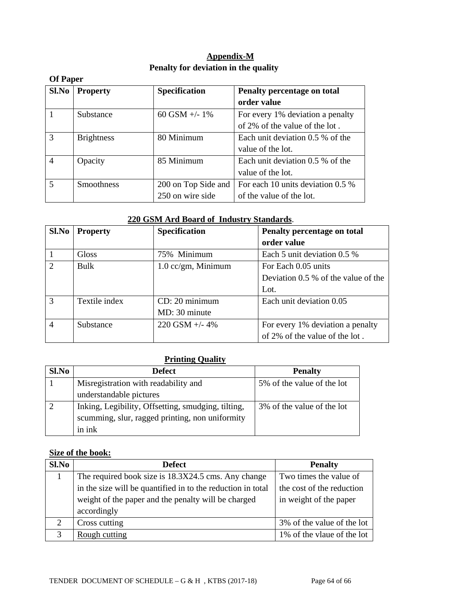## **Appendix-M Penalty for deviation in the quality**

| <b>Of Paper</b> |                   |                     |                                   |  |  |
|-----------------|-------------------|---------------------|-----------------------------------|--|--|
| Sl.No           | <b>Property</b>   | Specification       | Penalty percentage on total       |  |  |
|                 |                   |                     | order value                       |  |  |
|                 | Substance         | 60 GSM $+/- 1\%$    | For every 1% deviation a penalty  |  |  |
|                 |                   |                     | of 2% of the value of the lot.    |  |  |
| 3               | <b>Brightness</b> | 80 Minimum          | Each unit deviation 0.5 % of the  |  |  |
|                 |                   |                     | value of the lot.                 |  |  |
| $\overline{4}$  | Opacity           | 85 Minimum          | Each unit deviation 0.5 % of the  |  |  |
|                 |                   |                     | value of the lot.                 |  |  |
| 5               | <b>Smoothness</b> | 200 on Top Side and | For each 10 units deviation 0.5 % |  |  |
|                 |                   | 250 on wire side    | of the value of the lot.          |  |  |

## **220 GSM Ard Board of Industry Standards**.

| Sl.No                       | <b>Property</b> | <b>Specification</b> | Penalty percentage on total           |
|-----------------------------|-----------------|----------------------|---------------------------------------|
|                             |                 |                      | order value                           |
|                             | Gloss           | 75% Minimum          | Each 5 unit deviation 0.5 %           |
| $\mathcal{D}_{\mathcal{L}}$ | Bulk            | $1.0$ cc/gm, Minimum | For Each 0.05 units                   |
|                             |                 |                      | Deviation $0.5\%$ of the value of the |
|                             |                 |                      | Lot.                                  |
| $\mathcal{R}$               | Textile index   | CD: 20 minimum       | Each unit deviation 0.05              |
|                             |                 | MD: 30 minute        |                                       |
| $\overline{4}$              | Substance       | 220 GSM +/- $4\%$    | For every 1% deviation a penalty      |
|                             |                 |                      | of 2% of the value of the lot.        |

## **Printing Quality**

| Sl.No | <b>Defect</b>                                      | <b>Penalty</b>             |
|-------|----------------------------------------------------|----------------------------|
|       | Misregistration with readability and               | 5% of the value of the lot |
|       | understandable pictures                            |                            |
|       | Inking, Legibility, Offsetting, smudging, tilting, | 3% of the value of the lot |
|       | scumming, slur, ragged printing, non uniformity    |                            |
|       | in ink                                             |                            |

## **Size of the book:**

| Sl.No                       | <b>Defect</b>                                               | <b>Penalty</b>             |
|-----------------------------|-------------------------------------------------------------|----------------------------|
|                             | The required book size is 18.3X24.5 cms. Any change         | Two times the value of     |
|                             | in the size will be quantified in to the reduction in total | the cost of the reduction  |
|                             | weight of the paper and the penalty will be charged         | in weight of the paper     |
|                             | accordingly                                                 |                            |
| $\mathcal{D}_{\mathcal{A}}$ | Cross cutting                                               | 3% of the value of the lot |
| $\mathcal{R}$               | Rough cutting                                               | 1% of the vlaue of the lot |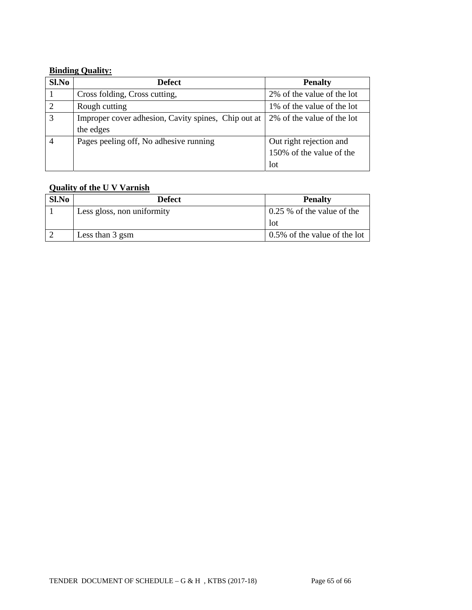# **Binding Quality:**

| Sl.No                       | <b>Defect</b>                                       | <b>Penalty</b>             |  |
|-----------------------------|-----------------------------------------------------|----------------------------|--|
|                             | Cross folding, Cross cutting,                       | 2% of the value of the lot |  |
| $\mathcal{D}_{\mathcal{L}}$ | Rough cutting                                       | 1% of the value of the lot |  |
| 3                           | Improper cover adhesion, Cavity spines, Chip out at | 2% of the value of the lot |  |
|                             | the edges                                           |                            |  |
|                             | Pages peeling off, No adhesive running              | Out right rejection and    |  |
|                             |                                                     | 150% of the value of the   |  |
|                             |                                                     | <b>l</b> ot                |  |

# **Quality of the U V Varnish**

| Sl.No | Defect                     | <b>Penalty</b>               |
|-------|----------------------------|------------------------------|
|       | Less gloss, non uniformity | 0.25 % of the value of the   |
|       |                            | lot                          |
|       | Less than 3 gsm            | 0.5% of the value of the lot |